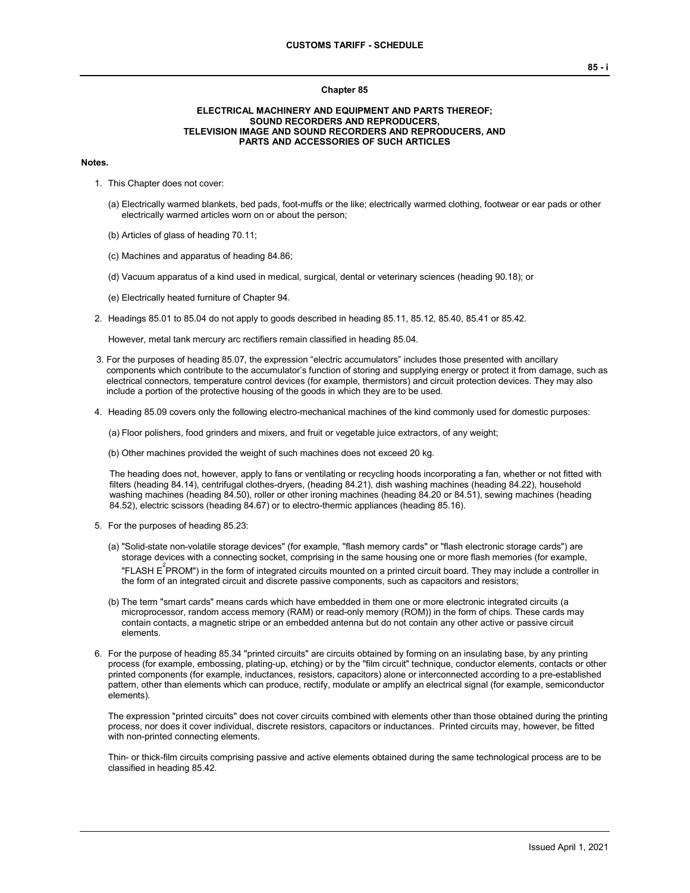#### **Chapter 85**

#### **ELECTRICAL MACHINERY AND EQUIPMENT AND PARTS THEREOF; SOUND RECORDERS AND REPRODUCERS, TELEVISION IMAGE AND SOUND RECORDERS AND REPRODUCERS, AND PARTS AND ACCESSORIES OF SUCH ARTICLES**

#### **Notes.**

- 1. This Chapter does not cover:
	- (a) Electrically warmed blankets, bed pads, foot-muffs or the like; electrically warmed clothing, footwear or ear pads or other electrically warmed articles worn on or about the person;
	- (b) Articles of glass of heading 70.11;
	- (c) Machines and apparatus of heading 84.86;
	- (d) Vacuum apparatus of a kind used in medical, surgical, dental or veterinary sciences (heading 90.18); or
	- (e) Electrically heated furniture of Chapter 94.
- 2. Headings 85.01 to 85.04 do not apply to goods described in heading 85.11, 85.12, 85.40, 85.41 or 85.42.

However, metal tank mercury arc rectifiers remain classified in heading 85.04.

- 3. For the purposes of heading 85.07, the expression "electric accumulators" includes those presented with ancillary components which contribute to the accumulator's function of storing and supplying energy or protect it from damage, such as electrical connectors, temperature control devices (for example, thermistors) and circuit protection devices. They may also include a portion of the protective housing of the goods in which they are to be used.
- 4. Heading 85.09 covers only the following electro-mechanical machines of the kind commonly used for domestic purposes:

(a) Floor polishers, food grinders and mixers, and fruit or vegetable juice extractors, of any weight;

(b) Other machines provided the weight of such machines does not exceed 20 kg.

The heading does not, however, apply to fans or ventilating or recycling hoods incorporating a fan, whether or not fitted with filters (heading 84.14), centrifugal clothes-dryers, (heading 84.21), dish washing machines (heading 84.22), household washing machines (heading 84.50), roller or other ironing machines (heading 84.20 or 84.51), sewing machines (heading 84.52), electric scissors (heading 84.67) or to electro-thermic appliances (heading 85.16).

- 5. For the purposes of heading 85.23:
	- (a) "Solid-state non-volatile storage devices" (for example, "flash memory cards" or "flash electronic storage cards") are storage devices with a connecting socket, comprising in the same housing one or more flash memories (for example, "FLASH  $\mathsf{E}^2$ PROM") in the form of integrated circuits mounted on a printed circuit board. They may include a controller in the form of an integrated circuit and discrete passive components, such as capacitors and resistors;
	- (b) The term "smart cards" means cards which have embedded in them one or more electronic integrated circuits (a microprocessor, random access memory (RAM) or read-only memory (ROM)) in the form of chips. These cards may contain contacts, a magnetic stripe or an embedded antenna but do not contain any other active or passive circuit elements.
- 6. For the purpose of heading 85.34 "printed circuits" are circuits obtained by forming on an insulating base, by any printing process (for example, embossing, plating-up, etching) or by the "film circuit" technique, conductor elements, contacts or other printed components (for example, inductances, resistors, capacitors) alone or interconnected according to a pre-established pattern, other than elements which can produce, rectify, modulate or amplify an electrical signal (for example, semiconductor elements).

The expression "printed circuits" does not cover circuits combined with elements other than those obtained during the printing process, nor does it cover individual, discrete resistors, capacitors or inductances. Printed circuits may, however, be fitted with non-printed connecting elements.

Thin- or thick-film circuits comprising passive and active elements obtained during the same technological process are to be classified in heading 85.42.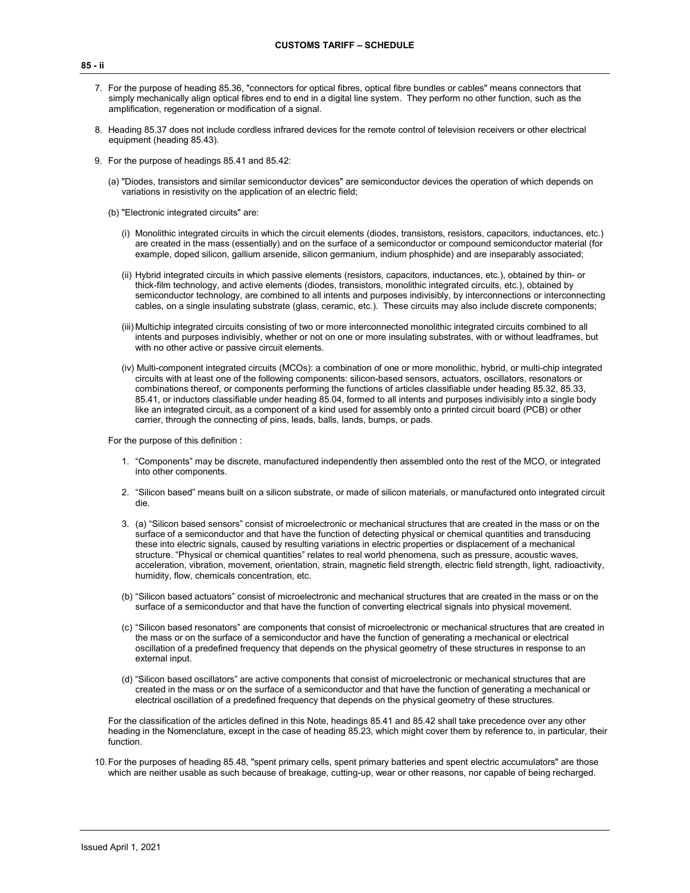- 7. For the purpose of heading 85.36, "connectors for optical fibres, optical fibre bundles or cables" means connectors that simply mechanically align optical fibres end to end in a digital line system. They perform no other function, such as the amplification, regeneration or modification of a signal.
- 8. Heading 85.37 does not include cordless infrared devices for the remote control of television receivers or other electrical equipment (heading 85.43).
- 9. For the purpose of headings 85.41 and 85.42:
	- (a) "Diodes, transistors and similar semiconductor devices" are semiconductor devices the operation of which depends on variations in resistivity on the application of an electric field;
	- (b) "Electronic integrated circuits" are:
		- (i) Monolithic integrated circuits in which the circuit elements (diodes, transistors, resistors, capacitors, inductances, etc.) are created in the mass (essentially) and on the surface of a semiconductor or compound semiconductor material (for example, doped silicon, gallium arsenide, silicon germanium, indium phosphide) and are inseparably associated;
		- (ii) Hybrid integrated circuits in which passive elements (resistors, capacitors, inductances, etc.), obtained by thin- or thick-film technology, and active elements (diodes, transistors, monolithic integrated circuits, etc.), obtained by semiconductor technology, are combined to all intents and purposes indivisibly, by interconnections or interconnecting cables, on a single insulating substrate (glass, ceramic, etc.). These circuits may also include discrete components;
		- (iii) Multichip integrated circuits consisting of two or more interconnected monolithic integrated circuits combined to all intents and purposes indivisibly, whether or not on one or more insulating substrates, with or without leadframes, but with no other active or passive circuit elements.
		- (iv) Multi-component integrated circuits (MCOs): a combination of one or more monolithic, hybrid, or multi-chip integrated circuits with at least one of the following components: silicon-based sensors, actuators, oscillators, resonators or combinations thereof, or components performing the functions of articles classifiable under heading 85.32, 85.33, 85.41, or inductors classifiable under heading 85.04, formed to all intents and purposes indivisibly into a single body like an integrated circuit, as a component of a kind used for assembly onto a printed circuit board (PCB) or other carrier, through the connecting of pins, leads, balls, lands, bumps, or pads.

For the purpose of this definition :

- 1. "Components" may be discrete, manufactured independently then assembled onto the rest of the MCO, or integrated into other components.
- 2. "Silicon based" means built on a silicon substrate, or made of silicon materials, or manufactured onto integrated circuit die.
- 3. (a) "Silicon based sensors" consist of microelectronic or mechanical structures that are created in the mass or on the surface of a semiconductor and that have the function of detecting physical or chemical quantities and transducing these into electric signals, caused by resulting variations in electric properties or displacement of a mechanical structure. "Physical or chemical quantities" relates to real world phenomena, such as pressure, acoustic waves, acceleration, vibration, movement, orientation, strain, magnetic field strength, electric field strength, light, radioactivity, humidity, flow, chemicals concentration, etc.
- (b) "Silicon based actuators" consist of microelectronic and mechanical structures that are created in the mass or on the surface of a semiconductor and that have the function of converting electrical signals into physical movement.
- (c) "Silicon based resonators" are components that consist of microelectronic or mechanical structures that are created in the mass or on the surface of a semiconductor and have the function of generating a mechanical or electrical oscillation of a predefined frequency that depends on the physical geometry of these structures in response to an external input.
- (d) "Silicon based oscillators" are active components that consist of microelectronic or mechanical structures that are created in the mass or on the surface of a semiconductor and that have the function of generating a mechanical or electrical oscillation of a predefined frequency that depends on the physical geometry of these structures.

For the classification of the articles defined in this Note, headings 85.41 and 85.42 shall take precedence over any other heading in the Nomenclature, except in the case of heading 85.23, which might cover them by reference to, in particular, their function.

10.For the purposes of heading 85.48, "spent primary cells, spent primary batteries and spent electric accumulators" are those which are neither usable as such because of breakage, cutting-up, wear or other reasons, nor capable of being recharged.

#### **85 - ii**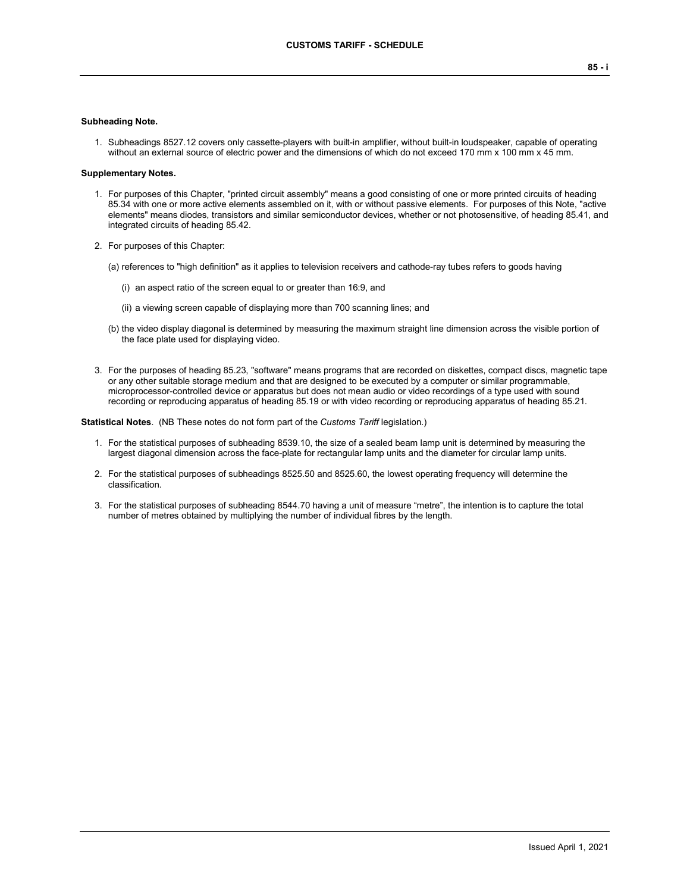#### **Subheading Note.**

1. Subheadings 8527.12 covers only cassette-players with built-in amplifier, without built-in loudspeaker, capable of operating without an external source of electric power and the dimensions of which do not exceed 170 mm x 100 mm x 45 mm.

#### **Supplementary Notes.**

- 1. For purposes of this Chapter, "printed circuit assembly" means a good consisting of one or more printed circuits of heading 85.34 with one or more active elements assembled on it, with or without passive elements. For purposes of this Note, "active elements" means diodes, transistors and similar semiconductor devices, whether or not photosensitive, of heading 85.41, and integrated circuits of heading 85.42.
- 2. For purposes of this Chapter:
	- (a) references to "high definition" as it applies to television receivers and cathode-ray tubes refers to goods having
		- (i) an aspect ratio of the screen equal to or greater than 16:9, and
		- (ii) a viewing screen capable of displaying more than 700 scanning lines; and
	- (b) the video display diagonal is determined by measuring the maximum straight line dimension across the visible portion of the face plate used for displaying video.
- 3. For the purposes of heading 85.23, "software" means programs that are recorded on diskettes, compact discs, magnetic tape or any other suitable storage medium and that are designed to be executed by a computer or similar programmable, microprocessor-controlled device or apparatus but does not mean audio or video recordings of a type used with sound recording or reproducing apparatus of heading 85.19 or with video recording or reproducing apparatus of heading 85.21.

**Statistical Notes**. (NB These notes do not form part of the *Customs Tariff* legislation.)

- 1. For the statistical purposes of subheading 8539.10, the size of a sealed beam lamp unit is determined by measuring the largest diagonal dimension across the face-plate for rectangular lamp units and the diameter for circular lamp units.
- 2. For the statistical purposes of subheadings 8525.50 and 8525.60, the lowest operating frequency will determine the classification.
- 3. For the statistical purposes of subheading 8544.70 having a unit of measure "metre", the intention is to capture the total number of metres obtained by multiplying the number of individual fibres by the length.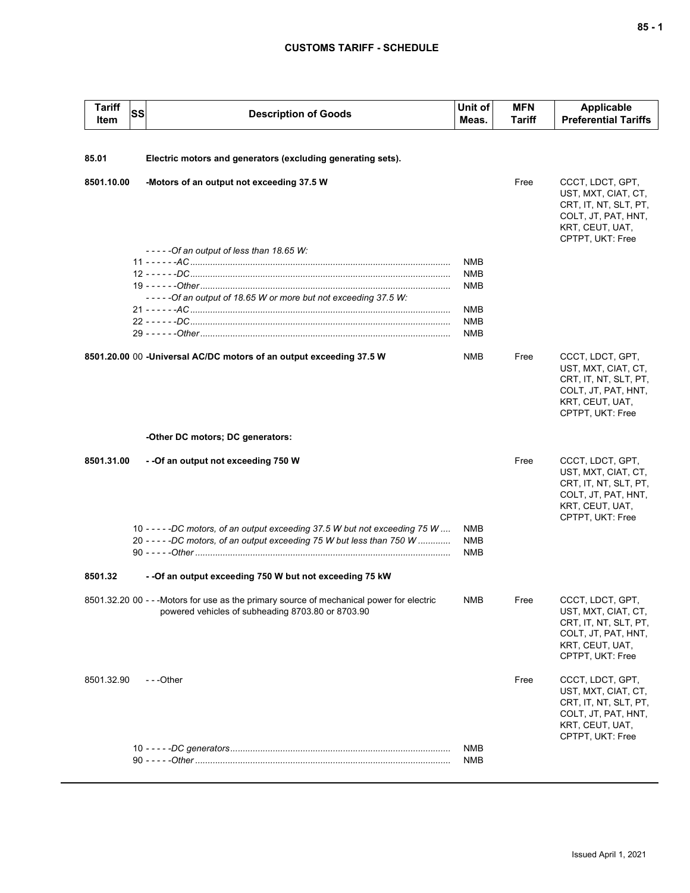| <b>Tariff</b><br>Item | SS | <b>Description of Goods</b>                                                                                                                            | Unit of<br>Meas.                                            | <b>MFN</b><br>Tariff | <b>Applicable</b><br><b>Preferential Tariffs</b>                                                                               |
|-----------------------|----|--------------------------------------------------------------------------------------------------------------------------------------------------------|-------------------------------------------------------------|----------------------|--------------------------------------------------------------------------------------------------------------------------------|
| 85.01                 |    | Electric motors and generators (excluding generating sets).                                                                                            |                                                             |                      |                                                                                                                                |
| 8501.10.00            |    | -Motors of an output not exceeding 37.5 W                                                                                                              |                                                             | Free                 | CCCT, LDCT, GPT,<br>UST, MXT, CIAT, CT,<br>CRT, IT, NT, SLT, PT,<br>COLT, JT, PAT, HNT,<br>KRT, CEUT, UAT,<br>CPTPT, UKT: Free |
|                       |    | $---Of$ an output of less than 18.65 W:<br>-----Of an output of 18.65 W or more but not exceeding 37.5 W:                                              | <b>NMB</b><br><b>NMB</b><br><b>NMB</b><br>NMB<br><b>NMB</b> |                      |                                                                                                                                |
|                       |    | 8501.20.00 00 -Universal AC/DC motors of an output exceeding 37.5 W                                                                                    | <b>NMB</b><br><b>NMB</b>                                    | Free                 | CCCT, LDCT, GPT,<br>UST, MXT, CIAT, CT,<br>CRT, IT, NT, SLT, PT,<br>COLT, JT, PAT, HNT,<br>KRT, CEUT, UAT,<br>CPTPT, UKT: Free |
|                       |    | -Other DC motors; DC generators:                                                                                                                       |                                                             |                      |                                                                                                                                |
| 8501.31.00            |    | - - Of an output not exceeding 750 W                                                                                                                   |                                                             | Free                 | CCCT, LDCT, GPT,<br>UST, MXT, CIAT, CT,<br>CRT, IT, NT, SLT, PT,<br>COLT, JT, PAT, HNT,<br>KRT, CEUT, UAT,<br>CPTPT, UKT: Free |
|                       |    | 10 - - - - -DC motors, of an output exceeding 37.5 W but not exceeding 75 W<br>20 - - - - - DC motors, of an output exceeding 75 W but less than 750 W | NMB<br><b>NMB</b><br><b>NMB</b>                             |                      |                                                                                                                                |
| 8501.32               |    | - - Of an output exceeding 750 W but not exceeding 75 kW                                                                                               |                                                             |                      |                                                                                                                                |
|                       |    | 8501.32.20 00 - - - Motors for use as the primary source of mechanical power for electric<br>powered vehicles of subheading 8703.80 or 8703.90         | NMB                                                         | Free                 | CCCT, LDCT, GPT,<br>UST, MXT, CIAT, CT,<br>CRT, IT, NT, SLT, PT,<br>COLT, JT, PAT, HNT,<br>KRT, CEUT, UAT,<br>CPTPT, UKT: Free |
| 8501.32.90            |    | ---Other                                                                                                                                               |                                                             | Free                 | CCCT, LDCT, GPT,<br>UST, MXT, CIAT, CT,<br>CRT, IT, NT, SLT, PT,<br>COLT, JT, PAT, HNT,<br>KRT, CEUT, UAT,<br>CPTPT, UKT: Free |
|                       |    |                                                                                                                                                        | NMB<br>NMB                                                  |                      |                                                                                                                                |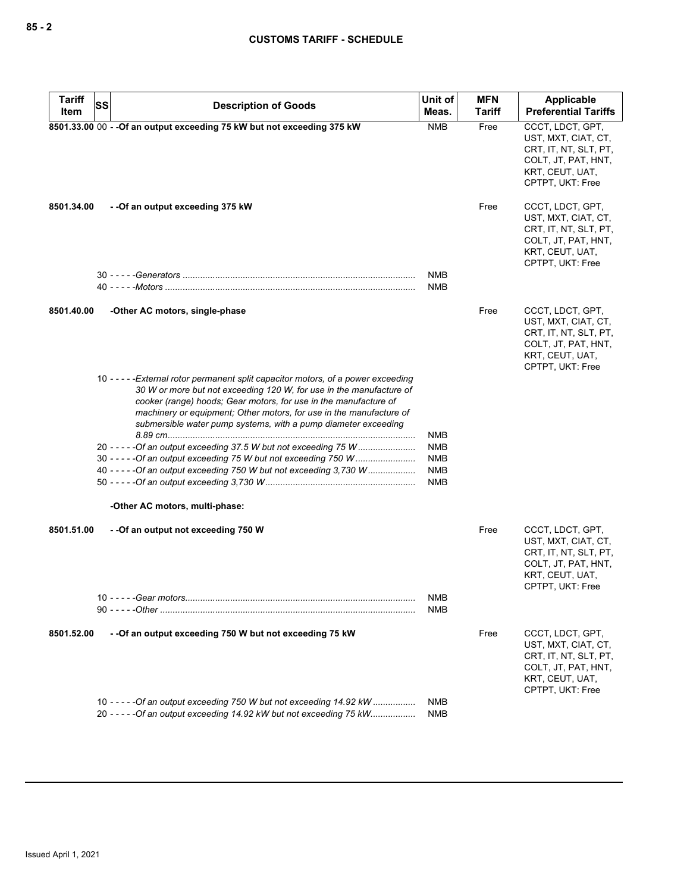| <b>Tariff</b><br>SS | <b>Description of Goods</b>                                                                                                                                                                                                                                                                                                                                            | Unit of                  | <b>MFN</b> | <b>Applicable</b>                                                                                                              |
|---------------------|------------------------------------------------------------------------------------------------------------------------------------------------------------------------------------------------------------------------------------------------------------------------------------------------------------------------------------------------------------------------|--------------------------|------------|--------------------------------------------------------------------------------------------------------------------------------|
| Item                |                                                                                                                                                                                                                                                                                                                                                                        | Meas.                    | Tariff     | <b>Preferential Tariffs</b>                                                                                                    |
|                     | 8501.33.00 00 - - Of an output exceeding 75 kW but not exceeding 375 kW                                                                                                                                                                                                                                                                                                | <b>NMB</b>               | Free       | CCCT, LDCT, GPT,<br>UST, MXT, CIAT, CT,<br>CRT, IT, NT, SLT, PT,<br>COLT, JT, PAT, HNT,<br>KRT, CEUT, UAT,<br>CPTPT, UKT: Free |
| 8501.34.00          | -- Of an output exceeding 375 kW                                                                                                                                                                                                                                                                                                                                       |                          | Free       | CCCT, LDCT, GPT,<br>UST, MXT, CIAT, CT,<br>CRT, IT, NT, SLT, PT,<br>COLT, JT, PAT, HNT,<br>KRT, CEUT, UAT,<br>CPTPT, UKT: Free |
|                     |                                                                                                                                                                                                                                                                                                                                                                        | <b>NMB</b>               |            |                                                                                                                                |
|                     |                                                                                                                                                                                                                                                                                                                                                                        | <b>NMB</b>               |            |                                                                                                                                |
| 8501.40.00          | -Other AC motors, single-phase                                                                                                                                                                                                                                                                                                                                         |                          | Free       | CCCT, LDCT, GPT,<br>UST, MXT, CIAT, CT,<br>CRT, IT, NT, SLT, PT,<br>COLT, JT, PAT, HNT,<br>KRT, CEUT, UAT,<br>CPTPT, UKT: Free |
|                     | 10 - - - - - External rotor permanent split capacitor motors, of a power exceeding<br>30 W or more but not exceeding 120 W, for use in the manufacture of<br>cooker (range) hoods; Gear motors, for use in the manufacture of<br>machinery or equipment; Other motors, for use in the manufacture of<br>submersible water pump systems, with a pump diameter exceeding |                          |            |                                                                                                                                |
|                     |                                                                                                                                                                                                                                                                                                                                                                        | NMB                      |            |                                                                                                                                |
|                     | 20 - - - - - Of an output exceeding 37.5 W but not exceeding 75 W<br>30 - - - - - Of an output exceeding 75 W but not exceeding 750 W                                                                                                                                                                                                                                  | <b>NMB</b><br><b>NMB</b> |            |                                                                                                                                |
|                     | 40 - - - - - Of an output exceeding 750 W but not exceeding 3,730 W                                                                                                                                                                                                                                                                                                    | <b>NMB</b><br><b>NMB</b> |            |                                                                                                                                |
|                     | -Other AC motors, multi-phase:                                                                                                                                                                                                                                                                                                                                         |                          |            |                                                                                                                                |
| 8501.51.00          | --Of an output not exceeding 750 W                                                                                                                                                                                                                                                                                                                                     |                          | Free       | CCCT, LDCT, GPT,<br>UST, MXT, CIAT, CT,<br>CRT, IT, NT, SLT, PT,<br>COLT, JT, PAT, HNT,<br>KRT, CEUT, UAT,<br>CPTPT, UKT: Free |
|                     |                                                                                                                                                                                                                                                                                                                                                                        | NMB                      |            |                                                                                                                                |
|                     |                                                                                                                                                                                                                                                                                                                                                                        | NMB                      |            |                                                                                                                                |
| 8501.52.00          | - - Of an output exceeding 750 W but not exceeding 75 kW                                                                                                                                                                                                                                                                                                               |                          | Free       | CCCT, LDCT, GPT,<br>UST, MXT, CIAT, CT,<br>CRT, IT, NT, SLT, PT,<br>COLT, JT, PAT, HNT,<br>KRT, CEUT, UAT,<br>CPTPT, UKT: Free |
|                     | 10 ---- - - Of an output exceeding 750 W but not exceeding 14.92 kW                                                                                                                                                                                                                                                                                                    | NMB                      |            |                                                                                                                                |
|                     | 20 - - - - - Of an output exceeding 14.92 kW but not exceeding 75 kW                                                                                                                                                                                                                                                                                                   | NMB                      |            |                                                                                                                                |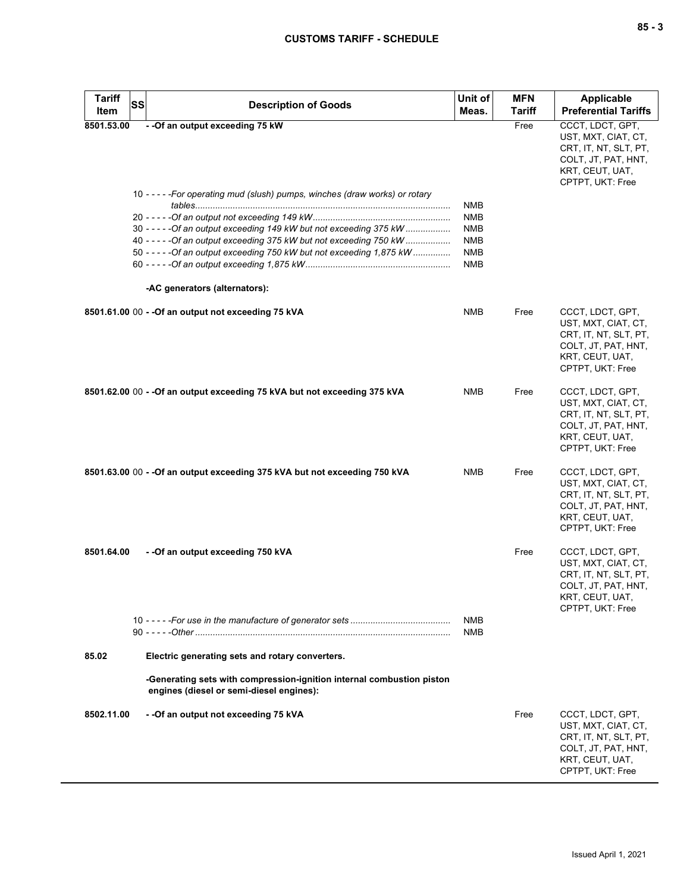| <b>Tariff</b> | <b>SS</b><br><b>Description of Goods</b>                                                                                                   | Unit of           | <b>MFN</b>    | Applicable                                                                                                                     |
|---------------|--------------------------------------------------------------------------------------------------------------------------------------------|-------------------|---------------|--------------------------------------------------------------------------------------------------------------------------------|
| Item          |                                                                                                                                            | Meas.             | <b>Tariff</b> | <b>Preferential Tariffs</b>                                                                                                    |
| 8501.53.00    | - - Of an output exceeding 75 kW                                                                                                           |                   | Free          | CCCT, LDCT, GPT,<br>UST, MXT, CIAT, CT,<br>CRT, IT, NT, SLT, PT,<br>COLT, JT, PAT, HNT,<br>KRT, CEUT, UAT,<br>CPTPT, UKT: Free |
|               | 10 - - - - - For operating mud (slush) pumps, winches (draw works) or rotary                                                               |                   |               |                                                                                                                                |
|               |                                                                                                                                            | NMB               |               |                                                                                                                                |
|               |                                                                                                                                            | <b>NMB</b>        |               |                                                                                                                                |
|               | 30 - - - - - Of an output exceeding 149 kW but not exceeding 375 kW<br>40 - - - - - Of an output exceeding 375 kW but not exceeding 750 kW | <b>NMB</b><br>NMB |               |                                                                                                                                |
|               | 50 - - - - - Of an output exceeding 750 kW but not exceeding 1,875 kW                                                                      | NMB               |               |                                                                                                                                |
|               |                                                                                                                                            | <b>NMB</b>        |               |                                                                                                                                |
|               | -AC generators (alternators):                                                                                                              |                   |               |                                                                                                                                |
|               | 8501.61.00 00 - - Of an output not exceeding 75 kVA                                                                                        | <b>NMB</b>        | Free          | CCCT, LDCT, GPT,<br>UST, MXT, CIAT, CT,<br>CRT, IT, NT, SLT, PT,<br>COLT, JT, PAT, HNT,<br>KRT, CEUT, UAT,<br>CPTPT, UKT: Free |
|               | 8501.62.00 00 - - Of an output exceeding 75 kVA but not exceeding 375 kVA                                                                  | <b>NMB</b>        | Free          | CCCT, LDCT, GPT,<br>UST, MXT, CIAT, CT,<br>CRT, IT, NT, SLT, PT,<br>COLT, JT, PAT, HNT,<br>KRT, CEUT, UAT,<br>CPTPT, UKT: Free |
|               | 8501.63.00 00 - - Of an output exceeding 375 kVA but not exceeding 750 kVA                                                                 | NMB               | Free          | CCCT, LDCT, GPT,<br>UST, MXT, CIAT, CT,<br>CRT, IT, NT, SLT, PT,<br>COLT, JT, PAT, HNT,<br>KRT, CEUT, UAT,<br>CPTPT, UKT: Free |
| 8501.64.00    | - - Of an output exceeding 750 kVA                                                                                                         | NMB               | Free          | CCCT, LDCT, GPT,<br>UST, MXT, CIAT, CT,<br>CRT, IT, NT, SLT, PT,<br>COLT, JT, PAT, HNT,<br>KRT, CEUT, UAT,<br>CPTPT, UKT: Free |
|               |                                                                                                                                            | NMB               |               |                                                                                                                                |
| 85.02         | Electric generating sets and rotary converters.                                                                                            |                   |               |                                                                                                                                |
|               | -Generating sets with compression-ignition internal combustion piston<br>engines (diesel or semi-diesel engines):                          |                   |               |                                                                                                                                |
| 8502.11.00    | - - Of an output not exceeding 75 kVA                                                                                                      |                   | Free          | CCCT, LDCT, GPT,<br>UST, MXT, CIAT, CT,<br>CRT, IT, NT, SLT, PT,<br>COLT, JT, PAT, HNT,<br>KRT, CEUT, UAT,<br>CPTPT, UKT: Free |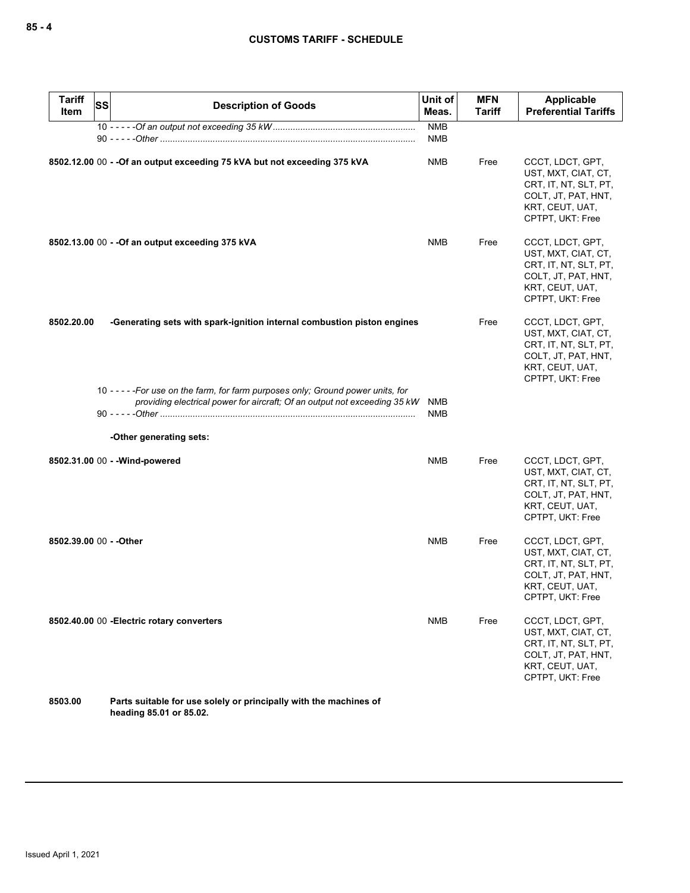| <b>Tariff</b><br>Item   | <b>SS</b> | <b>Description of Goods</b>                                                                                                                                | Unit of<br>Meas.         | <b>MFN</b><br><b>Tariff</b> | Applicable<br><b>Preferential Tariffs</b>                                                                                      |
|-------------------------|-----------|------------------------------------------------------------------------------------------------------------------------------------------------------------|--------------------------|-----------------------------|--------------------------------------------------------------------------------------------------------------------------------|
|                         |           |                                                                                                                                                            | <b>NMB</b><br><b>NMB</b> |                             |                                                                                                                                |
|                         |           | 8502.12.00 00 - - Of an output exceeding 75 kVA but not exceeding 375 kVA                                                                                  | NMB                      | Free                        | CCCT, LDCT, GPT,<br>UST, MXT, CIAT, CT,<br>CRT, IT, NT, SLT, PT,<br>COLT, JT, PAT, HNT,<br>KRT, CEUT, UAT,<br>CPTPT, UKT: Free |
|                         |           | 8502.13.00 00 - - Of an output exceeding 375 kVA                                                                                                           | <b>NMB</b>               | Free                        | CCCT, LDCT, GPT,<br>UST, MXT, CIAT, CT,<br>CRT, IT, NT, SLT, PT,<br>COLT, JT, PAT, HNT,<br>KRT, CEUT, UAT,<br>CPTPT, UKT: Free |
| 8502.20.00              |           | -Generating sets with spark-ignition internal combustion piston engines                                                                                    |                          | Free                        | CCCT, LDCT, GPT,<br>UST, MXT, CIAT, CT,<br>CRT, IT, NT, SLT, PT,<br>COLT, JT, PAT, HNT,<br>KRT, CEUT, UAT,<br>CPTPT, UKT: Free |
|                         |           | 10 ----- For use on the farm, for farm purposes only; Ground power units, for<br>providing electrical power for aircraft; Of an output not exceeding 35 kW | NMB<br>NMB               |                             |                                                                                                                                |
|                         |           | -Other generating sets:                                                                                                                                    |                          |                             |                                                                                                                                |
|                         |           | 8502.31.00 00 - - Wind-powered                                                                                                                             | <b>NMB</b>               | Free                        | CCCT, LDCT, GPT,<br>UST, MXT, CIAT, CT,<br>CRT, IT, NT, SLT, PT,<br>COLT, JT, PAT, HNT,<br>KRT, CEUT, UAT,<br>CPTPT, UKT: Free |
| 8502.39.00 00 - - Other |           |                                                                                                                                                            | <b>NMB</b>               | Free                        | CCCT, LDCT, GPT,<br>UST, MXT, CIAT, CT,<br>CRT, IT, NT, SLT, PT,<br>COLT, JT, PAT, HNT,<br>KRT, CEUT, UAT,<br>CPTPT, UKT: Free |
|                         |           | 8502.40.00 00 - Electric rotary converters                                                                                                                 | <b>NMB</b>               | Free                        | CCCT, LDCT, GPT,<br>UST, MXT, CIAT, CT,<br>CRT, IT, NT, SLT, PT,<br>COLT, JT, PAT, HNT,<br>KRT, CEUT, UAT,<br>CPTPT, UKT: Free |
| 8503.00                 |           | Parts suitable for use solely or principally with the machines of                                                                                          |                          |                             |                                                                                                                                |

**heading 85.01 or 85.02.**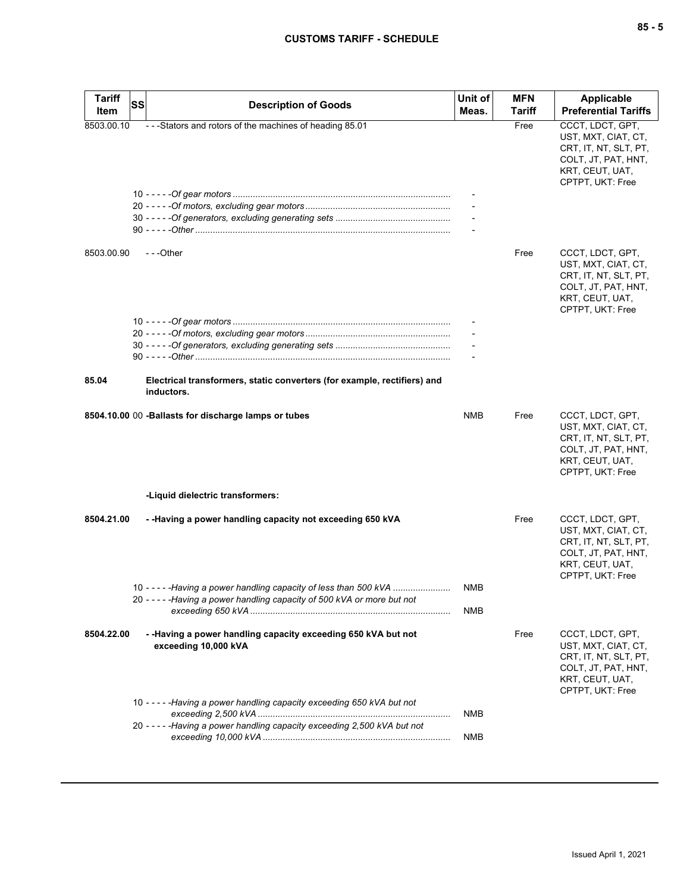| <b>Tariff</b> | lssl                                                                                   | Unit of | <b>MFN</b>    | Applicable                                                                                                                     |
|---------------|----------------------------------------------------------------------------------------|---------|---------------|--------------------------------------------------------------------------------------------------------------------------------|
| Item          | <b>Description of Goods</b>                                                            | Meas.   | <b>Tariff</b> | <b>Preferential Tariffs</b>                                                                                                    |
| 8503.00.10    | ---Stators and rotors of the machines of heading 85.01                                 |         | Free          | CCCT, LDCT, GPT,<br>UST, MXT, CIAT, CT,<br>CRT, IT, NT, SLT, PT,<br>COLT, JT, PAT, HNT,<br>KRT, CEUT, UAT,<br>CPTPT, UKT: Free |
|               |                                                                                        |         |               |                                                                                                                                |
|               |                                                                                        |         |               |                                                                                                                                |
|               |                                                                                        |         |               |                                                                                                                                |
|               |                                                                                        |         |               |                                                                                                                                |
| 8503.00.90    | ---Other                                                                               |         | Free          | CCCT, LDCT, GPT,<br>UST, MXT, CIAT, CT,<br>CRT, IT, NT, SLT, PT,<br>COLT, JT, PAT, HNT,<br>KRT, CEUT, UAT,<br>CPTPT, UKT: Free |
|               |                                                                                        |         |               |                                                                                                                                |
|               |                                                                                        |         |               |                                                                                                                                |
|               |                                                                                        |         |               |                                                                                                                                |
|               |                                                                                        |         |               |                                                                                                                                |
| 85.04         | Electrical transformers, static converters (for example, rectifiers) and<br>inductors. |         |               |                                                                                                                                |
|               | 8504.10.00 00 -Ballasts for discharge lamps or tubes                                   | NMB     | Free          | CCCT, LDCT, GPT,<br>UST, MXT, CIAT, CT,<br>CRT, IT, NT, SLT, PT,<br>COLT, JT, PAT, HNT,<br>KRT, CEUT, UAT,<br>CPTPT, UKT: Free |
|               | -Liquid dielectric transformers:                                                       |         |               |                                                                                                                                |
| 8504.21.00    | - -Having a power handling capacity not exceeding 650 kVA                              |         | Free          | CCCT, LDCT, GPT,<br>UST, MXT, CIAT, CT,<br>CRT, IT, NT, SLT, PT,<br>COLT, JT, PAT, HNT,<br>KRT, CEUT, UAT,<br>CPTPT, UKT: Free |
|               | 10 - - - - - Having a power handling capacity of less than 500 kVA                     | NMB     |               |                                                                                                                                |
|               | 20 - - - - - Having a power handling capacity of 500 kVA or more but not               | NMB     |               |                                                                                                                                |
|               |                                                                                        |         |               |                                                                                                                                |
| 8504.22.00    | - -Having a power handling capacity exceeding 650 kVA but not<br>exceeding 10,000 kVA  |         | Free          | CCCT, LDCT, GPT,<br>UST, MXT, CIAT, CT,<br>CRT, IT, NT, SLT, PT,<br>COLT, JT, PAT, HNT,<br>KRT, CEUT, UAT,<br>CPTPT, UKT: Free |
|               | 10 - - - - - Having a power handling capacity exceeding 650 kVA but not                |         |               |                                                                                                                                |
|               | 20 - - - - - Having a power handling capacity exceeding 2,500 kVA but not              | NMB     |               |                                                                                                                                |
|               |                                                                                        | NMB     |               |                                                                                                                                |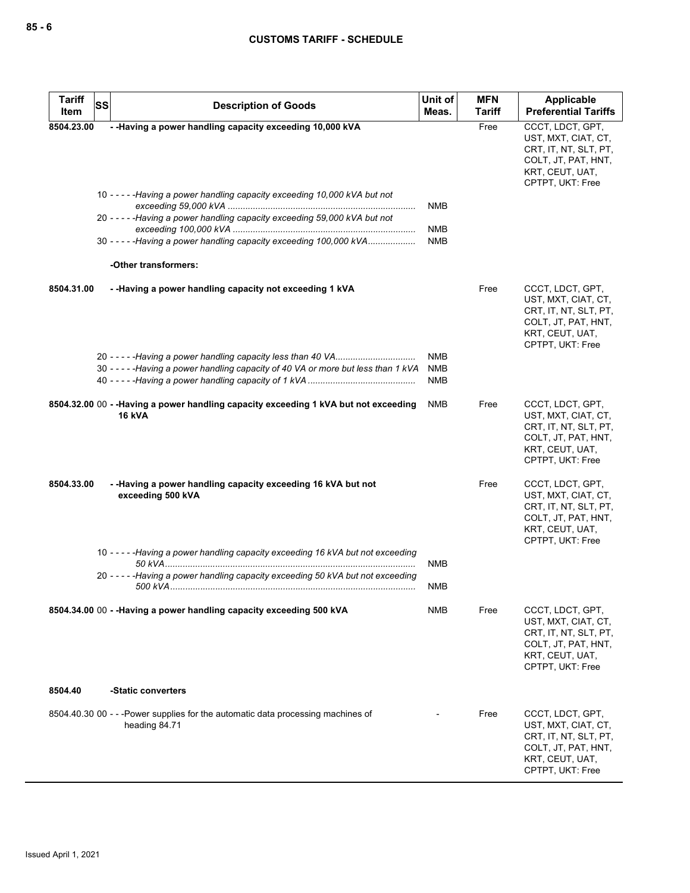| <b>Tariff</b><br><b>SS</b> | <b>Description of Goods</b>                                                                          | Unit of                                | <b>MFN</b>            | Applicable                                                                                                                     |
|----------------------------|------------------------------------------------------------------------------------------------------|----------------------------------------|-----------------------|--------------------------------------------------------------------------------------------------------------------------------|
| Item<br>8504.23.00         | - - Having a power handling capacity exceeding 10,000 kVA                                            | Meas.                                  | <b>Tariff</b><br>Free | <b>Preferential Tariffs</b><br>CCCT, LDCT, GPT,                                                                                |
|                            |                                                                                                      |                                        |                       | UST, MXT, CIAT, CT,<br>CRT, IT, NT, SLT, PT,<br>COLT, JT, PAT, HNT,<br>KRT, CEUT, UAT,<br>CPTPT, UKT: Free                     |
|                            | 10 - - - - - Having a power handling capacity exceeding 10,000 kVA but not                           | <b>NMB</b>                             |                       |                                                                                                                                |
|                            | 20 - - - - - Having a power handling capacity exceeding 59,000 kVA but not                           | <b>NMB</b>                             |                       |                                                                                                                                |
|                            | 30 -----Having a power handling capacity exceeding 100,000 kVA                                       | <b>NMB</b>                             |                       |                                                                                                                                |
|                            | -Other transformers:                                                                                 |                                        |                       |                                                                                                                                |
| 8504.31.00                 | - - Having a power handling capacity not exceeding 1 kVA                                             |                                        | Free                  | CCCT, LDCT, GPT,<br>UST, MXT, CIAT, CT,<br>CRT, IT, NT, SLT, PT,<br>COLT, JT, PAT, HNT,<br>KRT, CEUT, UAT,<br>CPTPT, UKT: Free |
|                            | 30 - - - - - Having a power handling capacity of 40 VA or more but less than 1 kVA                   | <b>NMB</b><br><b>NMB</b><br><b>NMB</b> |                       |                                                                                                                                |
|                            | 8504.32.00 00 - -Having a power handling capacity exceeding 1 kVA but not exceeding<br><b>16 kVA</b> | NMB                                    | Free                  | CCCT, LDCT, GPT,<br>UST, MXT, CIAT, CT,<br>CRT, IT, NT, SLT, PT,<br>COLT, JT, PAT, HNT,<br>KRT, CEUT, UAT,<br>CPTPT, UKT: Free |
| 8504.33.00                 | - -Having a power handling capacity exceeding 16 kVA but not<br>exceeding 500 kVA                    |                                        | Free                  | CCCT, LDCT, GPT,<br>UST, MXT, CIAT, CT,<br>CRT, IT, NT, SLT, PT,<br>COLT, JT, PAT, HNT,<br>KRT, CEUT, UAT,<br>CPTPT, UKT: Free |
|                            | 10 - - - - - Having a power handling capacity exceeding 16 kVA but not exceeding                     | <b>NMB</b>                             |                       |                                                                                                                                |
|                            | 20 - - - - - Having a power handling capacity exceeding 50 kVA but not exceeding                     | <b>NMB</b>                             |                       |                                                                                                                                |
|                            | 8504.34.00 00 - - Having a power handling capacity exceeding 500 kVA                                 | NMB                                    | Free                  | CCCT, LDCT, GPT,<br>UST, MXT, CIAT, CT,<br>CRT, IT, NT, SLT, PT,<br>COLT, JT, PAT, HNT,<br>KRT, CEUT, UAT,<br>CPTPT, UKT: Free |
| 8504.40                    | -Static converters                                                                                   |                                        |                       |                                                                                                                                |
|                            | 8504.40.30 00 - - - Power supplies for the automatic data processing machines of<br>heading 84.71    |                                        | Free                  | CCCT, LDCT, GPT,<br>UST, MXT, CIAT, CT,<br>CRT, IT, NT, SLT, PT,<br>COLT, JT, PAT, HNT,<br>KRT, CEUT, UAT,<br>CPTPT, UKT: Free |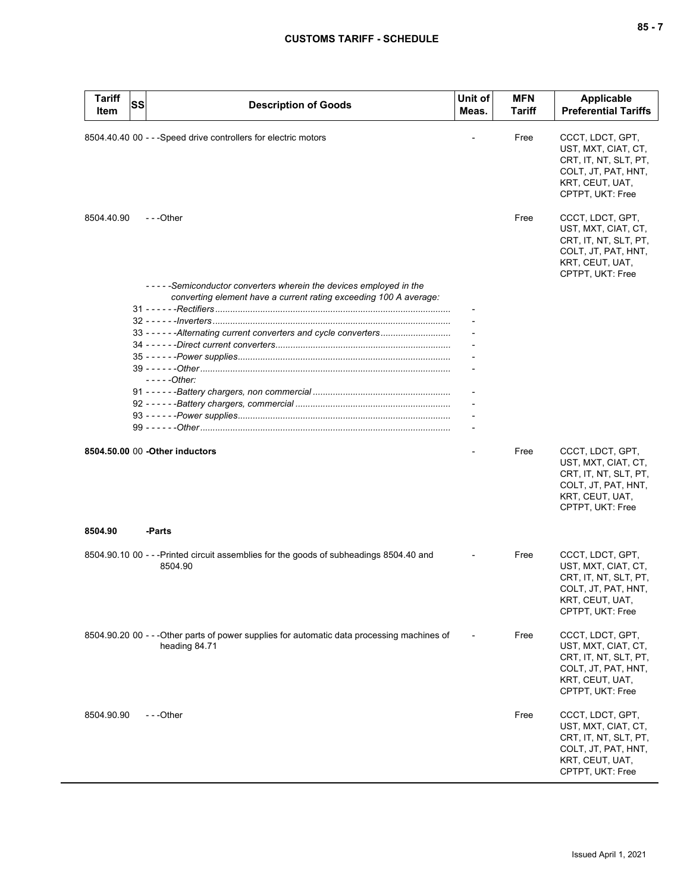| $-$<br>$\overline{\phantom{a}}$ |  |  |
|---------------------------------|--|--|
|---------------------------------|--|--|

| <b>Tariff</b><br>Item | SS | <b>Description of Goods</b>                                                                                                                                                                                                 | Unit of<br>Meas. | <b>MFN</b><br>Tariff | <b>Applicable</b><br><b>Preferential Tariffs</b>                                                                               |
|-----------------------|----|-----------------------------------------------------------------------------------------------------------------------------------------------------------------------------------------------------------------------------|------------------|----------------------|--------------------------------------------------------------------------------------------------------------------------------|
|                       |    | 8504.40.40 00 - - - Speed drive controllers for electric motors                                                                                                                                                             |                  | Free                 | CCCT, LDCT, GPT,<br>UST, MXT, CIAT, CT,<br>CRT, IT, NT, SLT, PT,<br>COLT, JT, PAT, HNT,<br>KRT, CEUT, UAT,<br>CPTPT, UKT: Free |
| 8504.40.90            |    | $-$ - -Other                                                                                                                                                                                                                |                  | Free                 | CCCT, LDCT, GPT,<br>UST, MXT, CIAT, CT,<br>CRT, IT, NT, SLT, PT,<br>COLT, JT, PAT, HNT,<br>KRT, CEUT, UAT,<br>CPTPT, UKT: Free |
|                       |    | -----Semiconductor converters wherein the devices employed in the<br>converting element have a current rating exceeding 100 A average:<br>33 - - - - - - Alternating current converters and cycle converters<br>$---Other:$ |                  |                      |                                                                                                                                |
|                       |    | 8504.50.00 00 - Other inductors                                                                                                                                                                                             |                  | Free                 | CCCT, LDCT, GPT,<br>UST, MXT, CIAT, CT,<br>CRT, IT, NT, SLT, PT,<br>COLT, JT, PAT, HNT,<br>KRT, CEUT, UAT,<br>CPTPT, UKT: Free |
| 8504.90               |    | -Parts                                                                                                                                                                                                                      |                  |                      |                                                                                                                                |
|                       |    | 8504.90.10 00 - - -Printed circuit assemblies for the goods of subheadings 8504.40 and<br>8504.90                                                                                                                           |                  | Free                 | CCCT, LDCT, GPT,<br>UST, MXT, CIAT, CT,<br>CRT, IT, NT, SLT, PT,<br>COLT, JT, PAT, HNT,<br>KRT, CEUT, UAT,<br>CPTPT, UKT: Free |
|                       |    | 8504.90.20 00 - - -Other parts of power supplies for automatic data processing machines of<br>heading 84.71                                                                                                                 |                  | Free                 | CCCT, LDCT, GPT,<br>UST, MXT, CIAT, CT,<br>CRT, IT, NT, SLT, PT,<br>COLT, JT, PAT, HNT,<br>KRT, CEUT, UAT,<br>CPTPT, UKT: Free |
| 8504.90.90            |    | ---Other                                                                                                                                                                                                                    |                  | Free                 | CCCT, LDCT, GPT,<br>UST, MXT, CIAT, CT,<br>CRT, IT, NT, SLT, PT,<br>COLT, JT, PAT, HNT,<br>KRT, CEUT, UAT,<br>CPTPT, UKT: Free |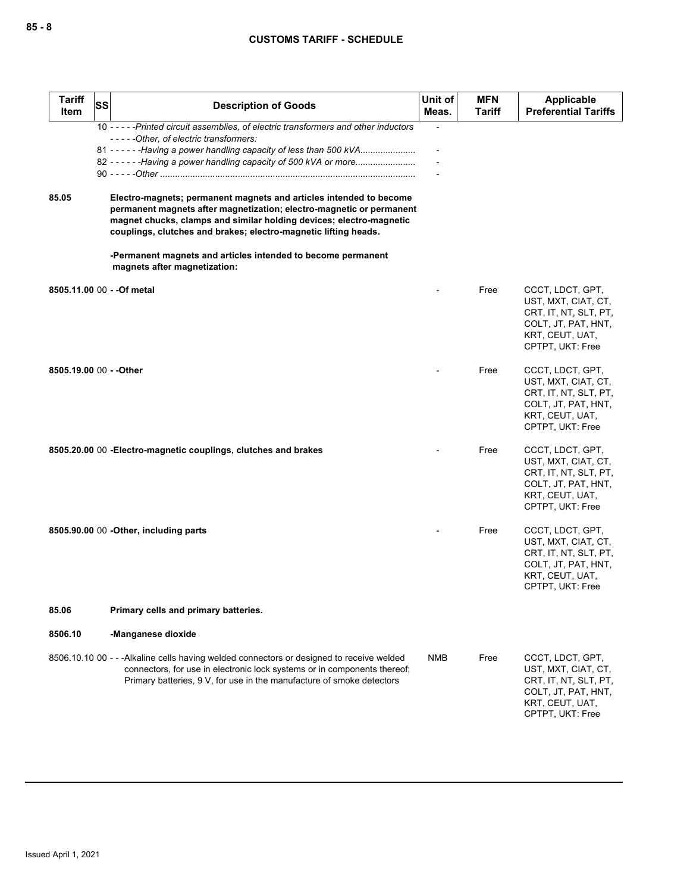| <b>Tariff</b><br>Item   | SS | <b>Description of Goods</b>                                                                                                                                                                                                                                                                                                                                                                                                                                                                                                                                                                                                          | Unit of<br>Meas. | <b>MFN</b><br>Tariff | <b>Applicable</b><br><b>Preferential Tariffs</b>                                                                               |
|-------------------------|----|--------------------------------------------------------------------------------------------------------------------------------------------------------------------------------------------------------------------------------------------------------------------------------------------------------------------------------------------------------------------------------------------------------------------------------------------------------------------------------------------------------------------------------------------------------------------------------------------------------------------------------------|------------------|----------------------|--------------------------------------------------------------------------------------------------------------------------------|
| 85.05                   |    | 10 - - - - - Printed circuit assemblies, of electric transformers and other inductors<br>-----Other, of electric transformers:<br>81 - - - - - - Having a power handling capacity of less than 500 kVA<br>82 - - - - - - Having a power handling capacity of 500 kVA or more<br>Electro-magnets; permanent magnets and articles intended to become<br>permanent magnets after magnetization; electro-magnetic or permanent<br>magnet chucks, clamps and similar holding devices; electro-magnetic<br>couplings, clutches and brakes; electro-magnetic lifting heads.<br>-Permanent magnets and articles intended to become permanent |                  |                      |                                                                                                                                |
|                         |    | magnets after magnetization:<br>8505.11.00 00 - - Of metal                                                                                                                                                                                                                                                                                                                                                                                                                                                                                                                                                                           |                  | Free                 | CCCT, LDCT, GPT,<br>UST, MXT, CIAT, CT,<br>CRT, IT, NT, SLT, PT,<br>COLT, JT, PAT, HNT,<br>KRT, CEUT, UAT,<br>CPTPT, UKT: Free |
| 8505.19.00 00 - - Other |    |                                                                                                                                                                                                                                                                                                                                                                                                                                                                                                                                                                                                                                      |                  | Free                 | CCCT, LDCT, GPT,<br>UST, MXT, CIAT, CT,<br>CRT, IT, NT, SLT, PT,<br>COLT, JT, PAT, HNT,<br>KRT, CEUT, UAT,<br>CPTPT, UKT: Free |
|                         |    | 8505.20.00 00 - Electro-magnetic couplings, clutches and brakes                                                                                                                                                                                                                                                                                                                                                                                                                                                                                                                                                                      |                  | Free                 | CCCT, LDCT, GPT,<br>UST, MXT, CIAT, CT,<br>CRT, IT, NT, SLT, PT,<br>COLT, JT, PAT, HNT,<br>KRT, CEUT, UAT,<br>CPTPT, UKT: Free |
|                         |    | 8505.90.00 00 - Other, including parts                                                                                                                                                                                                                                                                                                                                                                                                                                                                                                                                                                                               |                  | Free                 | CCCT, LDCT, GPT,<br>UST, MXT, CIAT, CT,<br>CRT, IT, NT, SLT, PT,<br>COLT, JT, PAT, HNT,<br>KRT, CEUT, UAT,<br>CPTPT, UKT: Free |
| 85.06                   |    | Primary cells and primary batteries.                                                                                                                                                                                                                                                                                                                                                                                                                                                                                                                                                                                                 |                  |                      |                                                                                                                                |
| 8506.10                 |    | -Manganese dioxide                                                                                                                                                                                                                                                                                                                                                                                                                                                                                                                                                                                                                   |                  |                      |                                                                                                                                |
|                         |    | 8506.10.10 00 - - - Alkaline cells having welded connectors or designed to receive welded<br>connectors, for use in electronic lock systems or in components thereof;<br>Primary batteries, 9 V, for use in the manufacture of smoke detectors                                                                                                                                                                                                                                                                                                                                                                                       | NMB              | Free                 | CCCT, LDCT, GPT,<br>UST, MXT, CIAT, CT,<br>CRT, IT, NT, SLT, PT,<br>COLT, JT, PAT, HNT,<br>KRT, CEUT, UAT,<br>CPTPT, UKT: Free |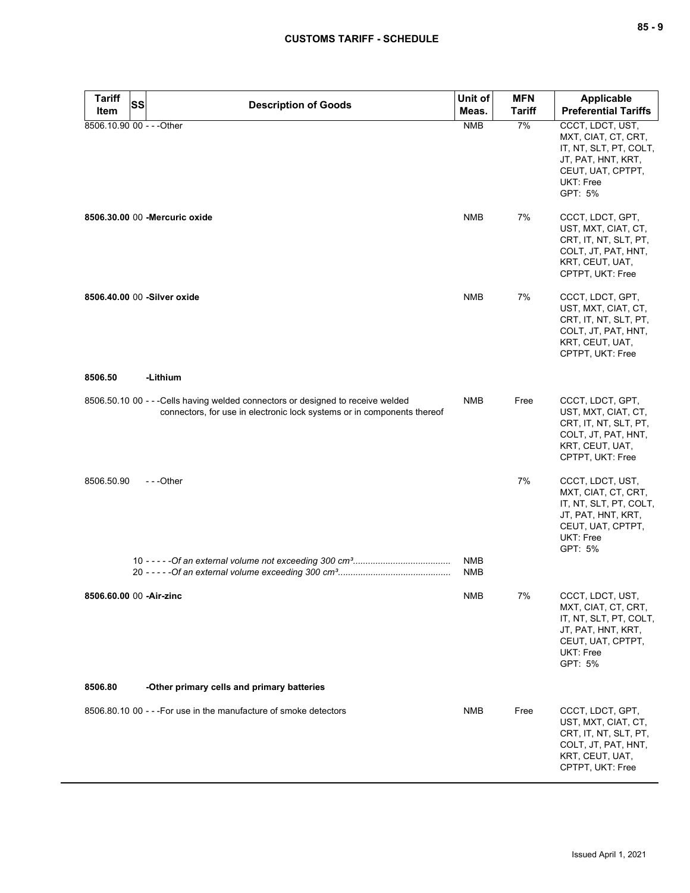| $-$<br>$\sim$ |  | ×<br>۰. |
|---------------|--|---------|
|---------------|--|---------|

| <b>Tariff</b><br>Item     | <b>SS</b> | <b>Description of Goods</b>                                                                                                                                 | Unit of<br>Meas. | <b>MFN</b><br><b>Tariff</b> | Applicable<br><b>Preferential Tariffs</b>                                                                                            |
|---------------------------|-----------|-------------------------------------------------------------------------------------------------------------------------------------------------------------|------------------|-----------------------------|--------------------------------------------------------------------------------------------------------------------------------------|
| 8506.10.90 00 - - - Other |           |                                                                                                                                                             | <b>NMB</b>       | 7%                          | CCCT, LDCT, UST,<br>MXT, CIAT, CT, CRT,<br>IT, NT, SLT, PT, COLT,<br>JT, PAT, HNT, KRT,<br>CEUT, UAT, CPTPT,<br>UKT: Free<br>GPT: 5% |
|                           |           | 8506.30.00 00 - Mercuric oxide                                                                                                                              | <b>NMB</b>       | 7%                          | CCCT, LDCT, GPT,<br>UST, MXT, CIAT, CT,<br>CRT, IT, NT, SLT, PT,<br>COLT, JT, PAT, HNT,<br>KRT, CEUT, UAT,<br>CPTPT, UKT: Free       |
|                           |           | 8506.40.00 00 -Silver oxide                                                                                                                                 | <b>NMB</b>       | 7%                          | CCCT, LDCT, GPT,<br>UST, MXT, CIAT, CT,<br>CRT, IT, NT, SLT, PT,<br>COLT, JT, PAT, HNT,<br>KRT, CEUT, UAT,<br>CPTPT, UKT: Free       |
| 8506.50                   |           | -Lithium                                                                                                                                                    |                  |                             |                                                                                                                                      |
|                           |           | 8506.50.10 00 - - - Cells having welded connectors or designed to receive welded<br>connectors, for use in electronic lock systems or in components thereof | NMB              | Free                        | CCCT, LDCT, GPT,<br>UST, MXT, CIAT, CT,<br>CRT, IT, NT, SLT, PT,<br>COLT, JT, PAT, HNT,<br>KRT, CEUT, UAT,<br>CPTPT, UKT: Free       |
| 8506.50.90                |           | ---Other                                                                                                                                                    | <b>NMB</b>       | 7%                          | CCCT, LDCT, UST,<br>MXT, CIAT, CT, CRT,<br>IT, NT, SLT, PT, COLT,<br>JT, PAT, HNT, KRT,<br>CEUT, UAT, CPTPT,<br>UKT: Free<br>GPT: 5% |
|                           |           |                                                                                                                                                             | <b>NMB</b>       |                             |                                                                                                                                      |
| 8506.60.00 00 - Air-zinc  |           |                                                                                                                                                             | NMB              | 7%                          | CCCT, LDCT, UST,<br>MXT, CIAT, CT, CRT,<br>IT, NT, SLT, PT, COLT,<br>JT, PAT, HNT, KRT,<br>CEUT, UAT, CPTPT,<br>UKT: Free<br>GPT: 5% |
| 8506.80                   |           | -Other primary cells and primary batteries                                                                                                                  |                  |                             |                                                                                                                                      |
|                           |           | 8506.80.10 00 - - - For use in the manufacture of smoke detectors                                                                                           | <b>NMB</b>       | Free                        | CCCT, LDCT, GPT,<br>UST, MXT, CIAT, CT,<br>CRT, IT, NT, SLT, PT,<br>COLT, JT, PAT, HNT,<br>KRT, CEUT, UAT,<br>CPTPT, UKT: Free       |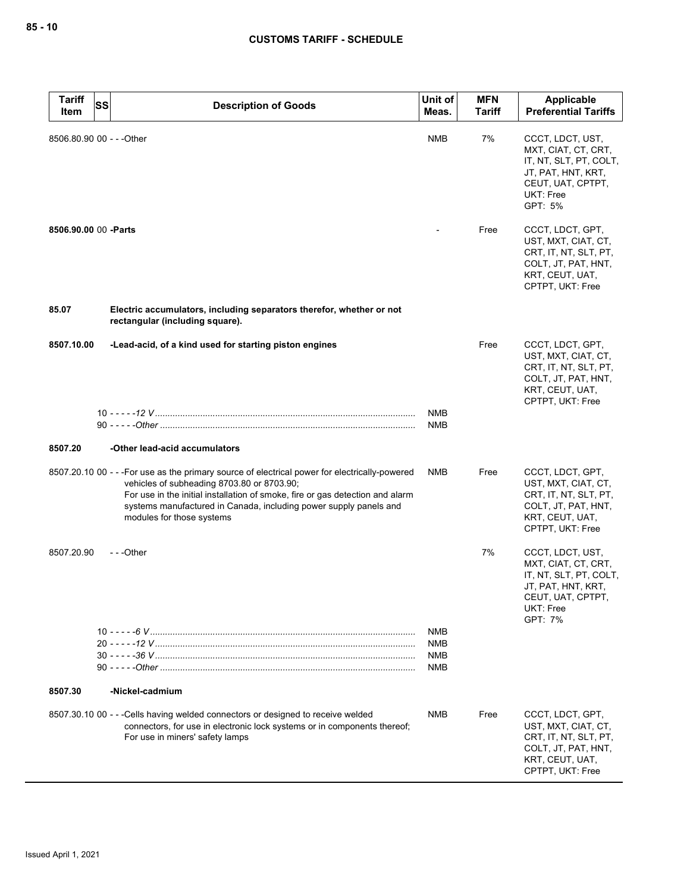| <b>Tariff</b><br>Item     | <b>SS</b><br><b>Description of Goods</b>                                                                                                                                                                                                                                                                                        | Unit of<br>Meas.                       | <b>MFN</b><br>Tariff | <b>Applicable</b><br><b>Preferential Tariffs</b>                                                                                     |
|---------------------------|---------------------------------------------------------------------------------------------------------------------------------------------------------------------------------------------------------------------------------------------------------------------------------------------------------------------------------|----------------------------------------|----------------------|--------------------------------------------------------------------------------------------------------------------------------------|
| 8506.80.90 00 - - - Other |                                                                                                                                                                                                                                                                                                                                 | <b>NMB</b>                             | 7%                   | CCCT, LDCT, UST,<br>MXT, CIAT, CT, CRT,<br>IT, NT, SLT, PT, COLT,<br>JT, PAT, HNT, KRT,<br>CEUT, UAT, CPTPT,<br>UKT: Free<br>GPT: 5% |
| 8506.90.00 00 - Parts     |                                                                                                                                                                                                                                                                                                                                 |                                        | Free                 | CCCT, LDCT, GPT,<br>UST, MXT, CIAT, CT,<br>CRT, IT, NT, SLT, PT,<br>COLT, JT, PAT, HNT,<br>KRT, CEUT, UAT,<br>CPTPT, UKT: Free       |
| 85.07                     | Electric accumulators, including separators therefor, whether or not<br>rectangular (including square).                                                                                                                                                                                                                         |                                        |                      |                                                                                                                                      |
| 8507.10.00                | -Lead-acid, of a kind used for starting piston engines                                                                                                                                                                                                                                                                          |                                        | Free                 | CCCT, LDCT, GPT,<br>UST, MXT, CIAT, CT,<br>CRT, IT, NT, SLT, PT,<br>COLT, JT, PAT, HNT,<br>KRT, CEUT, UAT,<br>CPTPT, UKT: Free       |
|                           |                                                                                                                                                                                                                                                                                                                                 | <b>NMB</b><br><b>NMB</b>               |                      |                                                                                                                                      |
| 8507.20                   | -Other lead-acid accumulators                                                                                                                                                                                                                                                                                                   |                                        |                      |                                                                                                                                      |
|                           | 8507.20.10 00 - - - For use as the primary source of electrical power for electrically-powered<br>vehicles of subheading 8703.80 or 8703.90;<br>For use in the initial installation of smoke, fire or gas detection and alarm<br>systems manufactured in Canada, including power supply panels and<br>modules for those systems | NMB                                    | Free                 | CCCT, LDCT, GPT,<br>UST, MXT, CIAT, CT,<br>CRT, IT, NT, SLT, PT,<br>COLT, JT, PAT, HNT,<br>KRT, CEUT, UAT,<br>CPTPT, UKT: Free       |
| 8507.20.90                | - - -Other                                                                                                                                                                                                                                                                                                                      |                                        | 7%                   | CCCT, LDCT, UST,<br>MXT, CIAT, CT, CRT,<br>IT, NT, SLT, PT, COLT,<br>JT, PAT, HNT, KRT,<br>CEUT, UAT, CPTPT,<br>UKT: Free<br>GPT: 7% |
|                           |                                                                                                                                                                                                                                                                                                                                 | <b>NMB</b><br><b>NMB</b><br>NMB<br>NMB |                      |                                                                                                                                      |
| 8507.30                   | -Nickel-cadmium                                                                                                                                                                                                                                                                                                                 |                                        |                      |                                                                                                                                      |
|                           | 8507.30.10 00 - - - Cells having welded connectors or designed to receive welded<br>connectors, for use in electronic lock systems or in components thereof;<br>For use in miners' safety lamps                                                                                                                                 | NMB                                    | Free                 | CCCT, LDCT, GPT,<br>UST, MXT, CIAT, CT,<br>CRT, IT, NT, SLT, PT,<br>COLT, JT, PAT, HNT,<br>KRT, CEUT, UAT,<br>CPTPT, UKT: Free       |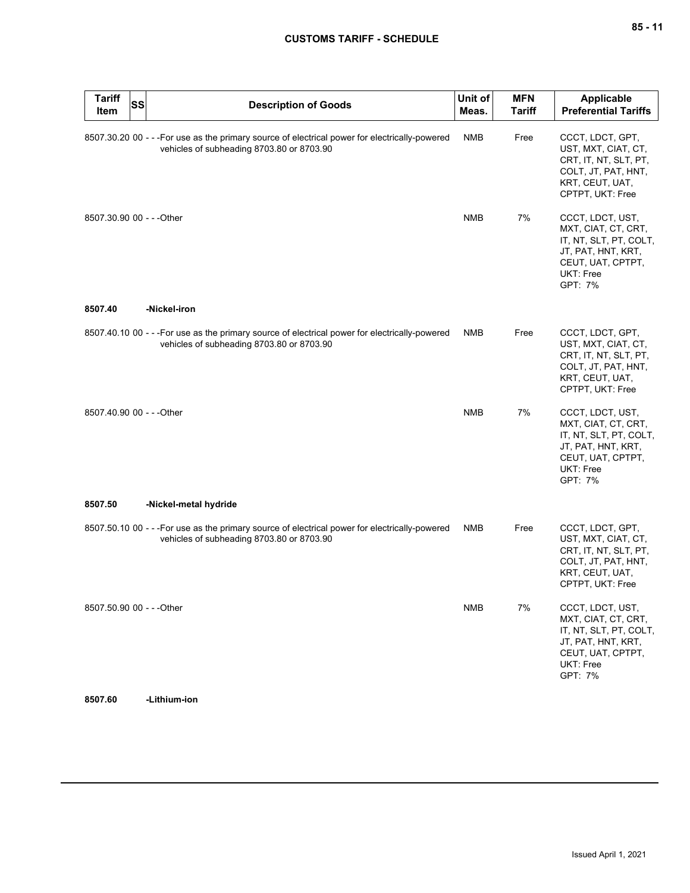| <b>Tariff</b><br>Item     | <b>SS</b> | <b>Description of Goods</b>                                                                                                                 | Unit of<br>Meas. | <b>MFN</b><br><b>Tariff</b> | <b>Applicable</b><br><b>Preferential Tariffs</b>                                                                                            |
|---------------------------|-----------|---------------------------------------------------------------------------------------------------------------------------------------------|------------------|-----------------------------|---------------------------------------------------------------------------------------------------------------------------------------------|
|                           |           | 8507.30.20 00 - - - For use as the primary source of electrical power for electrically-powered<br>vehicles of subheading 8703.80 or 8703.90 | <b>NMB</b>       | Free                        | CCCT, LDCT, GPT,<br>UST, MXT, CIAT, CT,<br>CRT, IT, NT, SLT, PT,<br>COLT, JT, PAT, HNT,<br>KRT, CEUT, UAT,<br>CPTPT, UKT: Free              |
| 8507.30.90 00 - - - Other |           |                                                                                                                                             | <b>NMB</b>       | 7%                          | CCCT, LDCT, UST,<br>MXT, CIAT, CT, CRT,<br>IT, NT, SLT, PT, COLT,<br>JT, PAT, HNT, KRT,<br>CEUT, UAT, CPTPT,<br>UKT: Free<br>GPT: 7%        |
| 8507.40                   |           | -Nickel-iron                                                                                                                                |                  |                             |                                                                                                                                             |
|                           |           | 8507.40.10 00 - - - For use as the primary source of electrical power for electrically-powered<br>vehicles of subheading 8703.80 or 8703.90 | <b>NMB</b>       | Free                        | CCCT, LDCT, GPT,<br>UST, MXT, CIAT, CT,<br>CRT, IT, NT, SLT, PT,<br>COLT, JT, PAT, HNT,<br>KRT, CEUT, UAT,<br>CPTPT, UKT: Free              |
| 8507.40.90 00 - - - Other |           |                                                                                                                                             | <b>NMB</b>       | 7%                          | CCCT, LDCT, UST,<br>MXT, CIAT, CT, CRT,<br>IT, NT, SLT, PT, COLT,<br>JT, PAT, HNT, KRT,<br>CEUT, UAT, CPTPT,<br><b>UKT: Free</b><br>GPT: 7% |
| 8507.50                   |           | -Nickel-metal hydride                                                                                                                       |                  |                             |                                                                                                                                             |
|                           |           | 8507.50.10 00 - - - For use as the primary source of electrical power for electrically-powered<br>vehicles of subheading 8703.80 or 8703.90 | NMB              | Free                        | CCCT, LDCT, GPT,<br>UST, MXT, CIAT, CT,<br>CRT, IT, NT, SLT, PT,<br>COLT, JT, PAT, HNT,<br>KRT, CEUT, UAT,<br>CPTPT, UKT: Free              |
| 8507.50.90 00 - - - Other |           |                                                                                                                                             | <b>NMB</b>       | 7%                          | CCCT, LDCT, UST,<br>MXT, CIAT, CT, CRT,<br>IT, NT, SLT, PT, COLT,<br>JT, PAT, HNT, KRT,<br>CEUT, UAT, CPTPT,<br>UKT: Free<br>GPT: 7%        |

**8507.60 -Lithium-ion**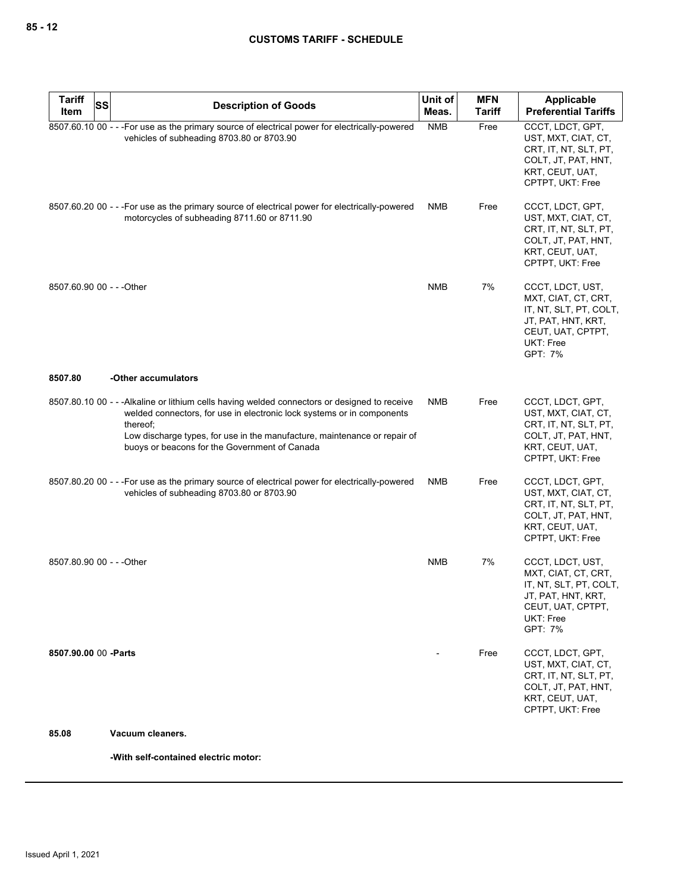| <b>Tariff</b>             | <b>SS</b> |                                                                                                                                                                                                                                                                                                                   | Unit of    | <b>MFN</b>    | Applicable                                                                                                                           |
|---------------------------|-----------|-------------------------------------------------------------------------------------------------------------------------------------------------------------------------------------------------------------------------------------------------------------------------------------------------------------------|------------|---------------|--------------------------------------------------------------------------------------------------------------------------------------|
| Item                      |           | <b>Description of Goods</b>                                                                                                                                                                                                                                                                                       | Meas.      | <b>Tariff</b> | <b>Preferential Tariffs</b>                                                                                                          |
|                           |           | 8507.60.10 00 - - - For use as the primary source of electrical power for electrically-powered<br>vehicles of subheading 8703.80 or 8703.90                                                                                                                                                                       | <b>NMB</b> | Free          | CCCT, LDCT, GPT,<br>UST, MXT, CIAT, CT,<br>CRT, IT, NT, SLT, PT,<br>COLT, JT, PAT, HNT,<br>KRT, CEUT, UAT,<br>CPTPT, UKT: Free       |
|                           |           | 8507.60.20 00 - - - For use as the primary source of electrical power for electrically-powered<br>motorcycles of subheading 8711.60 or 8711.90                                                                                                                                                                    | <b>NMB</b> | Free          | CCCT, LDCT, GPT,<br>UST, MXT, CIAT, CT,<br>CRT, IT, NT, SLT, PT,<br>COLT, JT, PAT, HNT,<br>KRT, CEUT, UAT,<br>CPTPT, UKT: Free       |
| 8507.60.90 00 - - - Other |           |                                                                                                                                                                                                                                                                                                                   | <b>NMB</b> | 7%            | CCCT, LDCT, UST,<br>MXT, CIAT, CT, CRT,<br>IT, NT, SLT, PT, COLT,<br>JT, PAT, HNT, KRT,<br>CEUT, UAT, CPTPT,<br>UKT: Free<br>GPT: 7% |
| 8507.80                   |           | -Other accumulators                                                                                                                                                                                                                                                                                               |            |               |                                                                                                                                      |
|                           |           | 8507.80.10 00 - - - Alkaline or lithium cells having welded connectors or designed to receive<br>welded connectors, for use in electronic lock systems or in components<br>thereof;<br>Low discharge types, for use in the manufacture, maintenance or repair of<br>buoys or beacons for the Government of Canada | NMB        | Free          | CCCT, LDCT, GPT,<br>UST, MXT, CIAT, CT,<br>CRT, IT, NT, SLT, PT,<br>COLT, JT, PAT, HNT,<br>KRT, CEUT, UAT,<br>CPTPT, UKT: Free       |
|                           |           | 8507.80.20 00 - - - For use as the primary source of electrical power for electrically-powered<br>vehicles of subheading 8703.80 or 8703.90                                                                                                                                                                       | NMB        | Free          | CCCT, LDCT, GPT,<br>UST, MXT, CIAT, CT,<br>CRT, IT, NT, SLT, PT,<br>COLT, JT, PAT, HNT,<br>KRT, CEUT, UAT,<br>CPTPT, UKT: Free       |
| 8507.80.90 00 - - - Other |           |                                                                                                                                                                                                                                                                                                                   | <b>NMB</b> | 7%            | CCCT, LDCT, UST,<br>MXT, CIAT, CT, CRT,<br>IT, NT, SLT, PT, COLT,<br>JT, PAT, HNT, KRT,<br>CEUT, UAT, CPTPT,<br>UKT: Free<br>GPT: 7% |
| 8507.90.00 00 -Parts      |           |                                                                                                                                                                                                                                                                                                                   |            | Free          | CCCT, LDCT, GPT,<br>UST, MXT, CIAT, CT,<br>CRT, IT, NT, SLT, PT,<br>COLT, JT, PAT, HNT,<br>KRT, CEUT, UAT,<br>CPTPT, UKT: Free       |

## **85.08 Vacuum cleaners.**

**-With self-contained electric motor:**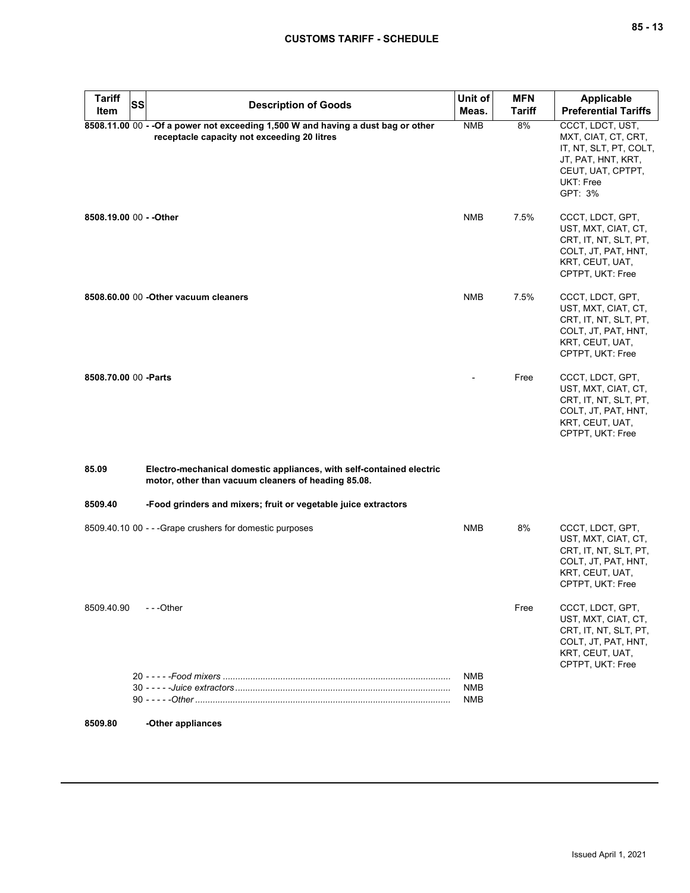| <b>Tariff</b><br>Item   | <b>SS</b> | <b>Description of Goods</b>                                                                                                      | Unit of<br>Meas.         | <b>MFN</b><br>Tariff | <b>Applicable</b><br><b>Preferential Tariffs</b>                                                                                     |
|-------------------------|-----------|----------------------------------------------------------------------------------------------------------------------------------|--------------------------|----------------------|--------------------------------------------------------------------------------------------------------------------------------------|
|                         |           | 8508.11.00 00 - - Of a power not exceeding 1,500 W and having a dust bag or other<br>receptacle capacity not exceeding 20 litres | <b>NMB</b>               | 8%                   | CCCT, LDCT, UST,<br>MXT, CIAT, CT, CRT,<br>IT, NT, SLT, PT, COLT,<br>JT, PAT, HNT, KRT,<br>CEUT, UAT, CPTPT,<br>UKT: Free<br>GPT: 3% |
| 8508.19.00 00 - - Other |           |                                                                                                                                  | <b>NMB</b>               | 7.5%                 | CCCT, LDCT, GPT,<br>UST, MXT, CIAT, CT,<br>CRT, IT, NT, SLT, PT,<br>COLT, JT, PAT, HNT,<br>KRT, CEUT, UAT,<br>CPTPT, UKT: Free       |
|                         |           | 8508.60.00 00 - Other vacuum cleaners                                                                                            | <b>NMB</b>               | 7.5%                 | CCCT, LDCT, GPT,<br>UST, MXT, CIAT, CT,<br>CRT, IT, NT, SLT, PT,<br>COLT, JT, PAT, HNT,<br>KRT, CEUT, UAT,<br>CPTPT, UKT: Free       |
| 8508.70.00 00 - Parts   |           |                                                                                                                                  |                          | Free                 | CCCT, LDCT, GPT,<br>UST, MXT, CIAT, CT,<br>CRT, IT, NT, SLT, PT,<br>COLT, JT, PAT, HNT,<br>KRT, CEUT, UAT,<br>CPTPT, UKT: Free       |
| 85.09                   |           | Electro-mechanical domestic appliances, with self-contained electric<br>motor, other than vacuum cleaners of heading 85.08.      |                          |                      |                                                                                                                                      |
| 8509.40                 |           | -Food grinders and mixers; fruit or vegetable juice extractors                                                                   |                          |                      |                                                                                                                                      |
|                         |           | 8509.40.10 00 - - - Grape crushers for domestic purposes                                                                         | <b>NMB</b>               | 8%                   | CCCT, LDCT, GPT,<br>UST, MXT, CIAT, CT,<br>CRT, IT, NT, SLT, PT,<br>COLT, JT, PAT, HNT,<br>KRT, CEUT, UAT,<br>CPTPT, UKT: Free       |
| 8509.40.90              |           | ---Other                                                                                                                         |                          | Free                 | CCCT, LDCT, GPT,<br>UST, MXT, CIAT, CT,<br>CRT, IT, NT, SLT, PT,<br>COLT, JT, PAT, HNT,<br>KRT, CEUT, UAT,<br>CPTPT, UKT: Free       |
|                         |           |                                                                                                                                  | NMB<br>NMB<br><b>NMB</b> |                      |                                                                                                                                      |
| 8509.80                 |           | -Other appliances                                                                                                                |                          |                      |                                                                                                                                      |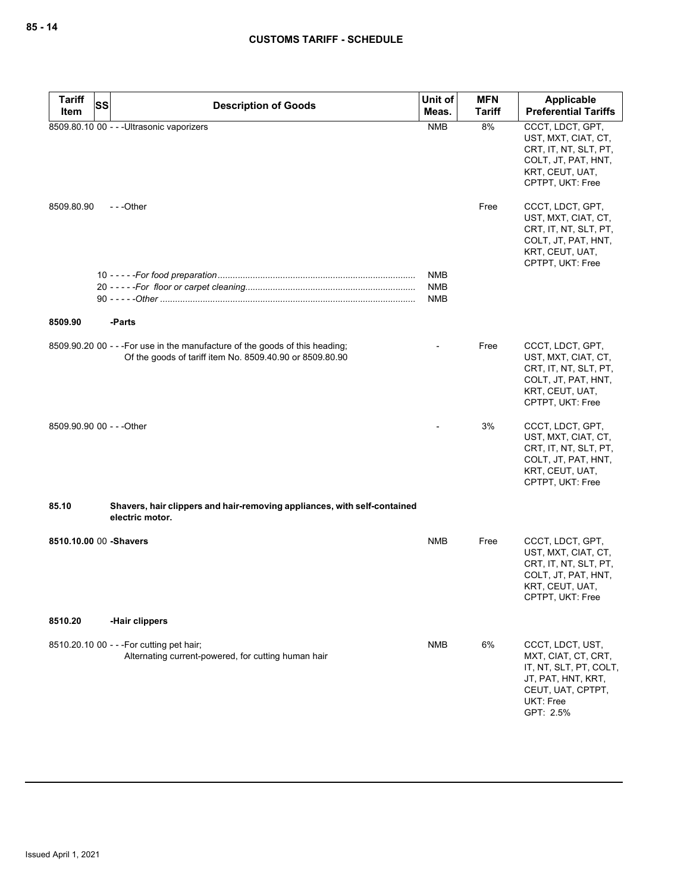| <b>Tariff</b> | <b>Description of Goods</b>                                                                                                              | Unit of           | <b>MFN</b>    | <b>Applicable</b>                                                                                                                      |
|---------------|------------------------------------------------------------------------------------------------------------------------------------------|-------------------|---------------|----------------------------------------------------------------------------------------------------------------------------------------|
| Item          | <b>SS</b>                                                                                                                                | Meas.             | <b>Tariff</b> | <b>Preferential Tariffs</b>                                                                                                            |
|               | 8509.80.10 00 - - - Ultrasonic vaporizers                                                                                                | <b>NMB</b>        | 8%            | CCCT, LDCT, GPT,<br>UST, MXT, CIAT, CT,<br>CRT, IT, NT, SLT, PT,<br>COLT, JT, PAT, HNT,<br>KRT, CEUT, UAT,<br>CPTPT, UKT: Free         |
| 8509.80.90    | ---Other                                                                                                                                 |                   | Free          | CCCT, LDCT, GPT,<br>UST, MXT, CIAT, CT,<br>CRT, IT, NT, SLT, PT,<br>COLT, JT, PAT, HNT,<br>KRT, CEUT, UAT,<br>CPTPT, UKT: Free         |
|               |                                                                                                                                          | <b>NMB</b>        |               |                                                                                                                                        |
|               |                                                                                                                                          | <b>NMB</b><br>NMB |               |                                                                                                                                        |
|               |                                                                                                                                          |                   |               |                                                                                                                                        |
| 8509.90       | -Parts                                                                                                                                   |                   |               |                                                                                                                                        |
|               | 8509.90.20 00 - - - For use in the manufacture of the goods of this heading;<br>Of the goods of tariff item No. 8509.40.90 or 8509.80.90 |                   | Free          | CCCT, LDCT, GPT,<br>UST, MXT, CIAT, CT,<br>CRT, IT, NT, SLT, PT,<br>COLT, JT, PAT, HNT,<br>KRT, CEUT, UAT,<br>CPTPT, UKT: Free         |
|               | 8509.90.90 00 - - - Other                                                                                                                |                   | 3%            | CCCT, LDCT, GPT,<br>UST, MXT, CIAT, CT,<br>CRT, IT, NT, SLT, PT,<br>COLT, JT, PAT, HNT,<br>KRT, CEUT, UAT,<br>CPTPT, UKT: Free         |
| 85.10         | Shavers, hair clippers and hair-removing appliances, with self-contained<br>electric motor.                                              |                   |               |                                                                                                                                        |
|               | 8510.10.00 00 -Shavers                                                                                                                   | <b>NMB</b>        | Free          | CCCT, LDCT, GPT,<br>UST, MXT, CIAT, CT,<br>CRT, IT, NT, SLT, PT,<br>COLT, JT, PAT, HNT,<br>KRT, CEUT, UAT,<br>CPTPT, UKT: Free         |
| 8510.20       | -Hair clippers                                                                                                                           |                   |               |                                                                                                                                        |
|               | 8510.20.10 00 - - - For cutting pet hair;<br>Alternating current-powered, for cutting human hair                                         | <b>NMB</b>        | 6%            | CCCT, LDCT, UST,<br>MXT, CIAT, CT, CRT,<br>IT, NT, SLT, PT, COLT,<br>JT, PAT, HNT, KRT,<br>CEUT, UAT, CPTPT,<br>UKT: Free<br>GPT: 2.5% |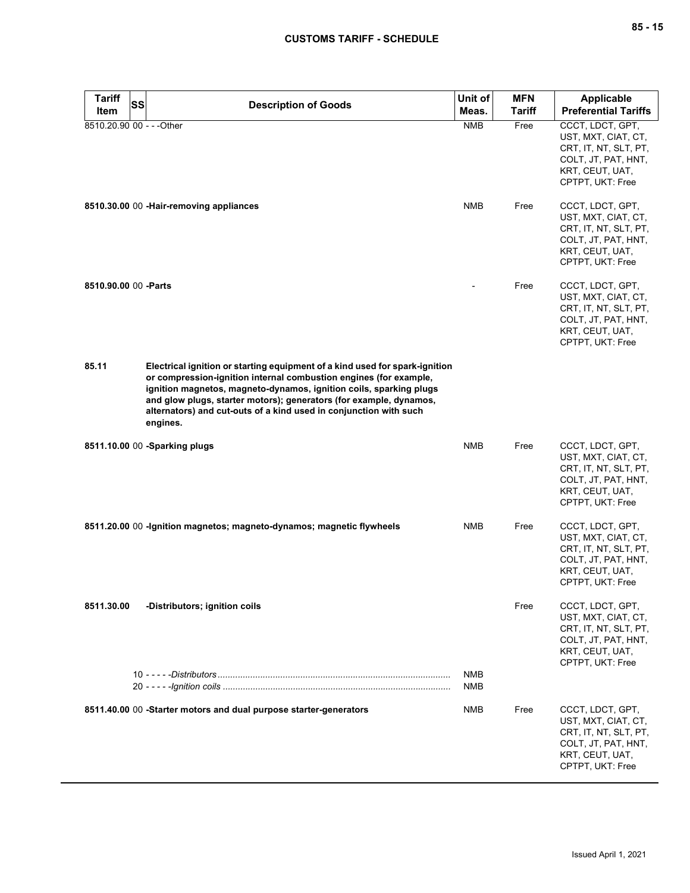| <b>Tariff</b><br>Item     | <b>SS</b> | <b>Description of Goods</b>                                                                                                                                                                                                                                                                                                                                                   | Unit of<br>Meas. | <b>MFN</b><br><b>Tariff</b> | Applicable<br><b>Preferential Tariffs</b>                                                                                      |
|---------------------------|-----------|-------------------------------------------------------------------------------------------------------------------------------------------------------------------------------------------------------------------------------------------------------------------------------------------------------------------------------------------------------------------------------|------------------|-----------------------------|--------------------------------------------------------------------------------------------------------------------------------|
| 8510.20.90 00 - - - Other |           |                                                                                                                                                                                                                                                                                                                                                                               | <b>NMB</b>       | Free                        | CCCT, LDCT, GPT,<br>UST, MXT, CIAT, CT,<br>CRT, IT, NT, SLT, PT,<br>COLT, JT, PAT, HNT,<br>KRT, CEUT, UAT,<br>CPTPT, UKT: Free |
|                           |           | 8510.30.00 00 - Hair-removing appliances                                                                                                                                                                                                                                                                                                                                      | <b>NMB</b>       | Free                        | CCCT, LDCT, GPT,<br>UST, MXT, CIAT, CT,<br>CRT, IT, NT, SLT, PT,<br>COLT, JT, PAT, HNT,<br>KRT, CEUT, UAT,<br>CPTPT, UKT: Free |
| 8510.90.00 00 - Parts     |           |                                                                                                                                                                                                                                                                                                                                                                               |                  | Free                        | CCCT, LDCT, GPT,<br>UST, MXT, CIAT, CT,<br>CRT, IT, NT, SLT, PT,<br>COLT, JT, PAT, HNT,<br>KRT, CEUT, UAT,<br>CPTPT, UKT: Free |
| 85.11                     |           | Electrical ignition or starting equipment of a kind used for spark-ignition<br>or compression-ignition internal combustion engines (for example,<br>ignition magnetos, magneto-dynamos, ignition coils, sparking plugs<br>and glow plugs, starter motors); generators (for example, dynamos,<br>alternators) and cut-outs of a kind used in conjunction with such<br>engines. |                  |                             |                                                                                                                                |
|                           |           | 8511.10.00 00 -Sparking plugs                                                                                                                                                                                                                                                                                                                                                 | <b>NMB</b>       | Free                        | CCCT, LDCT, GPT,<br>UST, MXT, CIAT, CT,<br>CRT, IT, NT, SLT, PT,<br>COLT, JT, PAT, HNT,<br>KRT, CEUT, UAT,<br>CPTPT, UKT: Free |
|                           |           | 8511.20.00 00 - Ignition magnetos; magneto-dynamos; magnetic flywheels                                                                                                                                                                                                                                                                                                        | <b>NMB</b>       | Free                        | CCCT, LDCT, GPT,<br>UST, MXT, CIAT, CT,<br>CRT, IT, NT, SLT, PT,<br>COLT, JT, PAT, HNT,<br>KRT, CEUT, UAT,<br>CPTPT, UKT: Free |
| 8511.30.00                |           | -Distributors; ignition coils                                                                                                                                                                                                                                                                                                                                                 | NMB              | Free                        | CCCT, LDCT, GPT,<br>UST, MXT, CIAT, CT,<br>CRT, IT, NT, SLT, PT,<br>COLT, JT, PAT, HNT,<br>KRT, CEUT, UAT,<br>CPTPT, UKT: Free |
|                           |           |                                                                                                                                                                                                                                                                                                                                                                               | NMB              |                             |                                                                                                                                |
|                           |           | 8511.40.00 00 -Starter motors and dual purpose starter-generators                                                                                                                                                                                                                                                                                                             | NMB              | Free                        | CCCT, LDCT, GPT,<br>UST, MXT, CIAT, CT,<br>CRT, IT, NT, SLT, PT,<br>COLT, JT, PAT, HNT,<br>KRT, CEUT, UAT,<br>CPTPT, UKT: Free |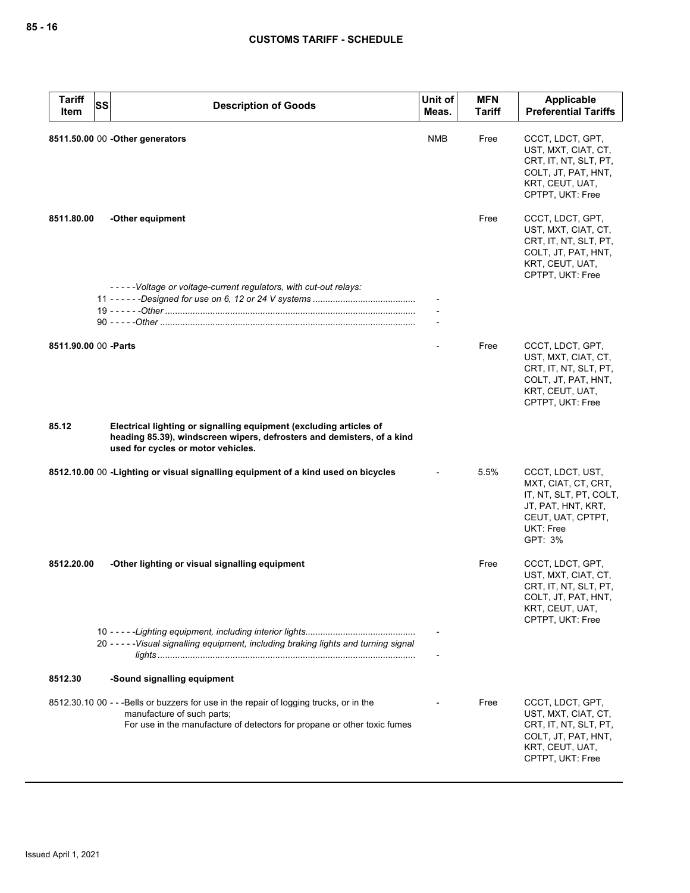| <b>Tariff</b><br>Item | <b>SS</b><br><b>Description of Goods</b>                                                                                                                                                          | Unit of<br>Meas. | <b>MFN</b><br><b>Tariff</b> | Applicable<br><b>Preferential Tariffs</b>                                                                                            |
|-----------------------|---------------------------------------------------------------------------------------------------------------------------------------------------------------------------------------------------|------------------|-----------------------------|--------------------------------------------------------------------------------------------------------------------------------------|
|                       | 8511.50.00 00 - Other generators                                                                                                                                                                  | <b>NMB</b>       | Free                        | CCCT, LDCT, GPT,<br>UST, MXT, CIAT, CT,<br>CRT, IT, NT, SLT, PT,<br>COLT, JT, PAT, HNT,<br>KRT, CEUT, UAT,<br>CPTPT, UKT: Free       |
| 8511.80.00            | -Other equipment                                                                                                                                                                                  |                  | Free                        | CCCT, LDCT, GPT,<br>UST, MXT, CIAT, CT,<br>CRT, IT, NT, SLT, PT,<br>COLT, JT, PAT, HNT,<br>KRT, CEUT, UAT,<br>CPTPT, UKT: Free       |
|                       | -----Voltage or voltage-current regulators, with cut-out relays:                                                                                                                                  |                  |                             |                                                                                                                                      |
|                       |                                                                                                                                                                                                   |                  |                             |                                                                                                                                      |
|                       |                                                                                                                                                                                                   |                  |                             |                                                                                                                                      |
|                       | 8511.90.00 00 -Parts                                                                                                                                                                              |                  | Free                        | CCCT, LDCT, GPT,<br>UST, MXT, CIAT, CT,<br>CRT, IT, NT, SLT, PT,<br>COLT, JT, PAT, HNT,<br>KRT, CEUT, UAT,<br>CPTPT, UKT: Free       |
| 85.12                 | Electrical lighting or signalling equipment (excluding articles of<br>heading 85.39), windscreen wipers, defrosters and demisters, of a kind<br>used for cycles or motor vehicles.                |                  |                             |                                                                                                                                      |
|                       | 8512.10.00 00 -Lighting or visual signalling equipment of a kind used on bicycles                                                                                                                 |                  | 5.5%                        | CCCT, LDCT, UST,<br>MXT, CIAT, CT, CRT,<br>IT, NT, SLT, PT, COLT,<br>JT, PAT, HNT, KRT,<br>CEUT, UAT, CPTPT,<br>UKT: Free<br>GPT: 3% |
| 8512.20.00            | -Other lighting or visual signalling equipment                                                                                                                                                    |                  | Free                        | CCCT, LDCT, GPT,<br>UST, MXT, CIAT, CT,<br>CRT, IT, NT, SLT, PT,<br>COLT, JT, PAT, HNT,<br>KRT, CEUT, UAT,<br>CPTPT, UKT: Free       |
|                       | 20 - - - - - Visual signalling equipment, including braking lights and turning signal                                                                                                             |                  |                             |                                                                                                                                      |
| 8512.30               | -Sound signalling equipment                                                                                                                                                                       |                  |                             |                                                                                                                                      |
|                       | 8512.30.10 00 - - - Bells or buzzers for use in the repair of logging trucks, or in the<br>manufacture of such parts;<br>For use in the manufacture of detectors for propane or other toxic fumes |                  | Free                        | CCCT, LDCT, GPT,<br>UST, MXT, CIAT, CT,<br>CRT, IT, NT, SLT, PT,<br>COLT, JT, PAT, HNT,<br>KRT, CEUT, UAT,<br>CPTPT, UKT: Free       |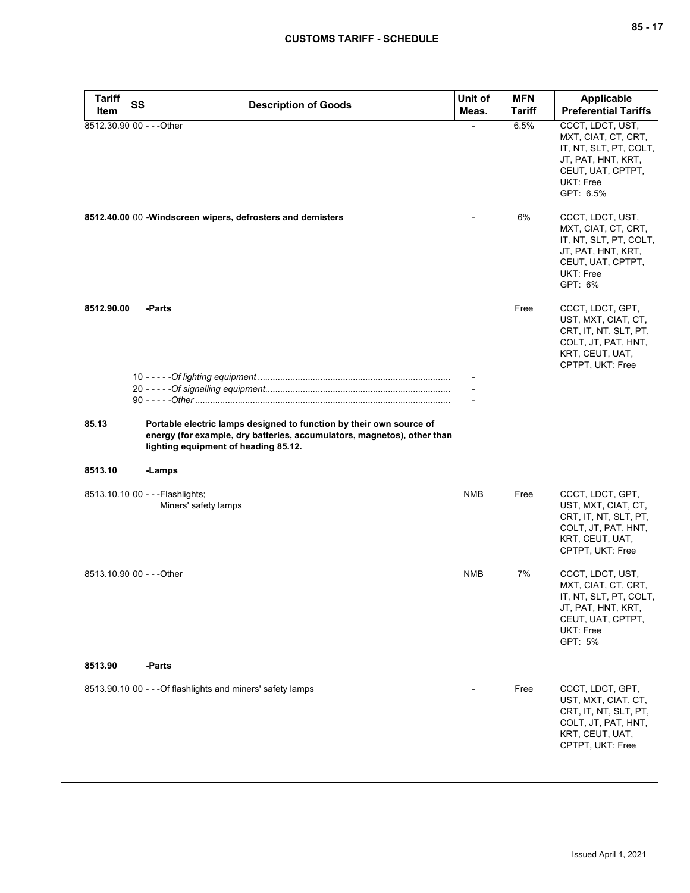| <b>Tariff</b>             | SS | <b>Description of Goods</b>                                                                                                                                                            | Unit of    | <b>MFN</b>    | <b>Applicable</b>                                                                                                                      |
|---------------------------|----|----------------------------------------------------------------------------------------------------------------------------------------------------------------------------------------|------------|---------------|----------------------------------------------------------------------------------------------------------------------------------------|
| Item                      |    |                                                                                                                                                                                        | Meas.      | <b>Tariff</b> | <b>Preferential Tariffs</b>                                                                                                            |
| 8512.30.90 00 - - - Other |    |                                                                                                                                                                                        |            | 6.5%          | CCCT, LDCT, UST,<br>MXT, CIAT, CT, CRT,<br>IT, NT, SLT, PT, COLT,<br>JT, PAT, HNT, KRT,<br>CEUT, UAT, CPTPT,<br>UKT: Free<br>GPT: 6.5% |
|                           |    | 8512.40.00 00 - Windscreen wipers, defrosters and demisters                                                                                                                            |            | 6%            | CCCT, LDCT, UST,<br>MXT, CIAT, CT, CRT,<br>IT, NT, SLT, PT, COLT,<br>JT, PAT, HNT, KRT,<br>CEUT, UAT, CPTPT,<br>UKT: Free<br>GPT: 6%   |
| 8512.90.00                |    | -Parts                                                                                                                                                                                 |            | Free          | CCCT, LDCT, GPT,<br>UST, MXT, CIAT, CT,<br>CRT, IT, NT, SLT, PT,<br>COLT, JT, PAT, HNT,<br>KRT, CEUT, UAT,<br>CPTPT, UKT: Free         |
|                           |    |                                                                                                                                                                                        |            |               |                                                                                                                                        |
| 85.13                     |    | Portable electric lamps designed to function by their own source of<br>energy (for example, dry batteries, accumulators, magnetos), other than<br>lighting equipment of heading 85.12. |            |               |                                                                                                                                        |
| 8513.10                   |    | -Lamps                                                                                                                                                                                 |            |               |                                                                                                                                        |
|                           |    | 8513.10.10 00 - - - Flashlights;<br>Miners' safety lamps                                                                                                                               | <b>NMB</b> | Free          | CCCT, LDCT, GPT,<br>UST, MXT, CIAT, CT,<br>CRT, IT, NT, SLT, PT,<br>COLT, JT, PAT, HNT,<br>KRT, CEUT, UAT,<br>CPTPT, UKT: Free         |
| 8513.10.90 00 - - - Other |    |                                                                                                                                                                                        | <b>NMB</b> | 7%            | CCCT, LDCT, UST,<br>MXT, CIAT, CT, CRT,<br>IT, NT, SLT, PT, COLT,<br>JT, PAT, HNT, KRT,<br>CEUT, UAT, CPTPT,<br>UKT: Free<br>GPT: 5%   |
| 8513.90                   |    | -Parts                                                                                                                                                                                 |            |               |                                                                                                                                        |
|                           |    | 8513.90.10 00 - - - Of flashlights and miners' safety lamps                                                                                                                            |            | Free          | CCCT, LDCT, GPT,<br>UST, MXT, CIAT, CT,<br>CRT, IT, NT, SLT, PT,<br>COLT, JT, PAT, HNT,<br>KRT, CEUT, UAT,<br>CPTPT, UKT: Free         |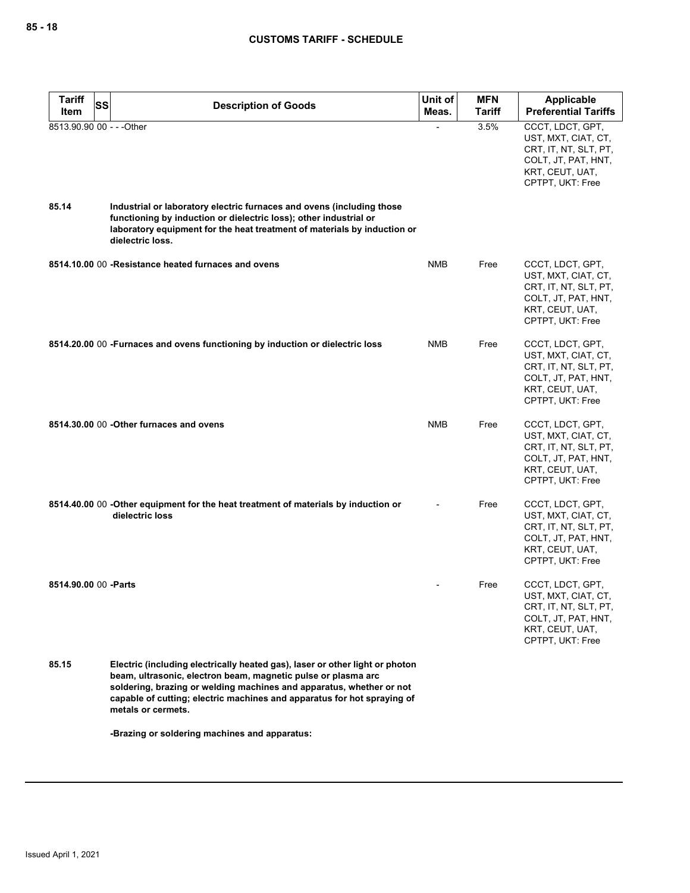| <b>Tariff</b><br><b>SS</b><br>Item | <b>Description of Goods</b>                                                                                                                                                                                                                                                                                            | Unit of<br>Meas. | <b>MFN</b><br>Tariff | Applicable<br><b>Preferential Tariffs</b>                                                                                      |
|------------------------------------|------------------------------------------------------------------------------------------------------------------------------------------------------------------------------------------------------------------------------------------------------------------------------------------------------------------------|------------------|----------------------|--------------------------------------------------------------------------------------------------------------------------------|
| 8513.90.90 00 - - - Other          |                                                                                                                                                                                                                                                                                                                        |                  | 3.5%                 | CCCT, LDCT, GPT,<br>UST, MXT, CIAT, CT,<br>CRT, IT, NT, SLT, PT,                                                               |
|                                    |                                                                                                                                                                                                                                                                                                                        |                  |                      | COLT, JT, PAT, HNT,<br>KRT, CEUT, UAT,<br>CPTPT, UKT: Free                                                                     |
| 85.14                              | Industrial or laboratory electric furnaces and ovens (including those<br>functioning by induction or dielectric loss); other industrial or<br>laboratory equipment for the heat treatment of materials by induction or<br>dielectric loss.                                                                             |                  |                      |                                                                                                                                |
|                                    | 8514.10.00 00 - Resistance heated furnaces and ovens                                                                                                                                                                                                                                                                   | <b>NMB</b>       | Free                 | CCCT, LDCT, GPT,<br>UST, MXT, CIAT, CT,<br>CRT, IT, NT, SLT, PT,<br>COLT, JT, PAT, HNT,<br>KRT, CEUT, UAT,<br>CPTPT, UKT: Free |
|                                    | 8514.20.00 00 - Furnaces and ovens functioning by induction or dielectric loss                                                                                                                                                                                                                                         | <b>NMB</b>       | Free                 | CCCT, LDCT, GPT,<br>UST, MXT, CIAT, CT,<br>CRT, IT, NT, SLT, PT,<br>COLT, JT, PAT, HNT,<br>KRT, CEUT, UAT,<br>CPTPT, UKT: Free |
|                                    | 8514.30.00 00 - Other furnaces and ovens                                                                                                                                                                                                                                                                               | <b>NMB</b>       | Free                 | CCCT, LDCT, GPT,<br>UST, MXT, CIAT, CT,<br>CRT, IT, NT, SLT, PT,<br>COLT, JT, PAT, HNT,<br>KRT, CEUT, UAT,<br>CPTPT, UKT: Free |
|                                    | 8514.40.00 00 -Other equipment for the heat treatment of materials by induction or<br>dielectric loss                                                                                                                                                                                                                  |                  | Free                 | CCCT, LDCT, GPT,<br>UST, MXT, CIAT, CT,<br>CRT, IT, NT, SLT, PT,<br>COLT, JT, PAT, HNT,<br>KRT, CEUT, UAT,<br>CPTPT, UKT: Free |
| 8514.90.00 00 - Parts              |                                                                                                                                                                                                                                                                                                                        |                  | Free                 | CCCT, LDCT, GPT,<br>UST, MXT, CIAT, CT,<br>CRT, IT, NT, SLT, PT,<br>COLT, JT, PAT, HNT,<br>KRT, CEUT, UAT,<br>CPTPT, UKT: Free |
| 85.15                              | Electric (including electrically heated gas), laser or other light or photon<br>beam, ultrasonic, electron beam, magnetic pulse or plasma arc<br>soldering, brazing or welding machines and apparatus, whether or not<br>capable of cutting; electric machines and apparatus for hot spraying of<br>metals or cermets. |                  |                      |                                                                                                                                |
|                                    | -Brazing or soldering machines and apparatus:                                                                                                                                                                                                                                                                          |                  |                      |                                                                                                                                |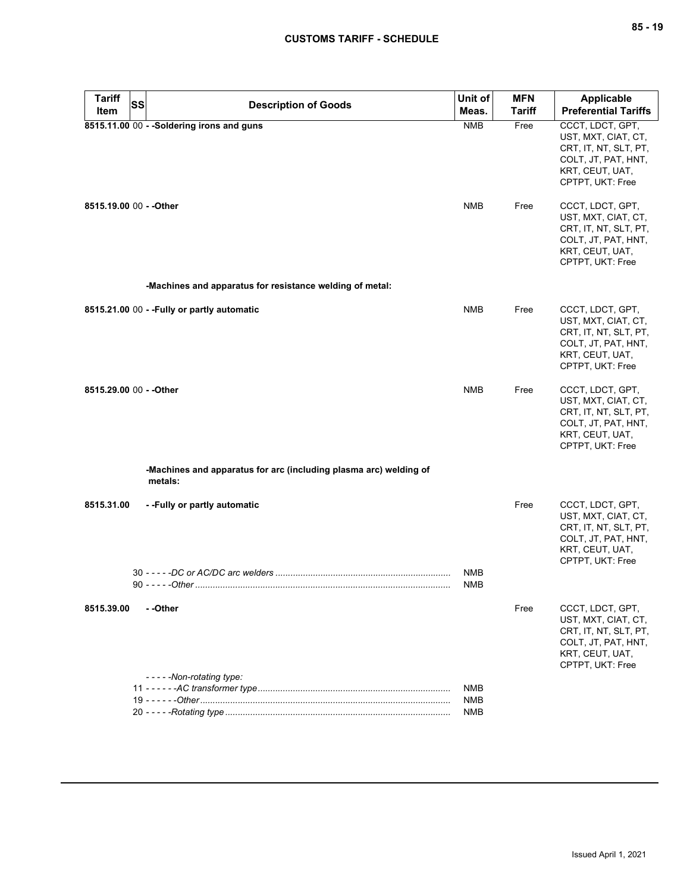| <b>Tariff</b>           |           |                                                                              | Unit of           | <b>MFN</b> | Applicable                                                                                                                     |
|-------------------------|-----------|------------------------------------------------------------------------------|-------------------|------------|--------------------------------------------------------------------------------------------------------------------------------|
| ltem                    | <b>SS</b> | <b>Description of Goods</b>                                                  | Meas.             | Tariff     | <b>Preferential Tariffs</b>                                                                                                    |
|                         |           | 8515.11.00 00 - - Soldering irons and guns                                   | <b>NMB</b>        | Free       | CCCT, LDCT, GPT,<br>UST, MXT, CIAT, CT,<br>CRT, IT, NT, SLT, PT,<br>COLT, JT, PAT, HNT,<br>KRT, CEUT, UAT,<br>CPTPT, UKT: Free |
| 8515.19.00 00 - - Other |           |                                                                              | <b>NMB</b>        | Free       | CCCT, LDCT, GPT,<br>UST, MXT, CIAT, CT,<br>CRT, IT, NT, SLT, PT,<br>COLT, JT, PAT, HNT,<br>KRT, CEUT, UAT,<br>CPTPT, UKT: Free |
|                         |           | -Machines and apparatus for resistance welding of metal:                     |                   |            |                                                                                                                                |
|                         |           | 8515.21.00 00 - - Fully or partly automatic                                  | <b>NMB</b>        | Free       | CCCT, LDCT, GPT,<br>UST, MXT, CIAT, CT,<br>CRT, IT, NT, SLT, PT,<br>COLT, JT, PAT, HNT,<br>KRT, CEUT, UAT,<br>CPTPT, UKT: Free |
| 8515.29.00 00 - - Other |           |                                                                              | <b>NMB</b>        | Free       | CCCT, LDCT, GPT,<br>UST, MXT, CIAT, CT,<br>CRT, IT, NT, SLT, PT,<br>COLT, JT, PAT, HNT,<br>KRT, CEUT, UAT,<br>CPTPT, UKT: Free |
|                         |           | -Machines and apparatus for arc (including plasma arc) welding of<br>metals: |                   |            |                                                                                                                                |
| 8515.31.00              |           | --Fully or partly automatic                                                  |                   | Free       | CCCT, LDCT, GPT,<br>UST, MXT, CIAT, CT,<br>CRT, IT, NT, SLT, PT,<br>COLT, JT, PAT, HNT,<br>KRT, CEUT, UAT,<br>CPTPT, UKT: Free |
|                         |           |                                                                              | NMB<br>NMB        |            |                                                                                                                                |
| 8515.39.00              |           | - -Other<br>-----Non-rotating type:                                          |                   | Free       | CCCT, LDCT, GPT,<br>UST, MXT, CIAT, CT,<br>CRT, IT, NT, SLT, PT,<br>COLT, JT, PAT, HNT,<br>KRT, CEUT, UAT,<br>CPTPT, UKT: Free |
|                         |           |                                                                              | NMB               |            |                                                                                                                                |
|                         |           |                                                                              | NMB<br><b>NMB</b> |            |                                                                                                                                |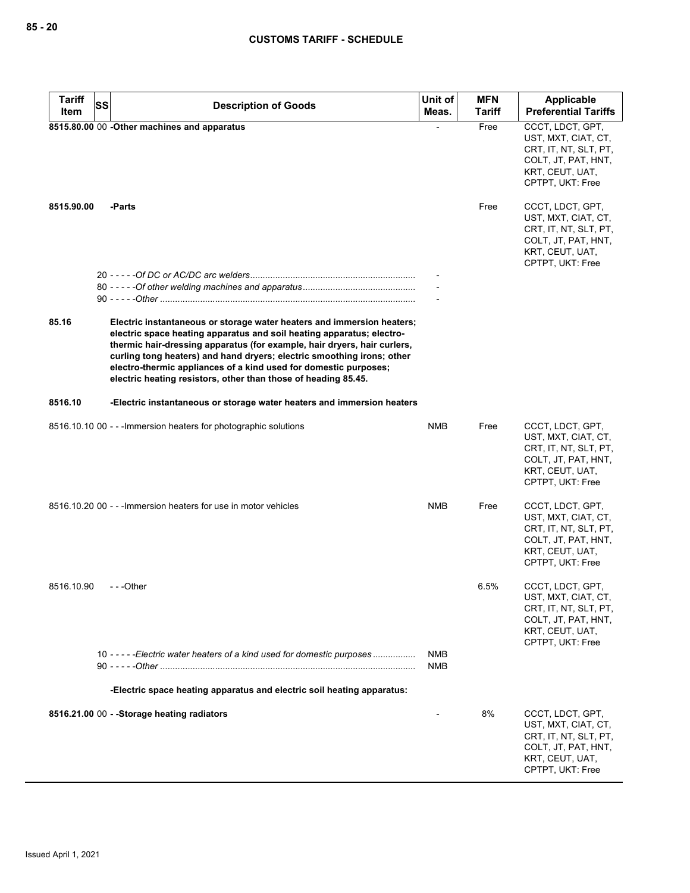| <b>Tariff</b> | <b>SS</b><br><b>Description of Goods</b>                                                                                                                                                                                                                                                                                                                                                                                                    | Unit of    | <b>MFN</b>    | Applicable                                                                                                                     |
|---------------|---------------------------------------------------------------------------------------------------------------------------------------------------------------------------------------------------------------------------------------------------------------------------------------------------------------------------------------------------------------------------------------------------------------------------------------------|------------|---------------|--------------------------------------------------------------------------------------------------------------------------------|
| Item          |                                                                                                                                                                                                                                                                                                                                                                                                                                             | Meas.      | <b>Tariff</b> | <b>Preferential Tariffs</b>                                                                                                    |
|               | 8515.80.00 00 - Other machines and apparatus                                                                                                                                                                                                                                                                                                                                                                                                |            | Free          | CCCT, LDCT, GPT,<br>UST, MXT, CIAT, CT,<br>CRT, IT, NT, SLT, PT,<br>COLT, JT, PAT, HNT,<br>KRT, CEUT, UAT,<br>CPTPT, UKT: Free |
| 8515.90.00    | -Parts                                                                                                                                                                                                                                                                                                                                                                                                                                      |            | Free          | CCCT, LDCT, GPT,<br>UST, MXT, CIAT, CT,<br>CRT, IT, NT, SLT, PT,<br>COLT, JT, PAT, HNT,<br>KRT, CEUT, UAT,<br>CPTPT, UKT: Free |
|               |                                                                                                                                                                                                                                                                                                                                                                                                                                             |            |               |                                                                                                                                |
|               |                                                                                                                                                                                                                                                                                                                                                                                                                                             |            |               |                                                                                                                                |
|               |                                                                                                                                                                                                                                                                                                                                                                                                                                             |            |               |                                                                                                                                |
| 85.16         | Electric instantaneous or storage water heaters and immersion heaters;<br>electric space heating apparatus and soil heating apparatus; electro-<br>thermic hair-dressing apparatus (for example, hair dryers, hair curlers,<br>curling tong heaters) and hand dryers; electric smoothing irons; other<br>electro-thermic appliances of a kind used for domestic purposes;<br>electric heating resistors, other than those of heading 85.45. |            |               |                                                                                                                                |
| 8516.10       | -Electric instantaneous or storage water heaters and immersion heaters                                                                                                                                                                                                                                                                                                                                                                      |            |               |                                                                                                                                |
|               | 8516.10.10 00 - - - Immersion heaters for photographic solutions                                                                                                                                                                                                                                                                                                                                                                            | <b>NMB</b> | Free          | CCCT, LDCT, GPT,<br>UST, MXT, CIAT, CT,<br>CRT, IT, NT, SLT, PT,<br>COLT, JT, PAT, HNT,<br>KRT, CEUT, UAT,<br>CPTPT, UKT: Free |
|               | 8516.10.20 00 - - - Immersion heaters for use in motor vehicles                                                                                                                                                                                                                                                                                                                                                                             | NMB        | Free          | CCCT, LDCT, GPT,<br>UST, MXT, CIAT, CT,<br>CRT, IT, NT, SLT, PT,<br>COLT, JT, PAT, HNT,<br>KRT, CEUT, UAT,<br>CPTPT, UKT: Free |
| 8516.10.90    | ---Other                                                                                                                                                                                                                                                                                                                                                                                                                                    |            | 6.5%          | CCCT, LDCT, GPT,<br>UST, MXT, CIAT, CT,<br>CRT, IT, NT, SLT, PT,<br>COLT, JT, PAT, HNT,<br>KRT, CEUT, UAT,<br>CPTPT, UKT: Free |
|               | 10 - - - - - Electric water heaters of a kind used for domestic purposes                                                                                                                                                                                                                                                                                                                                                                    | NMB        |               |                                                                                                                                |
|               |                                                                                                                                                                                                                                                                                                                                                                                                                                             | <b>NMB</b> |               |                                                                                                                                |
|               | -Electric space heating apparatus and electric soil heating apparatus:                                                                                                                                                                                                                                                                                                                                                                      |            |               |                                                                                                                                |
|               |                                                                                                                                                                                                                                                                                                                                                                                                                                             |            |               |                                                                                                                                |
|               | 8516.21.00 00 - - Storage heating radiators                                                                                                                                                                                                                                                                                                                                                                                                 |            | 8%            | CCCT, LDCT, GPT,<br>UST, MXT, CIAT, CT,<br>CRT, IT, NT, SLT, PT,<br>COLT, JT, PAT, HNT,<br>KRT, CEUT, UAT,<br>CPTPT, UKT: Free |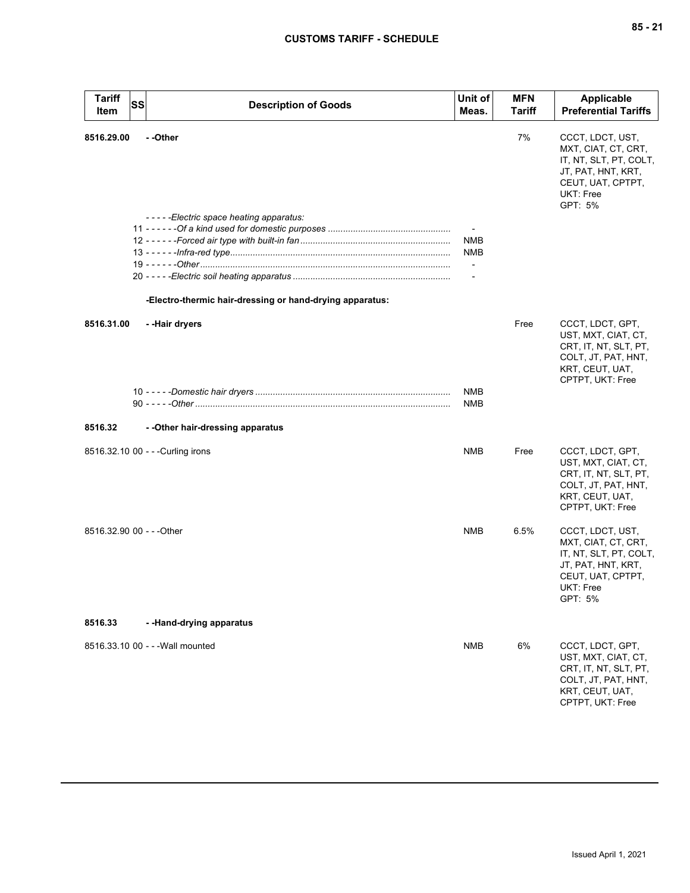| <b>Tariff</b><br><b>SS</b><br>Item | <b>Description of Goods</b>                              | Unit of<br>Meas.         | <b>MFN</b><br><b>Tariff</b> | Applicable<br><b>Preferential Tariffs</b>                                                                                            |
|------------------------------------|----------------------------------------------------------|--------------------------|-----------------------------|--------------------------------------------------------------------------------------------------------------------------------------|
| 8516.29.00                         | - -Other<br>-----Electric space heating apparatus:       | <b>NMB</b>               | 7%                          | CCCT, LDCT, UST,<br>MXT, CIAT, CT, CRT,<br>IT, NT, SLT, PT, COLT,<br>JT, PAT, HNT, KRT,<br>CEUT, UAT, CPTPT,<br>UKT: Free<br>GPT: 5% |
|                                    |                                                          | <b>NMB</b>               |                             |                                                                                                                                      |
|                                    |                                                          | $\blacksquare$           |                             |                                                                                                                                      |
|                                    |                                                          | $\overline{\phantom{a}}$ |                             |                                                                                                                                      |
|                                    | -Electro-thermic hair-dressing or hand-drying apparatus: |                          |                             |                                                                                                                                      |
| 8516.31.00                         | --Hair dryers                                            |                          | Free                        | CCCT, LDCT, GPT,<br>UST, MXT, CIAT, CT,<br>CRT, IT, NT, SLT, PT,<br>COLT, JT, PAT, HNT,<br>KRT, CEUT, UAT,<br>CPTPT, UKT: Free       |
|                                    |                                                          | <b>NMB</b>               |                             |                                                                                                                                      |
|                                    |                                                          | <b>NMB</b>               |                             |                                                                                                                                      |
| 8516.32                            | - - Other hair-dressing apparatus                        |                          |                             |                                                                                                                                      |
| 8516.32.10 00 - - - Curling irons  |                                                          | NMB                      | Free                        | CCCT, LDCT, GPT,<br>UST, MXT, CIAT, CT,<br>CRT, IT, NT, SLT, PT,<br>COLT, JT, PAT, HNT,<br>KRT, CEUT, UAT,<br>CPTPT, UKT: Free       |
| 8516.32.90 00 - - - Other          |                                                          | NMB                      | 6.5%                        | CCCT, LDCT, UST,<br>MXT, CIAT, CT, CRT,<br>IT, NT, SLT, PT, COLT,<br>JT, PAT, HNT, KRT,<br>CEUT, UAT, CPTPT,<br>UKT: Free<br>GPT: 5% |
| 8516.33                            | --Hand-drying apparatus                                  |                          |                             |                                                                                                                                      |
|                                    | 8516.33.10 00 - - - Wall mounted                         | NMB                      | 6%                          | CCCT, LDCT, GPT,<br>UST, MXT, CIAT, CT,<br>CRT, IT, NT, SLT, PT,<br>COLT, JT, PAT, HNT,<br>KRT, CEUT, UAT,<br>CPTPT, UKT: Free       |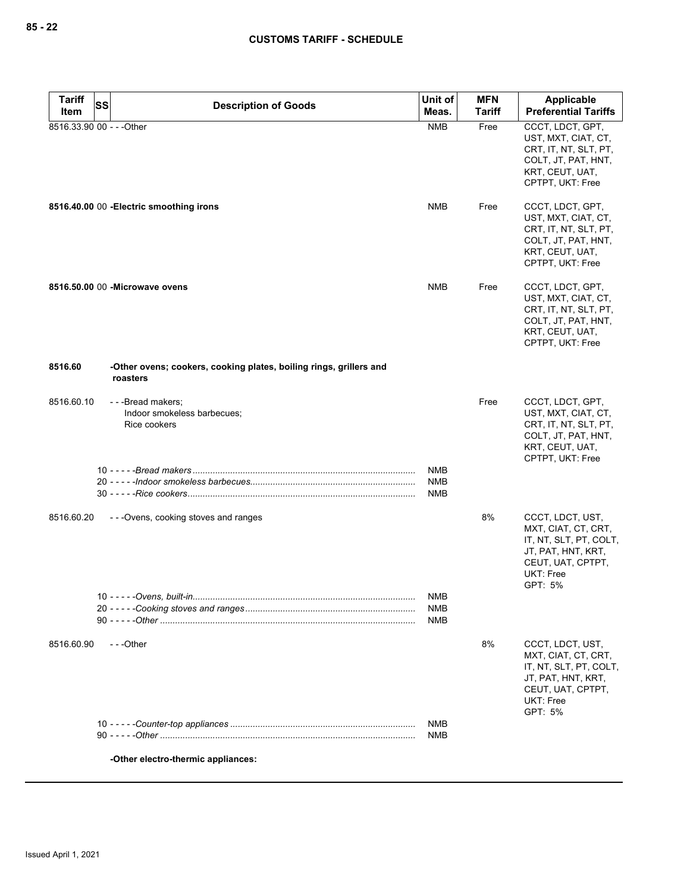| <b>Tariff</b>             | <b>SS</b><br><b>Description of Goods</b>                                       | Unit of                                | <b>MFN</b>    | Applicable                                                                                                                           |
|---------------------------|--------------------------------------------------------------------------------|----------------------------------------|---------------|--------------------------------------------------------------------------------------------------------------------------------------|
| Item                      |                                                                                | Meas.                                  | <b>Tariff</b> | <b>Preferential Tariffs</b>                                                                                                          |
| 8516.33.90 00 - - - Other |                                                                                | <b>NMB</b>                             | Free          | CCCT, LDCT, GPT,<br>UST, MXT, CIAT, CT,<br>CRT, IT, NT, SLT, PT,<br>COLT, JT, PAT, HNT,<br>KRT, CEUT, UAT,<br>CPTPT, UKT: Free       |
|                           | 8516.40.00 00 - Electric smoothing irons                                       | NMB                                    | Free          | CCCT, LDCT, GPT,<br>UST, MXT, CIAT, CT,<br>CRT, IT, NT, SLT, PT,<br>COLT, JT, PAT, HNT,<br>KRT, CEUT, UAT,<br>CPTPT, UKT: Free       |
|                           | 8516.50.00 00 - Microwave ovens                                                | <b>NMB</b>                             | Free          | CCCT, LDCT, GPT,<br>UST, MXT, CIAT, CT,<br>CRT, IT, NT, SLT, PT,<br>COLT, JT, PAT, HNT,<br>KRT, CEUT, UAT,<br>CPTPT, UKT: Free       |
| 8516.60                   | -Other ovens; cookers, cooking plates, boiling rings, grillers and<br>roasters |                                        |               |                                                                                                                                      |
| 8516.60.10                | ---Bread makers;<br>Indoor smokeless barbecues;<br>Rice cookers                |                                        | Free          | CCCT, LDCT, GPT,<br>UST, MXT, CIAT, CT,<br>CRT, IT, NT, SLT, PT,<br>COLT, JT, PAT, HNT,<br>KRT, CEUT, UAT,<br>CPTPT, UKT: Free       |
|                           |                                                                                | <b>NMB</b><br><b>NMB</b>               |               |                                                                                                                                      |
|                           |                                                                                | <b>NMB</b>                             |               |                                                                                                                                      |
| 8516.60.20                | ---Ovens, cooking stoves and ranges                                            |                                        | 8%            | CCCT, LDCT, UST,<br>MXT, CIAT, CT, CRT,<br>IT, NT, SLT, PT, COLT,<br>JT, PAT, HNT, KRT,<br>CEUT, UAT, CPTPT,<br>UKT: Free<br>GPT: 5% |
|                           | 10 - - - - - Ovens, built-in                                                   | <b>NMB</b><br><b>NMB</b><br><b>NMB</b> |               |                                                                                                                                      |
| 8516.60.90                | ---Other                                                                       |                                        | 8%            | CCCT, LDCT, UST,<br>MXT, CIAT, CT, CRT,<br>IT, NT, SLT, PT, COLT,<br>JT, PAT, HNT, KRT,<br>CEUT, UAT, CPTPT,<br>UKT: Free<br>GPT: 5% |
|                           |                                                                                | <b>NMB</b><br><b>NMB</b>               |               |                                                                                                                                      |
|                           | -Other electro-thermic appliances:                                             |                                        |               |                                                                                                                                      |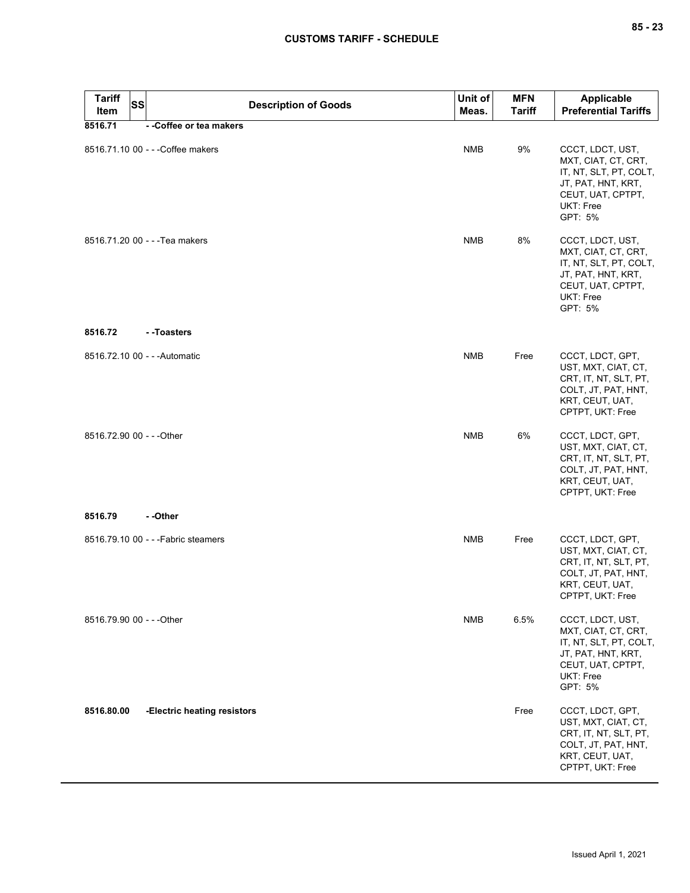| <b>Tariff</b><br>Item     | <b>SS</b> | <b>Description of Goods</b>         | Unit of<br>Meas. | <b>MFN</b><br><b>Tariff</b> | <b>Applicable</b><br><b>Preferential Tariffs</b>                                                                                     |
|---------------------------|-----------|-------------------------------------|------------------|-----------------------------|--------------------------------------------------------------------------------------------------------------------------------------|
| 8516.71                   |           | --Coffee or tea makers              |                  |                             |                                                                                                                                      |
|                           |           | 8516.71.10 00 - - - Coffee makers   | <b>NMB</b>       | 9%                          | CCCT, LDCT, UST,<br>MXT, CIAT, CT, CRT,<br>IT, NT, SLT, PT, COLT,<br>JT, PAT, HNT, KRT,<br>CEUT, UAT, CPTPT,<br>UKT: Free<br>GPT: 5% |
|                           |           | 8516.71.20 00 - - - Tea makers      | <b>NMB</b>       | 8%                          | CCCT, LDCT, UST,<br>MXT, CIAT, CT, CRT,<br>IT, NT, SLT, PT, COLT,<br>JT, PAT, HNT, KRT,<br>CEUT, UAT, CPTPT,<br>UKT: Free<br>GPT: 5% |
| 8516.72                   |           | - -Toasters                         |                  |                             |                                                                                                                                      |
|                           |           | 8516.72.10 00 - - - Automatic       | NMB              | Free                        | CCCT, LDCT, GPT,<br>UST, MXT, CIAT, CT,<br>CRT, IT, NT, SLT, PT,<br>COLT, JT, PAT, HNT,<br>KRT, CEUT, UAT,<br>CPTPT, UKT: Free       |
| 8516.72.90 00 - - - Other |           |                                     | <b>NMB</b>       | 6%                          | CCCT, LDCT, GPT,<br>UST, MXT, CIAT, CT,<br>CRT, IT, NT, SLT, PT,<br>COLT, JT, PAT, HNT,<br>KRT, CEUT, UAT,<br>CPTPT, UKT: Free       |
| 8516.79                   |           | - -Other                            |                  |                             |                                                                                                                                      |
|                           |           | 8516.79.10 00 - - - Fabric steamers | <b>NMB</b>       | Free                        | CCCT, LDCT, GPT,<br>UST, MXT, CIAT, CT,<br>CRT, IT, NT, SLT, PT,<br>COLT, JT, PAT, HNT,<br>KRT, CEUT, UAT,<br>CPTPT, UKT: Free       |
| 8516.79.90 00 - - - Other |           |                                     | NMB              | 6.5%                        | CCCT, LDCT, UST,<br>MXT, CIAT, CT, CRT,<br>IT, NT, SLT, PT, COLT,<br>JT, PAT, HNT, KRT,<br>CEUT, UAT, CPTPT,<br>UKT: Free<br>GPT: 5% |
| 8516.80.00                |           | -Electric heating resistors         |                  | Free                        | CCCT, LDCT, GPT,<br>UST, MXT, CIAT, CT,<br>CRT, IT, NT, SLT, PT,<br>COLT, JT, PAT, HNT,<br>KRT, CEUT, UAT,<br>CPTPT, UKT: Free       |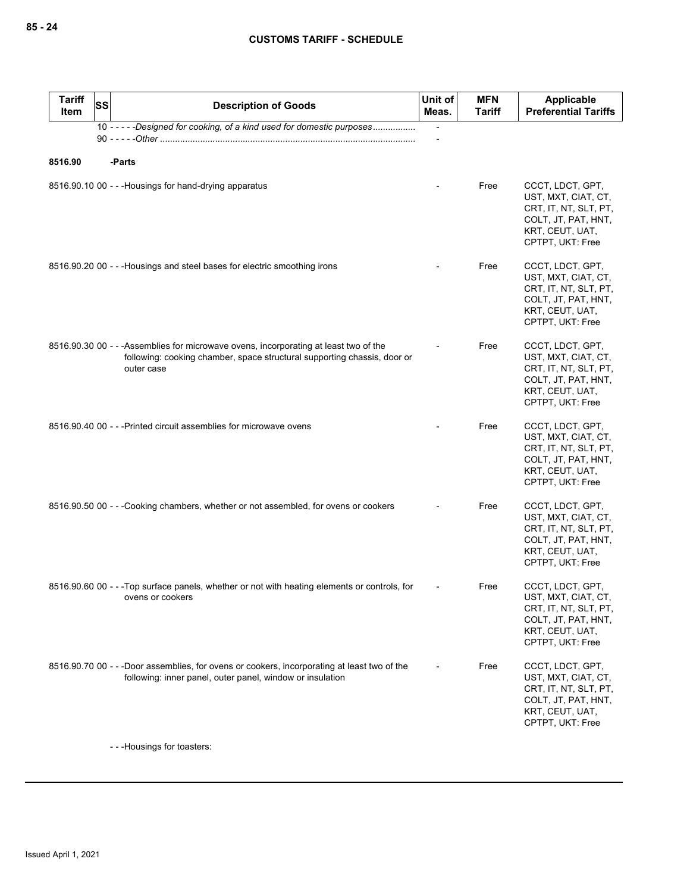| <b>Tariff</b><br>SS<br>Item | <b>Description of Goods</b>                                                                                                                                                     | Unit of<br>Meas.         | <b>MFN</b><br>Tariff | Applicable<br><b>Preferential Tariffs</b>                                                                                      |
|-----------------------------|---------------------------------------------------------------------------------------------------------------------------------------------------------------------------------|--------------------------|----------------------|--------------------------------------------------------------------------------------------------------------------------------|
|                             | 10 - - - - - Designed for cooking, of a kind used for domestic purposes                                                                                                         | $\overline{\phantom{a}}$ |                      |                                                                                                                                |
|                             |                                                                                                                                                                                 |                          |                      |                                                                                                                                |
| 8516.90                     | -Parts                                                                                                                                                                          |                          |                      |                                                                                                                                |
|                             | 8516.90.10 00 - - - Housings for hand-drying apparatus                                                                                                                          |                          | Free                 | CCCT, LDCT, GPT,<br>UST, MXT, CIAT, CT,<br>CRT, IT, NT, SLT, PT,<br>COLT, JT, PAT, HNT,<br>KRT, CEUT, UAT,<br>CPTPT, UKT: Free |
|                             | 8516.90.20 00 - - - Housings and steel bases for electric smoothing irons                                                                                                       |                          | Free                 | CCCT, LDCT, GPT,<br>UST, MXT, CIAT, CT,<br>CRT, IT, NT, SLT, PT,<br>COLT, JT, PAT, HNT,<br>KRT, CEUT, UAT,<br>CPTPT, UKT: Free |
|                             | 8516.90.30 00 - - - Assemblies for microwave ovens, incorporating at least two of the<br>following: cooking chamber, space structural supporting chassis, door or<br>outer case |                          | Free                 | CCCT, LDCT, GPT,<br>UST, MXT, CIAT, CT,<br>CRT, IT, NT, SLT, PT,<br>COLT, JT, PAT, HNT,<br>KRT, CEUT, UAT,<br>CPTPT, UKT: Free |
|                             | 8516.90.40 00 - - - Printed circuit assemblies for microwave ovens                                                                                                              |                          | Free                 | CCCT, LDCT, GPT,<br>UST, MXT, CIAT, CT,<br>CRT, IT, NT, SLT, PT,<br>COLT, JT, PAT, HNT,<br>KRT, CEUT, UAT,<br>CPTPT, UKT: Free |
|                             | 8516.90.50 00 - - -Cooking chambers, whether or not assembled, for ovens or cookers                                                                                             |                          | Free                 | CCCT, LDCT, GPT,<br>UST, MXT, CIAT, CT,<br>CRT, IT, NT, SLT, PT,<br>COLT, JT, PAT, HNT,<br>KRT, CEUT, UAT,<br>CPTPT, UKT: Free |
|                             | 8516.90.60 00 - - -Top surface panels, whether or not with heating elements or controls, for<br>ovens or cookers                                                                |                          | Free                 | CCCT, LDCT, GPT,<br>UST, MXT, CIAT, CT,<br>CRT, IT, NT, SLT, PT,<br>COLT, JT, PAT, HNT,<br>KRT, CEUT, UAT,<br>CPTPT, UKT: Free |
|                             | 8516.90.70 00 - - -Door assemblies, for ovens or cookers, incorporating at least two of the<br>following: inner panel, outer panel, window or insulation                        |                          | Free                 | CCCT, LDCT, GPT,<br>UST, MXT, CIAT, CT,<br>CRT, IT, NT, SLT, PT,<br>COLT, JT, PAT, HNT,<br>KRT, CEUT, UAT,<br>CPTPT, UKT: Free |

- - -Housings for toasters: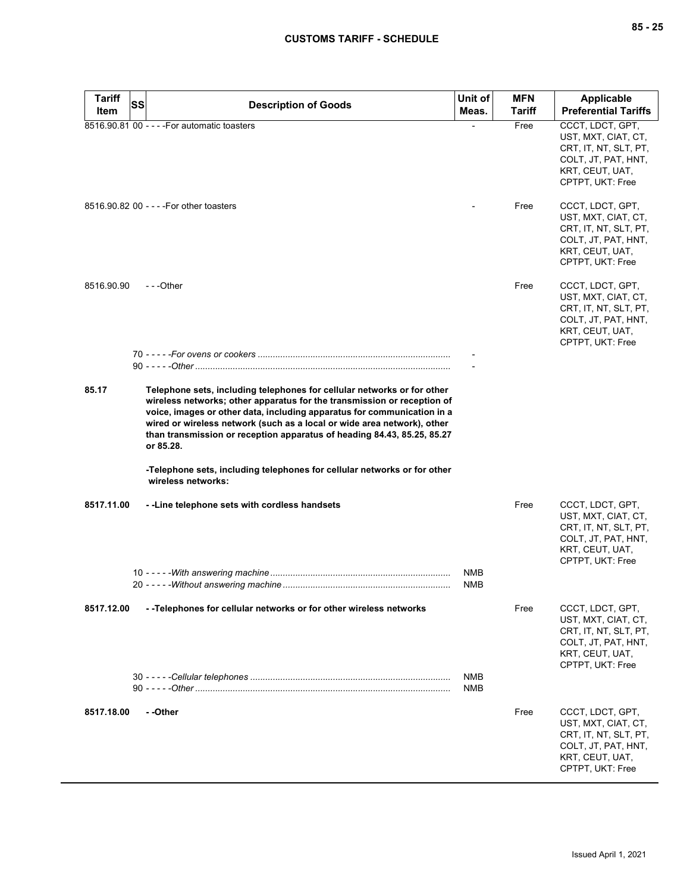| <b>Tariff</b><br><b>SS</b> | <b>Description of Goods</b>                                                                                                                                                                                                                                                                                                                                                                      | Unit of           | <b>MFN</b> | <b>Applicable</b>                                                                                                              |
|----------------------------|--------------------------------------------------------------------------------------------------------------------------------------------------------------------------------------------------------------------------------------------------------------------------------------------------------------------------------------------------------------------------------------------------|-------------------|------------|--------------------------------------------------------------------------------------------------------------------------------|
| Item                       |                                                                                                                                                                                                                                                                                                                                                                                                  | Meas.             | Tariff     | <b>Preferential Tariffs</b>                                                                                                    |
|                            | 8516.90.81 00 - - - - For automatic toasters                                                                                                                                                                                                                                                                                                                                                     |                   | Free       | CCCT, LDCT, GPT,<br>UST, MXT, CIAT, CT,<br>CRT, IT, NT, SLT, PT,<br>COLT, JT, PAT, HNT,<br>KRT, CEUT, UAT,<br>CPTPT, UKT: Free |
|                            | 8516.90.82 00 - - - - For other toasters                                                                                                                                                                                                                                                                                                                                                         |                   | Free       | CCCT, LDCT, GPT,<br>UST, MXT, CIAT, CT,<br>CRT, IT, NT, SLT, PT,<br>COLT, JT, PAT, HNT,<br>KRT, CEUT, UAT,<br>CPTPT, UKT: Free |
| 8516.90.90                 | ---Other                                                                                                                                                                                                                                                                                                                                                                                         |                   | Free       | CCCT, LDCT, GPT,<br>UST, MXT, CIAT, CT,<br>CRT, IT, NT, SLT, PT,<br>COLT, JT, PAT, HNT,<br>KRT, CEUT, UAT,<br>CPTPT, UKT: Free |
|                            |                                                                                                                                                                                                                                                                                                                                                                                                  |                   |            |                                                                                                                                |
| 85.17                      | Telephone sets, including telephones for cellular networks or for other<br>wireless networks; other apparatus for the transmission or reception of<br>voice, images or other data, including apparatus for communication in a<br>wired or wireless network (such as a local or wide area network), other<br>than transmission or reception apparatus of heading 84.43, 85.25, 85.27<br>or 85.28. |                   |            |                                                                                                                                |
|                            | -Telephone sets, including telephones for cellular networks or for other<br>wireless networks:                                                                                                                                                                                                                                                                                                   |                   |            |                                                                                                                                |
| 8517.11.00                 | - - Line telephone sets with cordless handsets                                                                                                                                                                                                                                                                                                                                                   |                   | Free       | CCCT, LDCT, GPT,<br>UST, MXT, CIAT, CT,<br>CRT, IT, NT, SLT, PT,<br>COLT, JT, PAT, HNT,<br>KRT, CEUT, UAT,<br>CPTPT, UKT: Free |
|                            |                                                                                                                                                                                                                                                                                                                                                                                                  | NMB<br><b>NMB</b> |            |                                                                                                                                |
| 8517.12.00                 | --Telephones for cellular networks or for other wireless networks                                                                                                                                                                                                                                                                                                                                |                   | Free       | CCCT, LDCT, GPT,<br>UST, MXT, CIAT, CT,<br>CRT, IT, NT, SLT, PT,<br>COLT, JT, PAT, HNT,<br>KRT, CEUT, UAT,<br>CPTPT, UKT: Free |
|                            |                                                                                                                                                                                                                                                                                                                                                                                                  | NMB<br>NMB        |            |                                                                                                                                |
| 8517.18.00                 | - -Other                                                                                                                                                                                                                                                                                                                                                                                         |                   | Free       | CCCT, LDCT, GPT,<br>UST, MXT, CIAT, CT,<br>CRT, IT, NT, SLT, PT,<br>COLT, JT, PAT, HNT,<br>KRT, CEUT, UAT,<br>CPTPT, UKT: Free |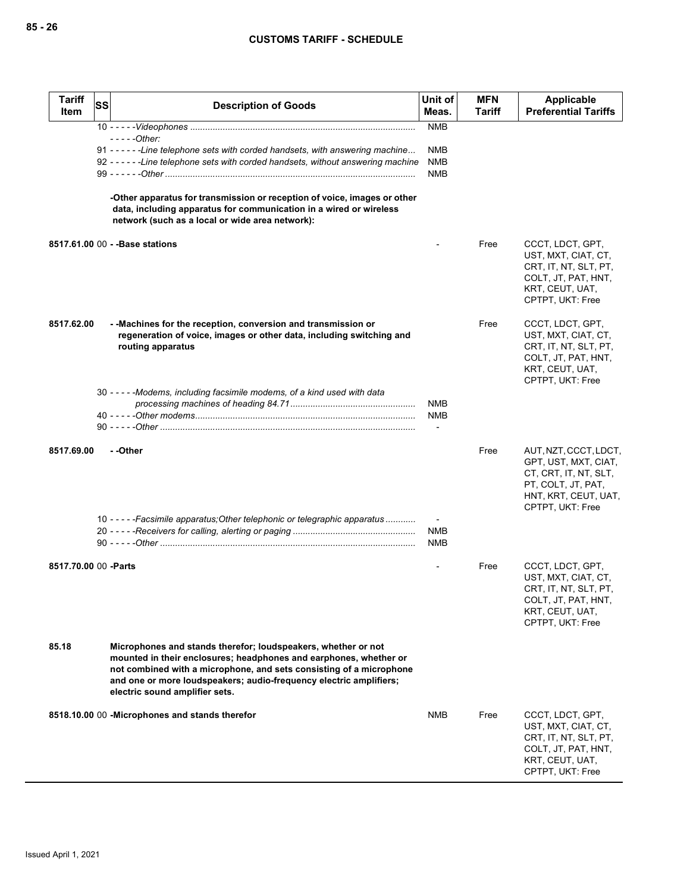| <b>Tariff</b><br>Item | SS | <b>Description of Goods</b>                                                                                                                                                                                                                                                                                       | Unit of<br>Meas.                       | <b>MFN</b><br>Tariff | <b>Applicable</b><br><b>Preferential Tariffs</b>                                                                                         |
|-----------------------|----|-------------------------------------------------------------------------------------------------------------------------------------------------------------------------------------------------------------------------------------------------------------------------------------------------------------------|----------------------------------------|----------------------|------------------------------------------------------------------------------------------------------------------------------------------|
|                       |    | - - - - - Other:                                                                                                                                                                                                                                                                                                  | <b>NMB</b>                             |                      |                                                                                                                                          |
|                       |    | 91 - - - - - - Line telephone sets with corded handsets, with answering machine<br>92 - - - - - - Line telephone sets with corded handsets, without answering machine                                                                                                                                             | <b>NMB</b><br><b>NMB</b><br><b>NMB</b> |                      |                                                                                                                                          |
|                       |    | -Other apparatus for transmission or reception of voice, images or other<br>data, including apparatus for communication in a wired or wireless<br>network (such as a local or wide area network):                                                                                                                 |                                        |                      |                                                                                                                                          |
|                       |    | 8517.61.00 00 - - Base stations                                                                                                                                                                                                                                                                                   |                                        | Free                 | CCCT, LDCT, GPT,<br>UST, MXT, CIAT, CT,<br>CRT, IT, NT, SLT, PT,<br>COLT, JT, PAT, HNT,<br>KRT, CEUT, UAT,<br>CPTPT, UKT: Free           |
| 8517.62.00            |    | - - Machines for the reception, conversion and transmission or<br>regeneration of voice, images or other data, including switching and<br>routing apparatus                                                                                                                                                       |                                        | Free                 | CCCT, LDCT, GPT,<br>UST, MXT, CIAT, CT,<br>CRT, IT, NT, SLT, PT,<br>COLT, JT, PAT, HNT,<br>KRT, CEUT, UAT,<br>CPTPT, UKT: Free           |
|                       |    | 30 - - - - - Modems, including facsimile modems, of a kind used with data                                                                                                                                                                                                                                         | <b>NMB</b>                             |                      |                                                                                                                                          |
|                       |    |                                                                                                                                                                                                                                                                                                                   | <b>NMB</b>                             |                      |                                                                                                                                          |
| 8517.69.00            |    | - -Other                                                                                                                                                                                                                                                                                                          |                                        | Free                 | AUT, NZT, CCCT, LDCT,<br>GPT, UST, MXT, CIAT,<br>CT, CRT, IT, NT, SLT,<br>PT, COLT, JT, PAT,<br>HNT, KRT, CEUT, UAT,<br>CPTPT, UKT: Free |
|                       |    | 10 - - - - - Facsimile apparatus; Other telephonic or telegraphic apparatus                                                                                                                                                                                                                                       | NMB<br><b>NMB</b>                      |                      |                                                                                                                                          |
| 8517.70.00 00 - Parts |    |                                                                                                                                                                                                                                                                                                                   |                                        | Free                 | CCCT, LDCT, GPT,<br>UST, MXT, CIAT, CT,<br>CRT, IT, NT, SLT, PT,<br>COLT, JT, PAT, HNT,<br>KRT, CEUT, UAT,<br>CPTPT, UKT: Free           |
| 85.18                 |    | Microphones and stands therefor; loudspeakers, whether or not<br>mounted in their enclosures; headphones and earphones, whether or<br>not combined with a microphone, and sets consisting of a microphone<br>and one or more loudspeakers; audio-frequency electric amplifiers;<br>electric sound amplifier sets. |                                        |                      |                                                                                                                                          |
|                       |    | 8518.10.00 00 - Microphones and stands therefor                                                                                                                                                                                                                                                                   | NMB                                    | Free                 | CCCT, LDCT, GPT,<br>UST, MXT, CIAT, CT,<br>CRT, IT, NT, SLT, PT,<br>COLT, JT, PAT, HNT,<br>KRT, CEUT, UAT,<br>CPTPT, UKT: Free           |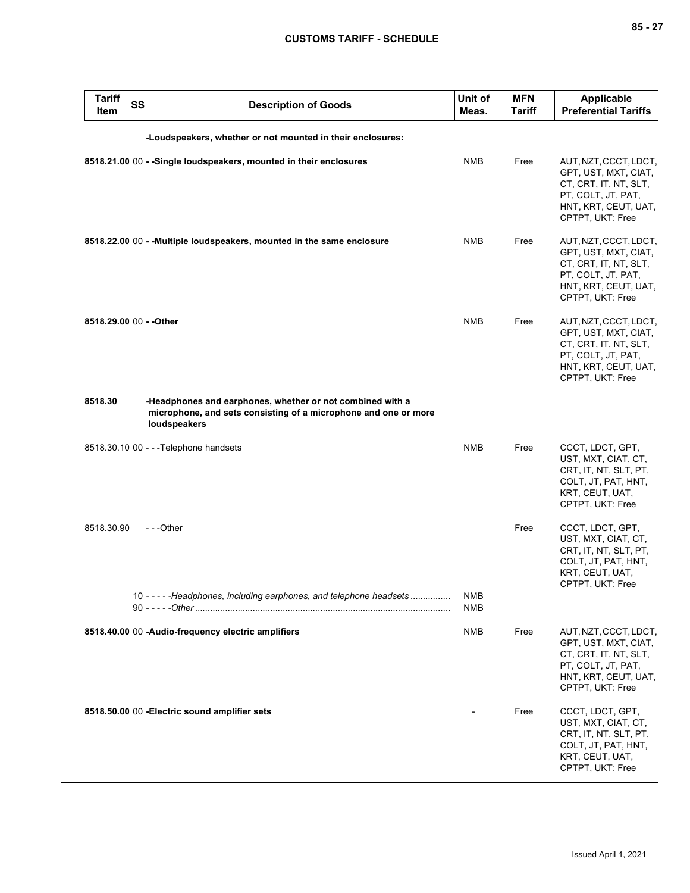| <b>Tariff</b><br><b>Item</b> | <b>SS</b> | <b>Description of Goods</b>                                                                                                                  | Unit of<br>Meas.  | <b>MFN</b><br><b>Tariff</b> | <b>Applicable</b><br><b>Preferential Tariffs</b>                                                                                         |
|------------------------------|-----------|----------------------------------------------------------------------------------------------------------------------------------------------|-------------------|-----------------------------|------------------------------------------------------------------------------------------------------------------------------------------|
|                              |           | -Loudspeakers, whether or not mounted in their enclosures:                                                                                   |                   |                             |                                                                                                                                          |
|                              |           | 8518.21.00 00 - - Single loudspeakers, mounted in their enclosures                                                                           | <b>NMB</b>        | Free                        | AUT, NZT, CCCT, LDCT,<br>GPT, UST, MXT, CIAT,<br>CT, CRT, IT, NT, SLT,<br>PT, COLT, JT, PAT,<br>HNT, KRT, CEUT, UAT,<br>CPTPT, UKT: Free |
|                              |           | 8518.22.00 00 - - Multiple loudspeakers, mounted in the same enclosure                                                                       | <b>NMB</b>        | Free                        | AUT, NZT, CCCT, LDCT,<br>GPT, UST, MXT, CIAT,<br>CT, CRT, IT, NT, SLT,<br>PT, COLT, JT, PAT,<br>HNT, KRT, CEUT, UAT,<br>CPTPT, UKT: Free |
| 8518.29.00 00 - - Other      |           |                                                                                                                                              | <b>NMB</b>        | Free                        | AUT, NZT, CCCT, LDCT,<br>GPT, UST, MXT, CIAT,<br>CT, CRT, IT, NT, SLT,<br>PT, COLT, JT, PAT,<br>HNT, KRT, CEUT, UAT,<br>CPTPT, UKT: Free |
| 8518.30                      |           | -Headphones and earphones, whether or not combined with a<br>microphone, and sets consisting of a microphone and one or more<br>loudspeakers |                   |                             |                                                                                                                                          |
|                              |           | 8518.30.10 00 - - - Telephone handsets                                                                                                       | <b>NMB</b>        | Free                        | CCCT, LDCT, GPT,<br>UST, MXT, CIAT, CT,<br>CRT, IT, NT, SLT, PT,<br>COLT, JT, PAT, HNT,<br>KRT, CEUT, UAT,<br>CPTPT, UKT: Free           |
| 8518.30.90                   |           | ---Other                                                                                                                                     |                   | Free                        | CCCT, LDCT, GPT,<br>UST, MXT, CIAT, CT,<br>CRT, IT, NT, SLT, PT,<br>COLT, JT, PAT, HNT,<br>KRT, CEUT, UAT,<br>CPTPT, UKT: Free           |
|                              |           | 10 - - - - - Headphones, including earphones, and telephone headsets                                                                         | <b>NMB</b><br>NMB |                             |                                                                                                                                          |
|                              |           | 8518.40.00 00 -Audio-frequency electric amplifiers                                                                                           | NMB               | Free                        | AUT, NZT, CCCT, LDCT,<br>GPT, UST, MXT, CIAT,<br>CT, CRT, IT, NT, SLT,<br>PT, COLT, JT, PAT,<br>HNT, KRT, CEUT, UAT,<br>CPTPT, UKT: Free |
|                              |           | 8518.50.00 00 - Electric sound amplifier sets                                                                                                |                   | Free                        | CCCT, LDCT, GPT,<br>UST, MXT, CIAT, CT,<br>CRT, IT, NT, SLT, PT,<br>COLT, JT, PAT, HNT,<br>KRT, CEUT, UAT,<br>CPTPT, UKT: Free           |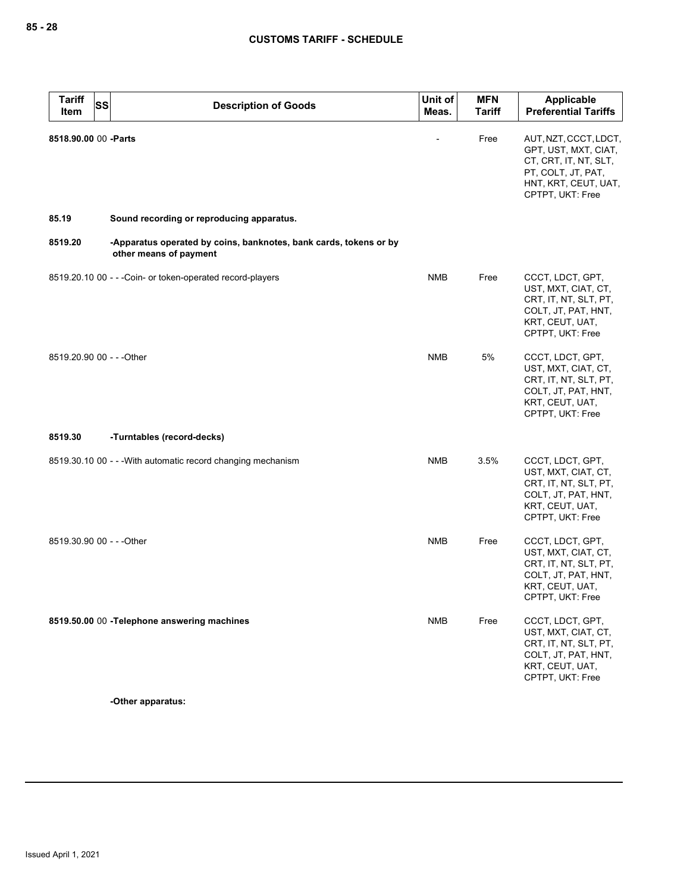| <b>Tariff</b><br>SS<br><b>Item</b> | <b>Description of Goods</b>                                                                 | Unit of<br>Meas. | <b>MFN</b><br><b>Tariff</b> | Applicable<br><b>Preferential Tariffs</b>                                                                                                |
|------------------------------------|---------------------------------------------------------------------------------------------|------------------|-----------------------------|------------------------------------------------------------------------------------------------------------------------------------------|
| 8518.90.00 00 - Parts              |                                                                                             |                  | Free                        | AUT, NZT, CCCT, LDCT,<br>GPT, UST, MXT, CIAT,<br>CT, CRT, IT, NT, SLT,<br>PT, COLT, JT, PAT,<br>HNT, KRT, CEUT, UAT,<br>CPTPT, UKT: Free |
| 85.19                              | Sound recording or reproducing apparatus.                                                   |                  |                             |                                                                                                                                          |
| 8519.20                            | -Apparatus operated by coins, banknotes, bank cards, tokens or by<br>other means of payment |                  |                             |                                                                                                                                          |
|                                    | 8519.20.10 00 - - - Coin- or token-operated record-players                                  | <b>NMB</b>       | Free                        | CCCT, LDCT, GPT,<br>UST, MXT, CIAT, CT,<br>CRT, IT, NT, SLT, PT,<br>COLT, JT, PAT, HNT,<br>KRT, CEUT, UAT,<br>CPTPT, UKT: Free           |
| 8519.20.90 00 - - - Other          |                                                                                             | <b>NMB</b>       | 5%                          | CCCT, LDCT, GPT,<br>UST, MXT, CIAT, CT,<br>CRT, IT, NT, SLT, PT,<br>COLT, JT, PAT, HNT,<br>KRT, CEUT, UAT,<br>CPTPT, UKT: Free           |
| 8519.30                            | -Turntables (record-decks)                                                                  |                  |                             |                                                                                                                                          |
|                                    | 8519.30.10 00 - - - With automatic record changing mechanism                                | <b>NMB</b>       | 3.5%                        | CCCT, LDCT, GPT,<br>UST, MXT, CIAT, CT,<br>CRT, IT, NT, SLT, PT,<br>COLT, JT, PAT, HNT,<br>KRT, CEUT, UAT,<br>CPTPT, UKT: Free           |
| 8519.30.90 00 - - - Other          |                                                                                             | <b>NMB</b>       | Free                        | CCCT, LDCT, GPT,<br>UST, MXT, CIAT, CT,<br>CRT, IT, NT, SLT, PT,<br>COLT, JT, PAT, HNT,<br>KRT, CEUT, UAT,<br>CPTPT, UKT: Free           |
|                                    | 8519.50.00 00 - Telephone answering machines                                                | <b>NMB</b>       | Free                        | CCCT, LDCT, GPT,<br>UST, MXT, CIAT, CT,<br>CRT, IT, NT, SLT, PT,<br>COLT, JT, PAT, HNT,<br>KRT, CEUT, UAT,<br>CPTPT, UKT: Free           |

**-Other apparatus:**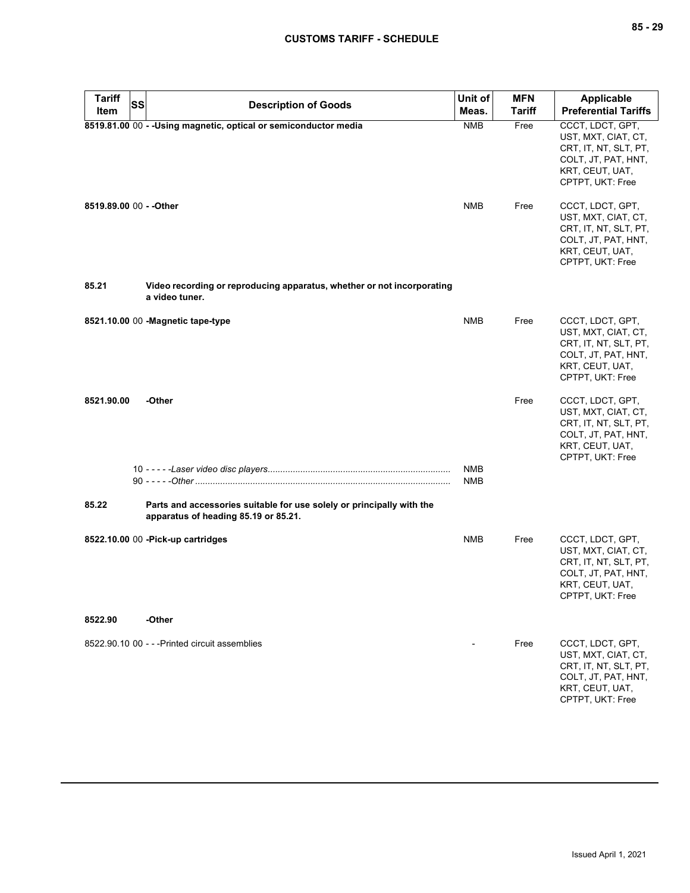| <b>Tariff</b><br><b>SS</b> | <b>Description of Goods</b>                                                                                   | Unit of                  | <b>MFN</b>    | Applicable                                                                                                                     |
|----------------------------|---------------------------------------------------------------------------------------------------------------|--------------------------|---------------|--------------------------------------------------------------------------------------------------------------------------------|
| Item                       |                                                                                                               | Meas.                    | <b>Tariff</b> | <b>Preferential Tariffs</b>                                                                                                    |
|                            | 8519.81.00 00 - - Using magnetic, optical or semiconductor media                                              | <b>NMB</b>               | Free          | CCCT, LDCT, GPT,<br>UST, MXT, CIAT, CT,<br>CRT, IT, NT, SLT, PT,<br>COLT, JT, PAT, HNT,<br>KRT, CEUT, UAT,<br>CPTPT, UKT: Free |
| 8519.89.00 00 - - Other    |                                                                                                               | <b>NMB</b>               | Free          | CCCT, LDCT, GPT,<br>UST, MXT, CIAT, CT,<br>CRT, IT, NT, SLT, PT,<br>COLT, JT, PAT, HNT,<br>KRT, CEUT, UAT,<br>CPTPT, UKT: Free |
| 85.21                      | Video recording or reproducing apparatus, whether or not incorporating<br>a video tuner.                      |                          |               |                                                                                                                                |
|                            | 8521.10.00 00 - Magnetic tape-type                                                                            | <b>NMB</b>               | Free          | CCCT, LDCT, GPT,<br>UST, MXT, CIAT, CT,<br>CRT, IT, NT, SLT, PT,<br>COLT, JT, PAT, HNT,<br>KRT, CEUT, UAT,<br>CPTPT, UKT: Free |
| 8521.90.00                 | -Other                                                                                                        |                          | Free          | CCCT, LDCT, GPT,<br>UST, MXT, CIAT, CT,<br>CRT, IT, NT, SLT, PT,<br>COLT, JT, PAT, HNT,<br>KRT, CEUT, UAT,<br>CPTPT, UKT: Free |
|                            |                                                                                                               | <b>NMB</b><br><b>NMB</b> |               |                                                                                                                                |
| 85.22                      | Parts and accessories suitable for use solely or principally with the<br>apparatus of heading 85.19 or 85.21. |                          |               |                                                                                                                                |
|                            | 8522.10.00 00 - Pick-up cartridges                                                                            | <b>NMB</b>               | Free          | CCCT, LDCT, GPT,<br>UST, MXT, CIAT, CT,<br>CRT, IT, NT, SLT, PT,<br>COLT, JT, PAT, HNT,<br>KRT, CEUT, UAT,<br>CPTPT, UKT: Free |
| 8522.90                    | -Other                                                                                                        |                          |               |                                                                                                                                |
|                            | 8522.90.10 00 - - - Printed circuit assemblies                                                                |                          | Free          | CCCT, LDCT, GPT,<br>UST, MXT, CIAT, CT,<br>CRT, IT, NT, SLT, PT,<br>COLT, JT, PAT, HNT,<br>KRT, CEUT, UAT,<br>CPTPT, UKT: Free |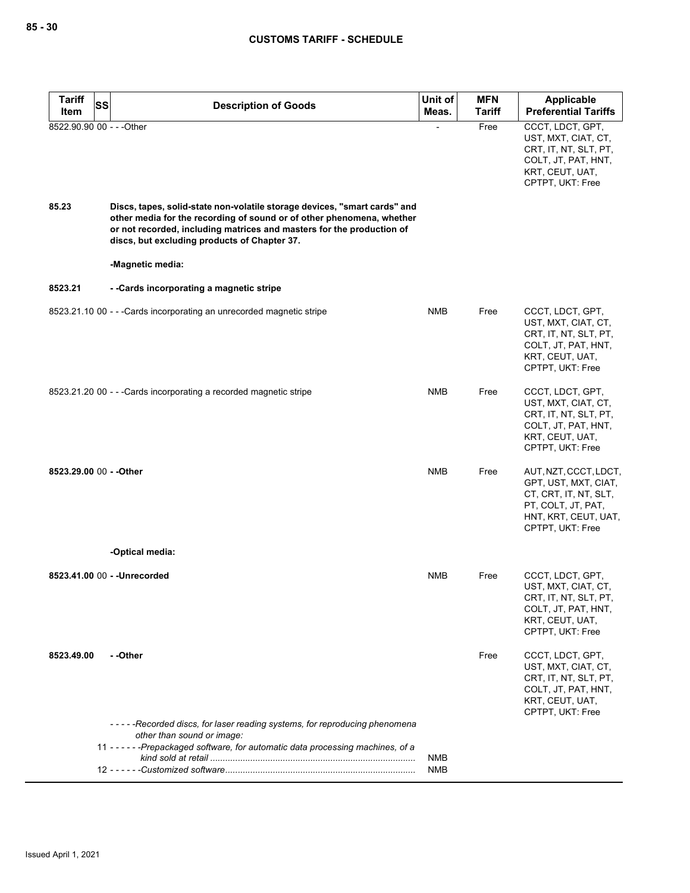| <b>Tariff</b><br>SS       | <b>Description of Goods</b>                                                                                                                                                                                                                                                 | Unit of    | <b>MFN</b> | <b>Applicable</b>                                                                                                                        |
|---------------------------|-----------------------------------------------------------------------------------------------------------------------------------------------------------------------------------------------------------------------------------------------------------------------------|------------|------------|------------------------------------------------------------------------------------------------------------------------------------------|
| Item                      |                                                                                                                                                                                                                                                                             | Meas.      | Tariff     | <b>Preferential Tariffs</b>                                                                                                              |
| 8522.90.90 00 - - - Other |                                                                                                                                                                                                                                                                             |            | Free       | CCCT, LDCT, GPT,<br>UST, MXT, CIAT, CT,<br>CRT, IT, NT, SLT, PT,<br>COLT, JT, PAT, HNT,<br>KRT, CEUT, UAT,<br>CPTPT, UKT: Free           |
| 85.23                     | Discs, tapes, solid-state non-volatile storage devices, "smart cards" and<br>other media for the recording of sound or of other phenomena, whether<br>or not recorded, including matrices and masters for the production of<br>discs, but excluding products of Chapter 37. |            |            |                                                                                                                                          |
|                           | -Magnetic media:                                                                                                                                                                                                                                                            |            |            |                                                                                                                                          |
| 8523.21                   | --Cards incorporating a magnetic stripe                                                                                                                                                                                                                                     |            |            |                                                                                                                                          |
|                           | 8523.21.10 00 - - - Cards incorporating an unrecorded magnetic stripe                                                                                                                                                                                                       | <b>NMB</b> | Free       | CCCT, LDCT, GPT,<br>UST, MXT, CIAT, CT,<br>CRT, IT, NT, SLT, PT,<br>COLT, JT, PAT, HNT,<br>KRT, CEUT, UAT,<br>CPTPT, UKT: Free           |
|                           | 8523.21.20 00 - - - Cards incorporating a recorded magnetic stripe                                                                                                                                                                                                          | <b>NMB</b> | Free       | CCCT, LDCT, GPT,<br>UST, MXT, CIAT, CT,<br>CRT, IT, NT, SLT, PT,<br>COLT, JT, PAT, HNT,<br>KRT, CEUT, UAT,<br>CPTPT, UKT: Free           |
| 8523.29.00 00 - - Other   |                                                                                                                                                                                                                                                                             | <b>NMB</b> | Free       | AUT, NZT, CCCT, LDCT,<br>GPT, UST, MXT, CIAT,<br>CT, CRT, IT, NT, SLT,<br>PT, COLT, JT, PAT,<br>HNT, KRT, CEUT, UAT,<br>CPTPT, UKT: Free |
|                           | -Optical media:                                                                                                                                                                                                                                                             |            |            |                                                                                                                                          |
|                           | 8523.41.00 00 - - Unrecorded                                                                                                                                                                                                                                                | <b>NMB</b> | Free       | CCCT, LDCT, GPT,<br>UST, MXT, CIAT, CT,<br>CRT, IT, NT, SLT, PT,<br>COLT, JT, PAT, HNT,<br>KRT, CEUT, UAT,<br>CPTPT, UKT: Free           |
| 8523.49.00                | - -Other                                                                                                                                                                                                                                                                    |            | Free       | CCCT, LDCT, GPT,<br>UST, MXT, CIAT, CT,<br>CRT, IT, NT, SLT, PT,<br>COLT, JT, PAT, HNT,<br>KRT, CEUT, UAT,<br>CPTPT, UKT: Free           |
|                           | -----Recorded discs, for laser reading systems, for reproducing phenomena<br>other than sound or image:                                                                                                                                                                     |            |            |                                                                                                                                          |
|                           | 11 - - - - - - Prepackaged software, for automatic data processing machines, of a                                                                                                                                                                                           | NMB        |            |                                                                                                                                          |
|                           |                                                                                                                                                                                                                                                                             | <b>NMB</b> |            |                                                                                                                                          |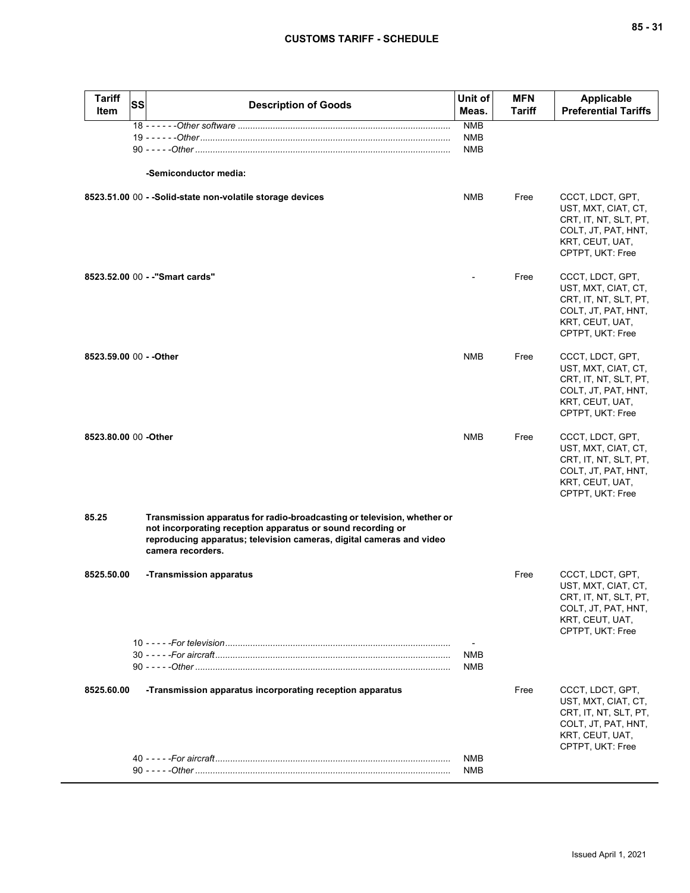| ×<br>۰.<br>۰. |  | ×<br>۰, |
|---------------|--|---------|
|---------------|--|---------|

| <b>Tariff</b><br><b>Item</b> | SS | <b>Description of Goods</b>                                                                                                                                                                                                         | Unit of<br>Meas.                | <b>MFN</b><br><b>Tariff</b> | <b>Applicable</b><br><b>Preferential Tariffs</b>                                                                               |
|------------------------------|----|-------------------------------------------------------------------------------------------------------------------------------------------------------------------------------------------------------------------------------------|---------------------------------|-----------------------------|--------------------------------------------------------------------------------------------------------------------------------|
|                              |    | -Semiconductor media:                                                                                                                                                                                                               | <b>NMB</b><br>NMB<br><b>NMB</b> |                             |                                                                                                                                |
|                              |    | 8523.51.00 00 - -Solid-state non-volatile storage devices                                                                                                                                                                           | <b>NMB</b>                      | Free                        | CCCT, LDCT, GPT,<br>UST, MXT, CIAT, CT,<br>CRT, IT, NT, SLT, PT,<br>COLT, JT, PAT, HNT,<br>KRT, CEUT, UAT,<br>CPTPT, UKT: Free |
|                              |    | 8523.52.00 00 - - "Smart cards"                                                                                                                                                                                                     |                                 | Free                        | CCCT, LDCT, GPT,<br>UST, MXT, CIAT, CT,<br>CRT, IT, NT, SLT, PT,<br>COLT, JT, PAT, HNT,<br>KRT, CEUT, UAT,<br>CPTPT, UKT: Free |
| 8523.59.00 00 - - Other      |    |                                                                                                                                                                                                                                     | <b>NMB</b>                      | Free                        | CCCT, LDCT, GPT,<br>UST, MXT, CIAT, CT,<br>CRT, IT, NT, SLT, PT,<br>COLT, JT, PAT, HNT,<br>KRT, CEUT, UAT,<br>CPTPT, UKT: Free |
| 8523.80.00 00 - Other        |    |                                                                                                                                                                                                                                     | <b>NMB</b>                      | Free                        | CCCT, LDCT, GPT,<br>UST, MXT, CIAT, CT,<br>CRT, IT, NT, SLT, PT,<br>COLT, JT, PAT, HNT,<br>KRT, CEUT, UAT,<br>CPTPT, UKT: Free |
| 85.25                        |    | Transmission apparatus for radio-broadcasting or television, whether or<br>not incorporating reception apparatus or sound recording or<br>reproducing apparatus; television cameras, digital cameras and video<br>camera recorders. |                                 |                             |                                                                                                                                |
| 8525.50.00                   |    | -Transmission apparatus                                                                                                                                                                                                             |                                 | Free                        | CCCT, LDCT, GPT,<br>UST, MXT, CIAT, CT,<br>CRT, IT, NT, SLT, PT,<br>COLT, JT, PAT, HNT,<br>KRT, CEUT, UAT,<br>CPTPT, UKT: Free |
|                              |    |                                                                                                                                                                                                                                     | <b>NMB</b><br><b>NMB</b>        |                             |                                                                                                                                |
| 8525.60.00                   |    | -Transmission apparatus incorporating reception apparatus                                                                                                                                                                           |                                 | Free                        | CCCT, LDCT, GPT,<br>UST, MXT, CIAT, CT,<br>CRT, IT, NT, SLT, PT,<br>COLT, JT, PAT, HNT,<br>KRT, CEUT, UAT,<br>CPTPT, UKT: Free |
|                              |    |                                                                                                                                                                                                                                     | <b>NMB</b><br><b>NMB</b>        |                             |                                                                                                                                |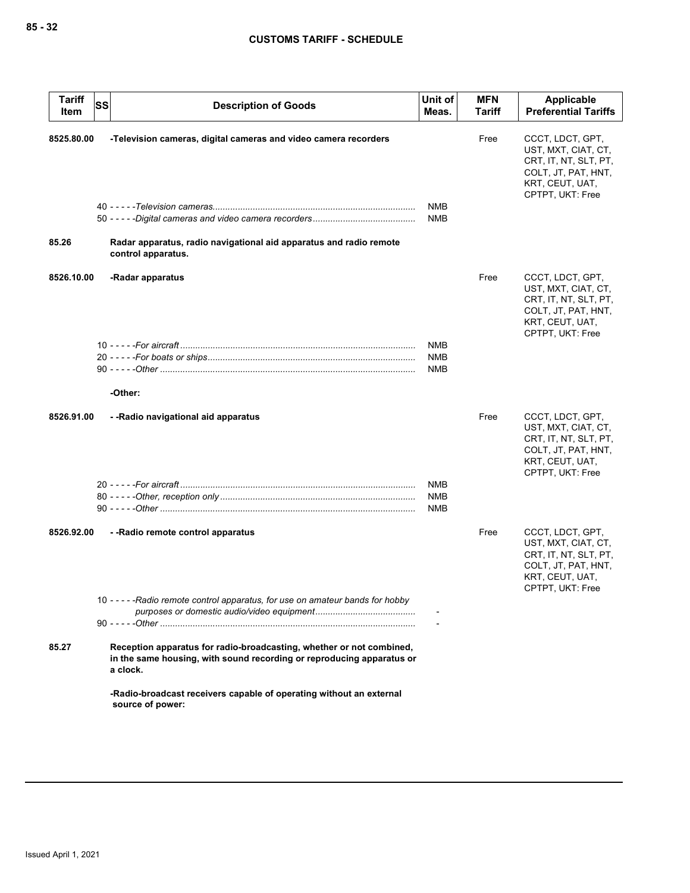| <b>Tariff</b><br>Item | <b>SS</b><br><b>Description of Goods</b>                                                                                                                  | Unit of<br>Meas.         | <b>MFN</b><br>Tariff | Applicable<br><b>Preferential Tariffs</b>                                                                                      |
|-----------------------|-----------------------------------------------------------------------------------------------------------------------------------------------------------|--------------------------|----------------------|--------------------------------------------------------------------------------------------------------------------------------|
| 8525.80.00            | -Television cameras, digital cameras and video camera recorders                                                                                           | <b>NMB</b>               | Free                 | CCCT, LDCT, GPT,<br>UST, MXT, CIAT, CT,<br>CRT, IT, NT, SLT, PT,<br>COLT, JT, PAT, HNT,<br>KRT, CEUT, UAT,<br>CPTPT, UKT: Free |
|                       |                                                                                                                                                           | <b>NMB</b>               |                      |                                                                                                                                |
| 85.26                 | Radar apparatus, radio navigational aid apparatus and radio remote<br>control apparatus.                                                                  |                          |                      |                                                                                                                                |
| 8526.10.00            | -Radar apparatus                                                                                                                                          |                          | Free                 | CCCT, LDCT, GPT,<br>UST, MXT, CIAT, CT,<br>CRT, IT, NT, SLT, PT,<br>COLT, JT, PAT, HNT,<br>KRT, CEUT, UAT,<br>CPTPT, UKT: Free |
|                       |                                                                                                                                                           | NMB<br>NMB<br><b>NMB</b> |                      |                                                                                                                                |
|                       | -Other:                                                                                                                                                   |                          |                      |                                                                                                                                |
| 8526.91.00            | --Radio navigational aid apparatus                                                                                                                        |                          | Free                 | CCCT, LDCT, GPT,<br>UST, MXT, CIAT, CT,<br>CRT, IT, NT, SLT, PT,<br>COLT, JT, PAT, HNT,<br>KRT, CEUT, UAT,<br>CPTPT, UKT: Free |
|                       |                                                                                                                                                           | NMB                      |                      |                                                                                                                                |
|                       |                                                                                                                                                           | <b>NMB</b><br><b>NMB</b> |                      |                                                                                                                                |
| 8526.92.00            | --Radio remote control apparatus                                                                                                                          |                          | Free                 | CCCT, LDCT, GPT,<br>UST, MXT, CIAT, CT,<br>CRT, IT, NT, SLT, PT,<br>COLT, JT, PAT, HNT,<br>KRT, CEUT, UAT,<br>CPTPT, UKT: Free |
|                       | 10 - - - - - Radio remote control apparatus, for use on amateur bands for hobby                                                                           |                          |                      |                                                                                                                                |
| 85.27                 | Reception apparatus for radio-broadcasting, whether or not combined,<br>in the same housing, with sound recording or reproducing apparatus or<br>a clock. |                          |                      |                                                                                                                                |
|                       | -Radio-broadcast receivers capable of operating without an external<br>source of power:                                                                   |                          |                      |                                                                                                                                |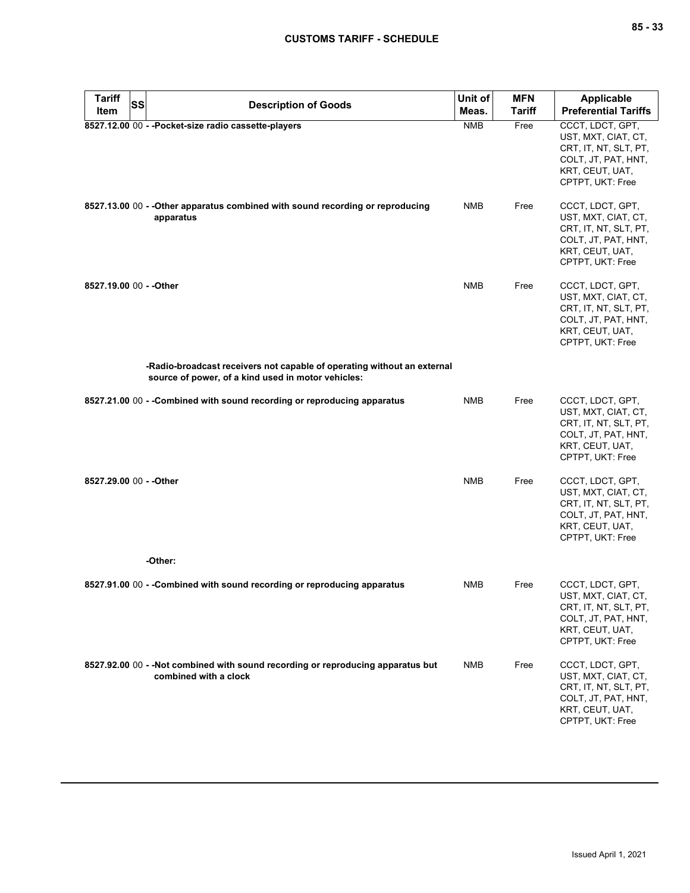| <b>Tariff</b><br><b>SS</b> | <b>Description of Goods</b>                                                                                                   | Unit of    | <b>MFN</b>    | <b>Applicable</b>                                                                                                              |
|----------------------------|-------------------------------------------------------------------------------------------------------------------------------|------------|---------------|--------------------------------------------------------------------------------------------------------------------------------|
| Item                       |                                                                                                                               | Meas.      | <b>Tariff</b> | <b>Preferential Tariffs</b>                                                                                                    |
|                            | 8527.12.00 00 - - Pocket-size radio cassette-players                                                                          | <b>NMB</b> | Free          | CCCT, LDCT, GPT,<br>UST, MXT, CIAT, CT,<br>CRT, IT, NT, SLT, PT,<br>COLT, JT, PAT, HNT,<br>KRT, CEUT, UAT,<br>CPTPT, UKT: Free |
|                            | 8527.13.00 00 - - Other apparatus combined with sound recording or reproducing<br>apparatus                                   | NMB        | Free          | CCCT, LDCT, GPT,<br>UST, MXT, CIAT, CT,<br>CRT, IT, NT, SLT, PT,<br>COLT, JT, PAT, HNT,<br>KRT, CEUT, UAT,<br>CPTPT, UKT: Free |
| 8527.19.00 00 - - Other    |                                                                                                                               | <b>NMB</b> | Free          | CCCT, LDCT, GPT,<br>UST, MXT, CIAT, CT,<br>CRT, IT, NT, SLT, PT,<br>COLT, JT, PAT, HNT,<br>KRT, CEUT, UAT,<br>CPTPT, UKT: Free |
|                            | -Radio-broadcast receivers not capable of operating without an external<br>source of power, of a kind used in motor vehicles: |            |               |                                                                                                                                |
|                            | 8527.21.00 00 - -Combined with sound recording or reproducing apparatus                                                       | <b>NMB</b> | Free          | CCCT, LDCT, GPT,<br>UST, MXT, CIAT, CT,<br>CRT, IT, NT, SLT, PT,<br>COLT, JT, PAT, HNT,<br>KRT, CEUT, UAT,<br>CPTPT, UKT: Free |
| 8527.29.00 00 - - Other    |                                                                                                                               | <b>NMB</b> | Free          | CCCT, LDCT, GPT,<br>UST, MXT, CIAT, CT,<br>CRT, IT, NT, SLT, PT,<br>COLT, JT, PAT, HNT,<br>KRT, CEUT, UAT,<br>CPTPT, UKT: Free |
|                            | -Other:                                                                                                                       |            |               |                                                                                                                                |
|                            | 8527.91.00 00 - -Combined with sound recording or reproducing apparatus                                                       | NMB        | Free          | CCCT, LDCT, GPT,<br>UST, MXT, CIAT, CT,<br>CRT, IT, NT, SLT, PT,<br>COLT, JT, PAT, HNT,<br>KRT, CEUT, UAT,<br>CPTPT, UKT: Free |
|                            | 8527.92.00 00 - - Not combined with sound recording or reproducing apparatus but<br>combined with a clock                     | <b>NMB</b> | Free          | CCCT, LDCT, GPT,<br>UST, MXT, CIAT, CT,<br>CRT, IT, NT, SLT, PT,<br>COLT, JT, PAT, HNT,<br>KRT, CEUT, UAT,<br>CPTPT, UKT: Free |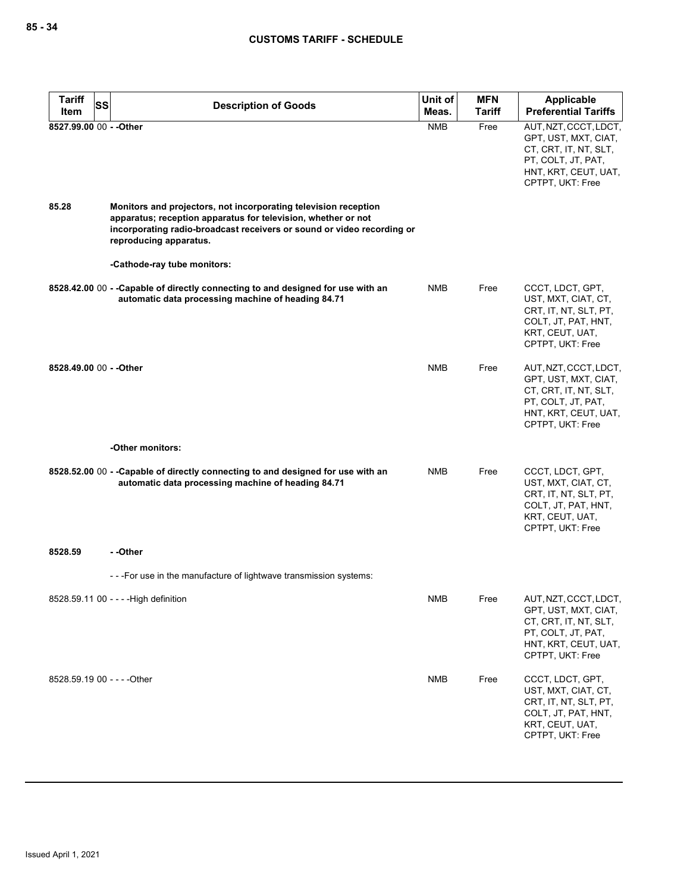| <b>Tariff</b><br>SS<br>Item | <b>Description of Goods</b>                                                                                                                                                                                                          | Unit of<br>Meas. | <b>MFN</b><br><b>Tariff</b> | <b>Applicable</b><br><b>Preferential Tariffs</b>                                                                                         |
|-----------------------------|--------------------------------------------------------------------------------------------------------------------------------------------------------------------------------------------------------------------------------------|------------------|-----------------------------|------------------------------------------------------------------------------------------------------------------------------------------|
| 8527.99.00 00 - - Other     |                                                                                                                                                                                                                                      | <b>NMB</b>       | Free                        | AUT, NZT, CCCT, LDCT,                                                                                                                    |
|                             |                                                                                                                                                                                                                                      |                  |                             | GPT, UST, MXT, CIAT,<br>CT, CRT, IT, NT, SLT,<br>PT, COLT, JT, PAT,<br>HNT, KRT, CEUT, UAT,<br>CPTPT, UKT: Free                          |
| 85.28                       | Monitors and projectors, not incorporating television reception<br>apparatus; reception apparatus for television, whether or not<br>incorporating radio-broadcast receivers or sound or video recording or<br>reproducing apparatus. |                  |                             |                                                                                                                                          |
|                             | -Cathode-ray tube monitors:                                                                                                                                                                                                          |                  |                             |                                                                                                                                          |
|                             | 8528.42.00 00 - - Capable of directly connecting to and designed for use with an<br>automatic data processing machine of heading 84.71                                                                                               | <b>NMB</b>       | Free                        | CCCT, LDCT, GPT,<br>UST, MXT, CIAT, CT,<br>CRT, IT, NT, SLT, PT,<br>COLT, JT, PAT, HNT,<br>KRT, CEUT, UAT,<br>CPTPT, UKT: Free           |
| 8528.49.00 00 - - Other     |                                                                                                                                                                                                                                      | <b>NMB</b>       | Free                        | AUT, NZT, CCCT, LDCT,<br>GPT, UST, MXT, CIAT,<br>CT, CRT, IT, NT, SLT,<br>PT, COLT, JT, PAT,<br>HNT, KRT, CEUT, UAT,<br>CPTPT, UKT: Free |
|                             | -Other monitors:                                                                                                                                                                                                                     |                  |                             |                                                                                                                                          |
|                             | 8528.52.00 00 - - Capable of directly connecting to and designed for use with an<br>automatic data processing machine of heading 84.71                                                                                               | <b>NMB</b>       | Free                        | CCCT, LDCT, GPT,<br>UST, MXT, CIAT, CT,<br>CRT, IT, NT, SLT, PT,<br>COLT, JT, PAT, HNT,<br>KRT, CEUT, UAT,<br>CPTPT, UKT: Free           |
| 8528.59                     | - -Other                                                                                                                                                                                                                             |                  |                             |                                                                                                                                          |
|                             | - - - For use in the manufacture of lightwave transmission systems:                                                                                                                                                                  |                  |                             |                                                                                                                                          |
|                             | 8528.59.11 00 - - - - High definition                                                                                                                                                                                                | <b>NMB</b>       | Free                        | AUT, NZT, CCCT, LDCT,<br>GPT, UST, MXT, CIAT,<br>CT, CRT, IT, NT, SLT,<br>PT, COLT, JT, PAT,<br>HNT, KRT, CEUT, UAT,<br>CPTPT, UKT: Free |
| 8528.59.19 00 - - - - Other |                                                                                                                                                                                                                                      | <b>NMB</b>       | Free                        | CCCT, LDCT, GPT,<br>UST, MXT, CIAT, CT,<br>CRT, IT, NT, SLT, PT,<br>COLT, JT, PAT, HNT,<br>KRT, CEUT, UAT,<br>CPTPT, UKT: Free           |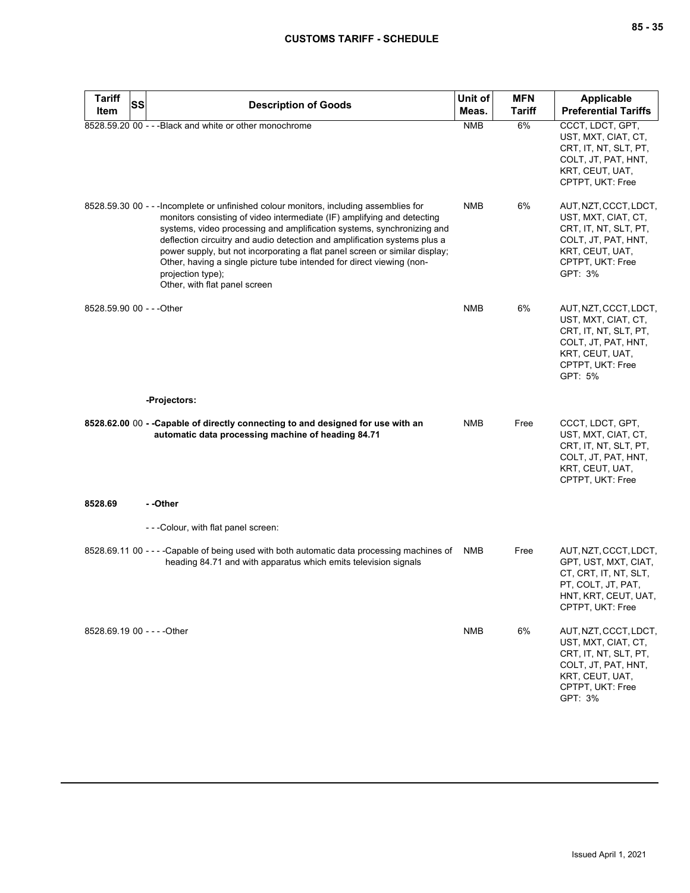| Tariff<br>Item              | SS | <b>Description of Goods</b>                                                                                                                                                                                                                                                                                                                                                                                                                                                                                                            | Unit of<br>Meas. | <b>MFN</b><br><b>Tariff</b> | <b>Applicable</b><br><b>Preferential Tariffs</b>                                                                                               |
|-----------------------------|----|----------------------------------------------------------------------------------------------------------------------------------------------------------------------------------------------------------------------------------------------------------------------------------------------------------------------------------------------------------------------------------------------------------------------------------------------------------------------------------------------------------------------------------------|------------------|-----------------------------|------------------------------------------------------------------------------------------------------------------------------------------------|
|                             |    | 8528.59.20 00 - - - Black and white or other monochrome                                                                                                                                                                                                                                                                                                                                                                                                                                                                                | <b>NMB</b>       | 6%                          | CCCT, LDCT, GPT,<br>UST, MXT, CIAT, CT,<br>CRT, IT, NT, SLT, PT,<br>COLT, JT, PAT, HNT,<br>KRT, CEUT, UAT,<br>CPTPT, UKT: Free                 |
|                             |    | 8528.59.30 00 - - - Incomplete or unfinished colour monitors, including assemblies for<br>monitors consisting of video intermediate (IF) amplifying and detecting<br>systems, video processing and amplification systems, synchronizing and<br>deflection circuitry and audio detection and amplification systems plus a<br>power supply, but not incorporating a flat panel screen or similar display;<br>Other, having a single picture tube intended for direct viewing (non-<br>projection type);<br>Other, with flat panel screen | <b>NMB</b>       | 6%                          | AUT, NZT, CCCT, LDCT,<br>UST, MXT, CIAT, CT,<br>CRT, IT, NT, SLT, PT,<br>COLT, JT, PAT, HNT,<br>KRT, CEUT, UAT,<br>CPTPT, UKT: Free<br>GPT: 3% |
| 8528.59.90 00 - - - Other   |    |                                                                                                                                                                                                                                                                                                                                                                                                                                                                                                                                        | <b>NMB</b>       | 6%                          | AUT, NZT, CCCT, LDCT,<br>UST, MXT, CIAT, CT,<br>CRT, IT, NT, SLT, PT,<br>COLT, JT, PAT, HNT,<br>KRT, CEUT, UAT,<br>CPTPT, UKT: Free<br>GPT: 5% |
|                             |    | -Projectors:                                                                                                                                                                                                                                                                                                                                                                                                                                                                                                                           |                  |                             |                                                                                                                                                |
|                             |    | 8528.62.00 00 - - Capable of directly connecting to and designed for use with an<br>automatic data processing machine of heading 84.71                                                                                                                                                                                                                                                                                                                                                                                                 | <b>NMB</b>       | Free                        | CCCT, LDCT, GPT,<br>UST, MXT, CIAT, CT,<br>CRT, IT, NT, SLT, PT,<br>COLT, JT, PAT, HNT,<br>KRT, CEUT, UAT,<br>CPTPT, UKT: Free                 |
| 8528.69                     |    | - -Other                                                                                                                                                                                                                                                                                                                                                                                                                                                                                                                               |                  |                             |                                                                                                                                                |
|                             |    | ---Colour, with flat panel screen:                                                                                                                                                                                                                                                                                                                                                                                                                                                                                                     |                  |                             |                                                                                                                                                |
|                             |    | 8528.69.11 00 - - - -Capable of being used with both automatic data processing machines of<br>heading 84.71 and with apparatus which emits television signals                                                                                                                                                                                                                                                                                                                                                                          | NMB              | Free                        | AUT, NZT, CCCT, LDCT,<br>GPT, UST, MXT, CIAT,<br>CT, CRT, IT, NT, SLT,<br>PT, COLT, JT, PAT,<br>HNT, KRT, CEUT, UAT,<br>CPTPT, UKT: Free       |
| 8528.69.19 00 - - - - Other |    |                                                                                                                                                                                                                                                                                                                                                                                                                                                                                                                                        | <b>NMB</b>       | 6%                          | AUT, NZT, CCCT, LDCT,<br>UST, MXT, CIAT, CT,<br>CRT, IT, NT, SLT, PT,<br>COLT, JT, PAT, HNT,<br>KRT, CEUT, UAT,<br>CPTPT, UKT: Free<br>GPT: 3% |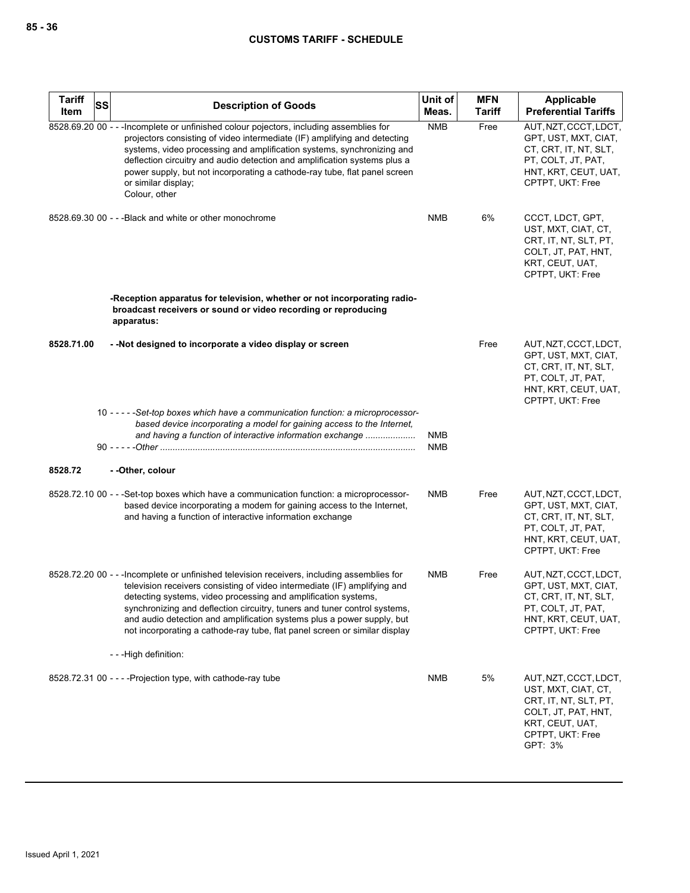| <b>Tariff</b><br>Item | SS | <b>Description of Goods</b>                                                                                                                                                                                                                                                                                                                                                                                                                                                     | Unit of<br>Meas.         | <b>MFN</b><br><b>Tariff</b> | <b>Applicable</b><br><b>Preferential Tariffs</b>                                                                                               |
|-----------------------|----|---------------------------------------------------------------------------------------------------------------------------------------------------------------------------------------------------------------------------------------------------------------------------------------------------------------------------------------------------------------------------------------------------------------------------------------------------------------------------------|--------------------------|-----------------------------|------------------------------------------------------------------------------------------------------------------------------------------------|
|                       |    | 8528.69.20 00 - - - Incomplete or unfinished colour pojectors, including assemblies for<br>projectors consisting of video intermediate (IF) amplifying and detecting<br>systems, video processing and amplification systems, synchronizing and<br>deflection circuitry and audio detection and amplification systems plus a<br>power supply, but not incorporating a cathode-ray tube, flat panel screen<br>or similar display;<br>Colour, other                                | <b>NMB</b>               | Free                        | AUT, NZT, CCCT, LDCT,<br>GPT, UST, MXT, CIAT,<br>CT, CRT, IT, NT, SLT,<br>PT, COLT, JT, PAT,<br>HNT, KRT, CEUT, UAT,<br>CPTPT, UKT: Free       |
|                       |    | 8528.69.30 00 - - - Black and white or other monochrome                                                                                                                                                                                                                                                                                                                                                                                                                         | <b>NMB</b>               | 6%                          | CCCT, LDCT, GPT,<br>UST, MXT, CIAT, CT,<br>CRT, IT, NT, SLT, PT,<br>COLT, JT, PAT, HNT,<br>KRT, CEUT, UAT,<br>CPTPT, UKT: Free                 |
|                       |    | -Reception apparatus for television, whether or not incorporating radio-<br>broadcast receivers or sound or video recording or reproducing<br>apparatus:                                                                                                                                                                                                                                                                                                                        |                          |                             |                                                                                                                                                |
| 8528.71.00            |    | - - Not designed to incorporate a video display or screen                                                                                                                                                                                                                                                                                                                                                                                                                       |                          | Free                        | AUT, NZT, CCCT, LDCT,<br>GPT, UST, MXT, CIAT,<br>CT, CRT, IT, NT, SLT,<br>PT, COLT, JT, PAT,<br>HNT, KRT, CEUT, UAT,<br>CPTPT, UKT: Free       |
|                       |    | 10 - - - - - Set-top boxes which have a communication function: a microprocessor-<br>based device incorporating a model for gaining access to the Internet,<br>and having a function of interactive information exchange                                                                                                                                                                                                                                                        | <b>NMB</b><br><b>NMB</b> |                             |                                                                                                                                                |
| 8528.72               |    | - -Other, colour                                                                                                                                                                                                                                                                                                                                                                                                                                                                |                          |                             |                                                                                                                                                |
|                       |    | 8528.72.10 00 - - -Set-top boxes which have a communication function: a microprocessor-<br>based device incorporating a modem for gaining access to the Internet,<br>and having a function of interactive information exchange                                                                                                                                                                                                                                                  | <b>NMB</b>               | Free                        | AUT, NZT, CCCT, LDCT,<br>GPT, UST, MXT, CIAT,<br>CT, CRT, IT, NT, SLT,<br>PT, COLT, JT, PAT,<br>HNT, KRT, CEUT, UAT,<br>CPTPT, UKT: Free       |
|                       |    | 8528.72.20 00 - - - Incomplete or unfinished television receivers, including assemblies for<br>television receivers consisting of video intermediate (IF) amplifying and<br>detecting systems, video processing and amplification systems,<br>synchronizing and deflection circuitry, tuners and tuner control systems,<br>and audio detection and amplification systems plus a power supply, but<br>not incorporating a cathode-ray tube, flat panel screen or similar display | <b>NMB</b>               | Free                        | AUT, NZT, CCCT, LDCT,<br>GPT, UST, MXT, CIAT,<br>CT, CRT, IT, NT, SLT,<br>PT, COLT, JT, PAT,<br>HNT, KRT, CEUT, UAT,<br>CPTPT, UKT: Free       |
|                       |    | ---High definition:                                                                                                                                                                                                                                                                                                                                                                                                                                                             |                          |                             |                                                                                                                                                |
|                       |    | 8528.72.31 00 - - - - Projection type, with cathode-ray tube                                                                                                                                                                                                                                                                                                                                                                                                                    | <b>NMB</b>               | 5%                          | AUT, NZT, CCCT, LDCT,<br>UST, MXT, CIAT, CT,<br>CRT, IT, NT, SLT, PT,<br>COLT, JT, PAT, HNT,<br>KRT, CEUT, UAT,<br>CPTPT, UKT: Free<br>GPT: 3% |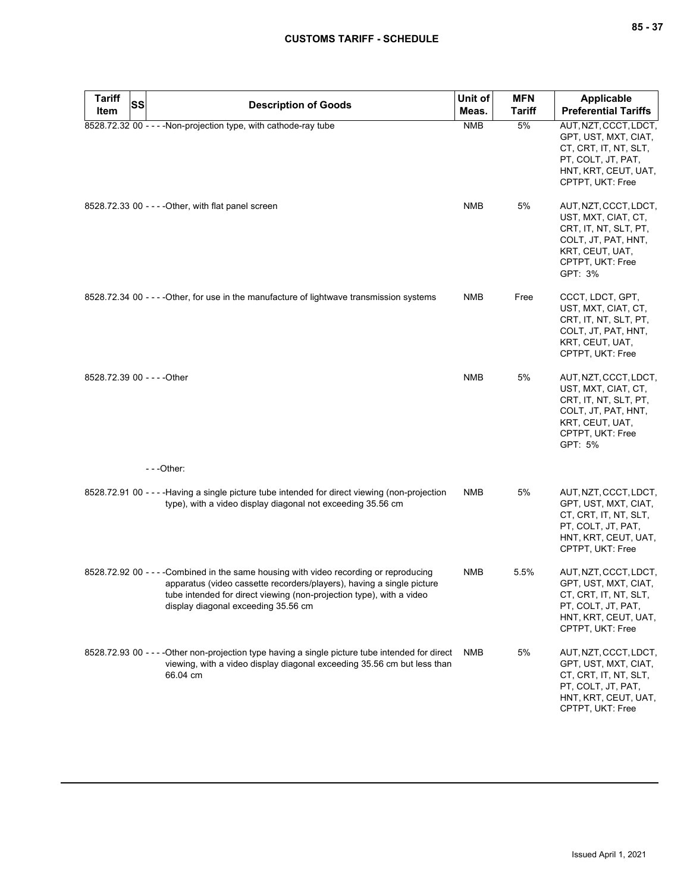| Tariff<br>Item              | SS | <b>Description of Goods</b>                                                                                                                                                                                                                                                    | Unit of<br>Meas. | <b>MFN</b><br><b>Tariff</b> | Applicable<br><b>Preferential Tariffs</b>                                                                                                      |
|-----------------------------|----|--------------------------------------------------------------------------------------------------------------------------------------------------------------------------------------------------------------------------------------------------------------------------------|------------------|-----------------------------|------------------------------------------------------------------------------------------------------------------------------------------------|
|                             |    | 8528.72.32 00 - - - - Non-projection type, with cathode-ray tube                                                                                                                                                                                                               | <b>NMB</b>       | 5%                          | AUT, NZT, CCCT, LDCT,<br>GPT, UST, MXT, CIAT,<br>CT, CRT, IT, NT, SLT,<br>PT, COLT, JT, PAT,<br>HNT, KRT, CEUT, UAT,<br>CPTPT, UKT: Free       |
|                             |    | 8528.72.33 00 - - - - Other, with flat panel screen                                                                                                                                                                                                                            | <b>NMB</b>       | 5%                          | AUT, NZT, CCCT, LDCT,<br>UST, MXT, CIAT, CT,<br>CRT, IT, NT, SLT, PT,<br>COLT, JT, PAT, HNT,<br>KRT, CEUT, UAT,<br>CPTPT, UKT: Free<br>GPT: 3% |
|                             |    | 8528.72.34 00 - - - - Other, for use in the manufacture of lightwave transmission systems                                                                                                                                                                                      | NMB              | Free                        | CCCT, LDCT, GPT,<br>UST, MXT, CIAT, CT,<br>CRT, IT, NT, SLT, PT,<br>COLT, JT, PAT, HNT,<br>KRT, CEUT, UAT,<br>CPTPT, UKT: Free                 |
| 8528.72.39 00 - - - - Other |    |                                                                                                                                                                                                                                                                                | <b>NMB</b>       | 5%                          | AUT, NZT, CCCT, LDCT,<br>UST, MXT, CIAT, CT,<br>CRT, IT, NT, SLT, PT,<br>COLT, JT, PAT, HNT,<br>KRT, CEUT, UAT,<br>CPTPT, UKT: Free<br>GPT: 5% |
|                             |    | ---Other:                                                                                                                                                                                                                                                                      |                  |                             |                                                                                                                                                |
|                             |    | 8528.72.91 00 - - - - Having a single picture tube intended for direct viewing (non-projection<br>type), with a video display diagonal not exceeding 35.56 cm                                                                                                                  | <b>NMB</b>       | 5%                          | AUT, NZT, CCCT, LDCT,<br>GPT, UST, MXT, CIAT,<br>CT, CRT, IT, NT, SLT,<br>PT, COLT, JT, PAT,<br>HNT, KRT, CEUT, UAT,<br>CPTPT, UKT: Free       |
|                             |    | 8528.72.92 00 - - - - Combined in the same housing with video recording or reproducing<br>apparatus (video cassette recorders/players), having a single picture<br>tube intended for direct viewing (non-projection type), with a video<br>display diagonal exceeding 35.56 cm | NMB              | 5.5%                        | AUT, NZT, CCCT, LDCT,<br>GPT, UST, MXT, CIAT,<br>CT, CRT, IT, NT, SLT,<br>PT, COLT, JT, PAT,<br>HNT, KRT, CEUT, UAT,<br>CPTPT, UKT: Free       |
|                             |    | 8528.72.93 00 - - - - Other non-projection type having a single picture tube intended for direct<br>viewing, with a video display diagonal exceeding 35.56 cm but less than<br>66.04 cm                                                                                        | NMB              | 5%                          | AUT, NZT, CCCT, LDCT,<br>GPT, UST, MXT, CIAT,<br>CT, CRT, IT, NT, SLT,<br>PT, COLT, JT, PAT,<br>HNT, KRT, CEUT, UAT,<br>CPTPT, UKT: Free       |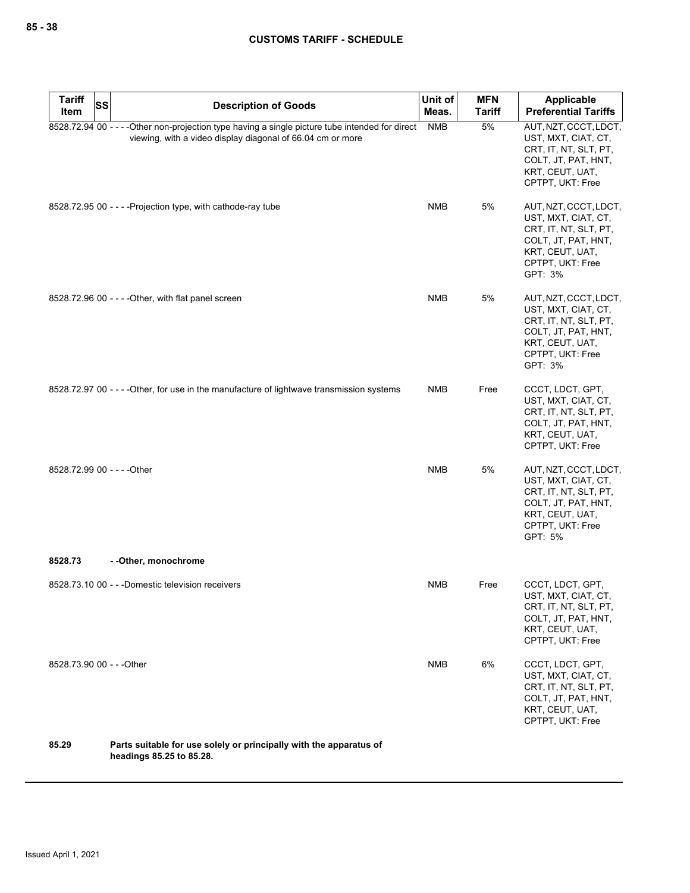| <b>Tariff</b><br>SS<br>Item | <b>Description of Goods</b>                                                                                                                                    | Unit of<br>Meas. | <b>MFN</b><br><b>Tariff</b> | Applicable<br><b>Preferential Tariffs</b>                                                                                                      |
|-----------------------------|----------------------------------------------------------------------------------------------------------------------------------------------------------------|------------------|-----------------------------|------------------------------------------------------------------------------------------------------------------------------------------------|
|                             | 8528.72.94 00 - - - - Other non-projection type having a single picture tube intended for direct<br>viewing, with a video display diagonal of 66.04 cm or more | <b>NMB</b>       | 5%                          | AUT, NZT, CCCT, LDCT,<br>UST, MXT, CIAT, CT,<br>CRT, IT, NT, SLT, PT,<br>COLT, JT, PAT, HNT,<br>KRT, CEUT, UAT,<br>CPTPT, UKT: Free            |
|                             | 8528.72.95 00 - - - - Projection type, with cathode-ray tube                                                                                                   | NMB              | 5%                          | AUT, NZT, CCCT, LDCT,<br>UST, MXT, CIAT, CT,<br>CRT, IT, NT, SLT, PT,<br>COLT, JT, PAT, HNT,<br>KRT, CEUT, UAT,<br>CPTPT, UKT: Free<br>GPT: 3% |
|                             | 8528.72.96 00 - - - - Other, with flat panel screen                                                                                                            | <b>NMB</b>       | 5%                          | AUT, NZT, CCCT, LDCT,<br>UST, MXT, CIAT, CT,<br>CRT, IT, NT, SLT, PT,<br>COLT, JT, PAT, HNT,<br>KRT, CEUT, UAT,<br>CPTPT, UKT: Free<br>GPT: 3% |
|                             | 8528.72.97 00 - - - - Other, for use in the manufacture of lightwave transmission systems                                                                      | <b>NMB</b>       | Free                        | CCCT, LDCT, GPT,<br>UST, MXT, CIAT, CT,<br>CRT, IT, NT, SLT, PT,<br>COLT, JT, PAT, HNT,<br>KRT, CEUT, UAT,<br>CPTPT, UKT: Free                 |
| 8528.72.99 00 - - - - Other |                                                                                                                                                                | <b>NMB</b>       | 5%                          | AUT, NZT, CCCT, LDCT,<br>UST, MXT, CIAT, CT,<br>CRT, IT, NT, SLT, PT,<br>COLT, JT, PAT, HNT,<br>KRT, CEUT, UAT,<br>CPTPT, UKT: Free<br>GPT: 5% |
| 8528.73                     | - - Other, monochrome                                                                                                                                          |                  |                             |                                                                                                                                                |
|                             | 8528.73.10 00 - - - Domestic television receivers                                                                                                              | NMB              | Free                        | CCCT, LDCT, GPT,<br>UST, MXT, CIAT, CT,<br>CRT, IT, NT, SLT, PT,<br>COLT, JT, PAT, HNT,<br>KRT, CEUT, UAT,<br>CPTPT, UKT: Free                 |
| 8528.73.90 00 - - - Other   |                                                                                                                                                                | <b>NMB</b>       | 6%                          | CCCT, LDCT, GPT,<br>UST, MXT, CIAT, CT,<br>CRT, IT, NT, SLT, PT,<br>COLT, JT, PAT, HNT,<br>KRT, CEUT, UAT,<br>CPTPT, UKT: Free                 |
| 85.29                       | Parts suitable for use solely or principally with the apparatus of                                                                                             |                  |                             |                                                                                                                                                |

**85.29 Parts suitable for use solely or principally with the apparatus of headings 85.25 to 85.28.**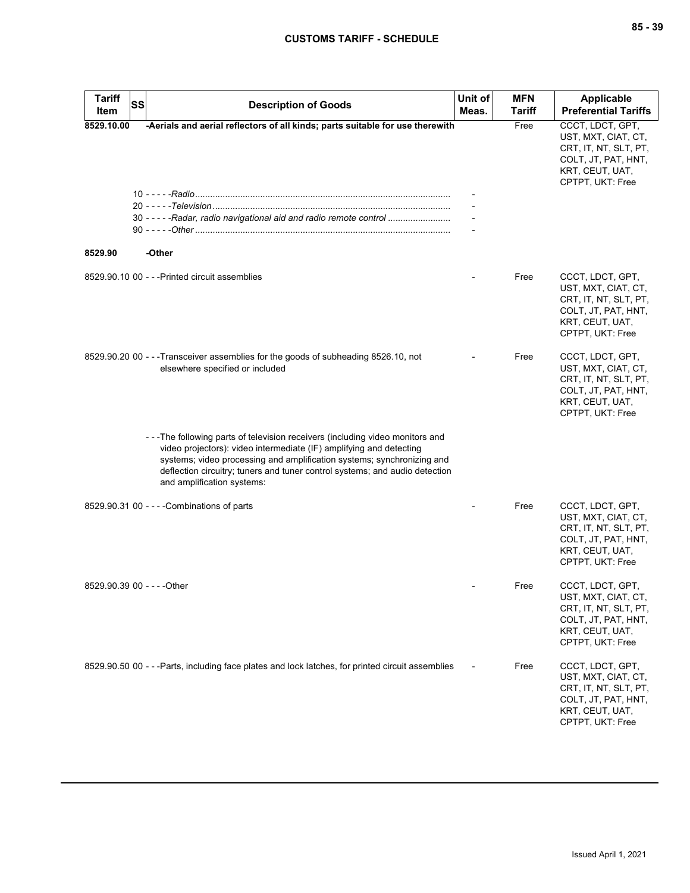| <b>Tariff</b><br><b>SS</b>  | <b>Description of Goods</b>                                                                                                                                                                                                                                                                                                               | Unit of | <b>MFN</b> | <b>Applicable</b>                                                                                                              |
|-----------------------------|-------------------------------------------------------------------------------------------------------------------------------------------------------------------------------------------------------------------------------------------------------------------------------------------------------------------------------------------|---------|------------|--------------------------------------------------------------------------------------------------------------------------------|
| Item                        |                                                                                                                                                                                                                                                                                                                                           | Meas.   | Tariff     | <b>Preferential Tariffs</b>                                                                                                    |
| 8529.10.00                  | -Aerials and aerial reflectors of all kinds; parts suitable for use therewith                                                                                                                                                                                                                                                             |         | Free       | CCCT, LDCT, GPT,<br>UST, MXT, CIAT, CT,<br>CRT, IT, NT, SLT, PT,<br>COLT, JT, PAT, HNT,<br>KRT, CEUT, UAT,<br>CPTPT, UKT: Free |
|                             |                                                                                                                                                                                                                                                                                                                                           |         |            |                                                                                                                                |
|                             |                                                                                                                                                                                                                                                                                                                                           |         |            |                                                                                                                                |
|                             | 30 - - - - - Radar, radio navigational aid and radio remote control                                                                                                                                                                                                                                                                       |         |            |                                                                                                                                |
|                             |                                                                                                                                                                                                                                                                                                                                           |         |            |                                                                                                                                |
| 8529.90                     | -Other                                                                                                                                                                                                                                                                                                                                    |         |            |                                                                                                                                |
|                             | 8529.90.10 00 - - - Printed circuit assemblies                                                                                                                                                                                                                                                                                            |         | Free       | CCCT, LDCT, GPT,<br>UST, MXT, CIAT, CT,<br>CRT, IT, NT, SLT, PT,<br>COLT, JT, PAT, HNT,<br>KRT, CEUT, UAT,<br>CPTPT, UKT: Free |
|                             | 8529.90.20 00 - - - Transceiver assemblies for the goods of subheading 8526.10, not<br>elsewhere specified or included                                                                                                                                                                                                                    |         | Free       | CCCT, LDCT, GPT,<br>UST, MXT, CIAT, CT,<br>CRT, IT, NT, SLT, PT,<br>COLT, JT, PAT, HNT,<br>KRT, CEUT, UAT,<br>CPTPT, UKT: Free |
|                             | --The following parts of television receivers (including video monitors and<br>video projectors): video intermediate (IF) amplifying and detecting<br>systems; video processing and amplification systems; synchronizing and<br>deflection circuitry; tuners and tuner control systems; and audio detection<br>and amplification systems: |         |            |                                                                                                                                |
|                             | 8529.90.31 00 - - - - Combinations of parts                                                                                                                                                                                                                                                                                               |         | Free       | CCCT, LDCT, GPT,<br>UST, MXT, CIAT, CT,<br>CRT, IT, NT, SLT, PT,<br>COLT, JT, PAT, HNT,<br>KRT, CEUT, UAT,<br>CPTPT, UKT: Free |
| 8529.90.39 00 - - - - Other |                                                                                                                                                                                                                                                                                                                                           |         | Free       | CCCT, LDCT, GPT,<br>UST, MXT, CIAT, CT,<br>CRT, IT, NT, SLT, PT,<br>COLT, JT, PAT, HNT,<br>KRT, CEUT, UAT,<br>CPTPT, UKT: Free |
|                             | 8529.90.50 00 - - -Parts, including face plates and lock latches, for printed circuit assemblies                                                                                                                                                                                                                                          |         | Free       | CCCT, LDCT, GPT,<br>UST, MXT, CIAT, CT,<br>CRT, IT, NT, SLT, PT,<br>COLT, JT, PAT, HNT,<br>KRT, CEUT, UAT,<br>CPTPT, UKT: Free |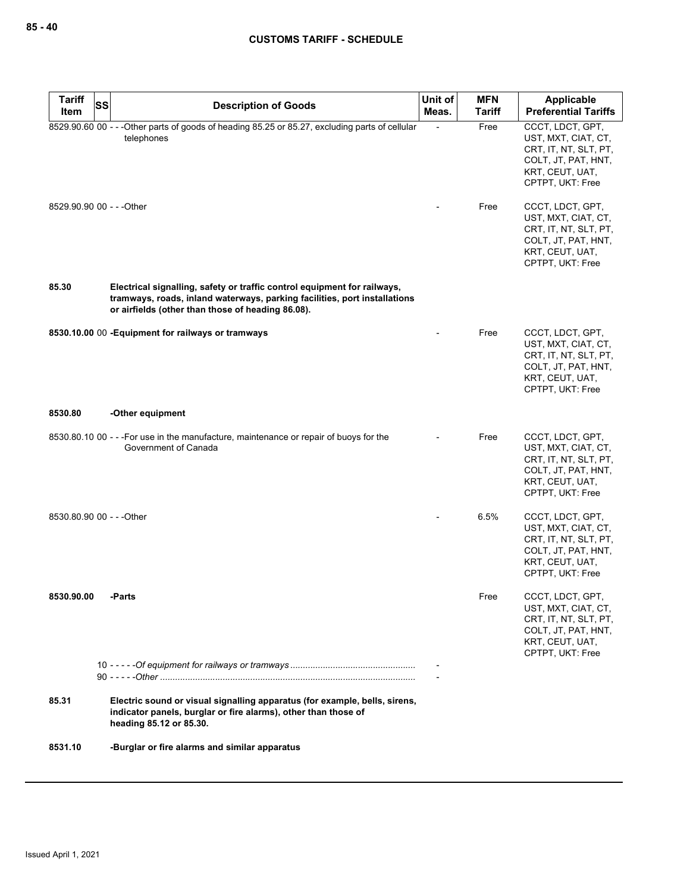| <b>Tariff</b>             | SS | <b>Description of Goods</b>                                                                                                                                                                                | Unit of | <b>MFN</b>    | Applicable                                                                                                                     |
|---------------------------|----|------------------------------------------------------------------------------------------------------------------------------------------------------------------------------------------------------------|---------|---------------|--------------------------------------------------------------------------------------------------------------------------------|
| Item                      |    |                                                                                                                                                                                                            | Meas.   | <b>Tariff</b> | <b>Preferential Tariffs</b>                                                                                                    |
|                           |    | 8529.90.60 00 - - - Other parts of goods of heading 85.25 or 85.27, excluding parts of cellular<br>telephones                                                                                              |         | Free          | CCCT, LDCT, GPT,<br>UST, MXT, CIAT, CT,<br>CRT, IT, NT, SLT, PT,<br>COLT, JT, PAT, HNT,<br>KRT, CEUT, UAT,<br>CPTPT, UKT: Free |
| 8529.90.90 00 - - - Other |    |                                                                                                                                                                                                            |         | Free          | CCCT, LDCT, GPT,<br>UST, MXT, CIAT, CT,<br>CRT, IT, NT, SLT, PT,<br>COLT, JT, PAT, HNT,<br>KRT, CEUT, UAT,<br>CPTPT, UKT: Free |
| 85.30                     |    | Electrical signalling, safety or traffic control equipment for railways,<br>tramways, roads, inland waterways, parking facilities, port installations<br>or airfields (other than those of heading 86.08). |         |               |                                                                                                                                |
|                           |    | 8530.10.00 00 - Equipment for railways or tramways                                                                                                                                                         |         | Free          | CCCT, LDCT, GPT,<br>UST, MXT, CIAT, CT,<br>CRT, IT, NT, SLT, PT,<br>COLT, JT, PAT, HNT,<br>KRT, CEUT, UAT,<br>CPTPT, UKT: Free |
| 8530.80                   |    | -Other equipment                                                                                                                                                                                           |         |               |                                                                                                                                |
|                           |    | 8530.80.10 00 - - - For use in the manufacture, maintenance or repair of buoys for the<br>Government of Canada                                                                                             |         | Free          | CCCT, LDCT, GPT,<br>UST, MXT, CIAT, CT,<br>CRT, IT, NT, SLT, PT,<br>COLT, JT, PAT, HNT,<br>KRT, CEUT, UAT,<br>CPTPT, UKT: Free |
| 8530.80.90 00 - - - Other |    |                                                                                                                                                                                                            |         | 6.5%          | CCCT, LDCT, GPT,<br>UST, MXT, CIAT, CT,<br>CRT, IT, NT, SLT, PT,<br>COLT, JT, PAT, HNT,<br>KRT, CEUT, UAT,<br>CPTPT, UKT: Free |
| 8530.90.00                |    | -Parts                                                                                                                                                                                                     |         | Free          | CCCT, LDCT, GPT,<br>UST, MXT, CIAT, CT,<br>CRT, IT, NT, SLT, PT,<br>COLT, JT, PAT, HNT,<br>KRT, CEUT, UAT,<br>CPTPT, UKT: Free |
|                           |    |                                                                                                                                                                                                            |         |               |                                                                                                                                |
| 85.31                     |    | Electric sound or visual signalling apparatus (for example, bells, sirens,<br>indicator panels, burglar or fire alarms), other than those of<br>heading 85.12 or 85.30.                                    |         |               |                                                                                                                                |
| 8531.10                   |    | -Burglar or fire alarms and similar apparatus                                                                                                                                                              |         |               |                                                                                                                                |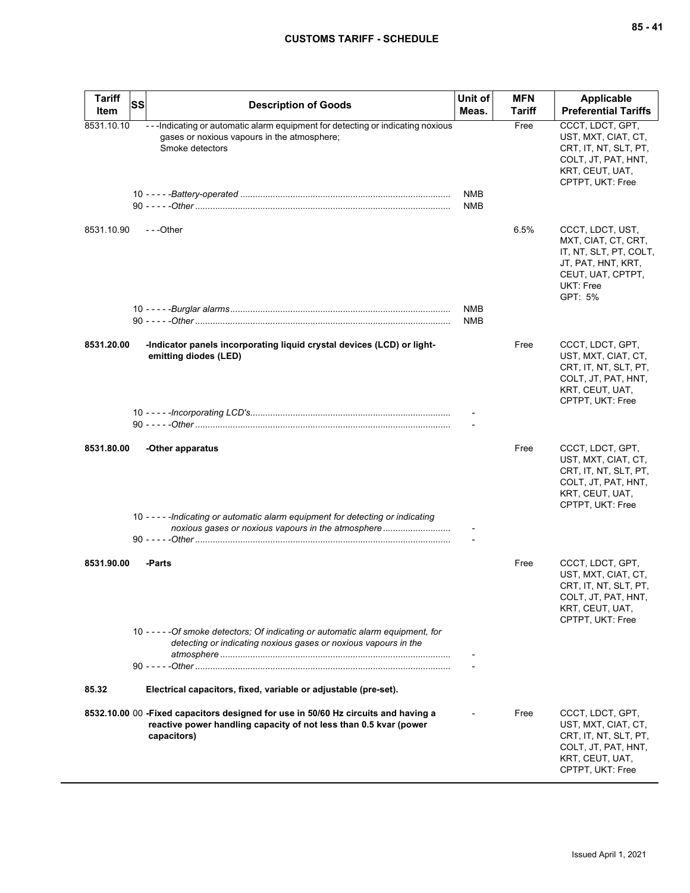| <b>Tariff</b> | SS | <b>Description of Goods</b>                                                                                                                                            | Unit of                  | <b>MFN</b>    | Applicable                                                                                                                           |
|---------------|----|------------------------------------------------------------------------------------------------------------------------------------------------------------------------|--------------------------|---------------|--------------------------------------------------------------------------------------------------------------------------------------|
| Item          |    |                                                                                                                                                                        | Meas.                    | <b>Tariff</b> | <b>Preferential Tariffs</b>                                                                                                          |
| 8531.10.10    |    | ---Indicating or automatic alarm equipment for detecting or indicating noxious<br>gases or noxious vapours in the atmosphere;<br>Smoke detectors                       | <b>NMB</b>               | Free          | CCCT, LDCT, GPT,<br>UST, MXT, CIAT, CT,<br>CRT, IT, NT, SLT, PT,<br>COLT, JT, PAT, HNT,<br>KRT, CEUT, UAT,<br>CPTPT, UKT: Free       |
|               |    |                                                                                                                                                                        | <b>NMB</b>               |               |                                                                                                                                      |
| 8531.10.90    |    | ---Other                                                                                                                                                               |                          | 6.5%          | CCCT, LDCT, UST,<br>MXT, CIAT, CT, CRT,<br>IT, NT, SLT, PT, COLT,<br>JT, PAT, HNT, KRT,<br>CEUT, UAT, CPTPT,<br>UKT: Free<br>GPT: 5% |
|               |    |                                                                                                                                                                        | <b>NMB</b><br><b>NMB</b> |               |                                                                                                                                      |
| 8531.20.00    |    | -Indicator panels incorporating liquid crystal devices (LCD) or light-<br>emitting diodes (LED)                                                                        |                          | Free          | CCCT, LDCT, GPT,<br>UST, MXT, CIAT, CT,<br>CRT, IT, NT, SLT, PT,<br>COLT, JT, PAT, HNT,<br>KRT, CEUT, UAT,<br>CPTPT, UKT: Free       |
|               |    |                                                                                                                                                                        |                          |               |                                                                                                                                      |
| 8531.80.00    |    | -Other apparatus                                                                                                                                                       |                          | Free          | CCCT, LDCT, GPT,<br>UST, MXT, CIAT, CT,<br>CRT, IT, NT, SLT, PT,<br>COLT, JT, PAT, HNT,<br>KRT, CEUT, UAT,<br>CPTPT, UKT: Free       |
|               |    | 10 - - - - - Indicating or automatic alarm equipment for detecting or indicating<br>noxious gases or noxious vapours in the atmosphere                                 |                          |               |                                                                                                                                      |
| 8531.90.00    |    | -Parts                                                                                                                                                                 |                          | Free          | CCCT, LDCT, GPT,<br>UST, MXT, CIAT, CT,<br>CRT, IT, NT, SLT, PT,<br>COLT, JT, PAT, HNT,<br>KRT, CEUT, UAT,<br>CPTPT, UKT: Free       |
|               |    | 10 - - - - - Of smoke detectors; Of indicating or automatic alarm equipment, for<br>detecting or indicating noxious gases or noxious vapours in the                    |                          |               |                                                                                                                                      |
| 85.32         |    | Electrical capacitors, fixed, variable or adjustable (pre-set).                                                                                                        |                          |               |                                                                                                                                      |
|               |    |                                                                                                                                                                        |                          |               |                                                                                                                                      |
|               |    | 8532.10.00 00 -Fixed capacitors designed for use in 50/60 Hz circuits and having a<br>reactive power handling capacity of not less than 0.5 kvar (power<br>capacitors) |                          | Free          | CCCT, LDCT, GPT,<br>UST, MXT, CIAT, CT,<br>CRT, IT, NT, SLT, PT,<br>COLT, JT, PAT, HNT,<br>KRT, CEUT, UAT,<br>CPTPT, UKT: Free       |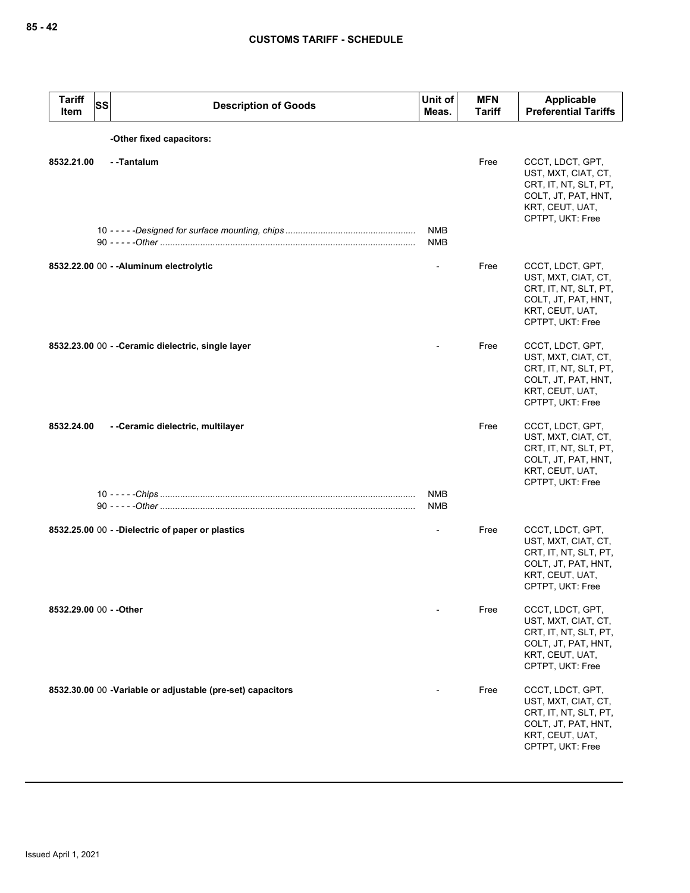| <b>Tariff</b><br>Item   | SS | <b>Description of Goods</b>                                | Unit of<br>Meas.         | <b>MFN</b><br><b>Tariff</b> | <b>Applicable</b><br><b>Preferential Tariffs</b>                                                                               |
|-------------------------|----|------------------------------------------------------------|--------------------------|-----------------------------|--------------------------------------------------------------------------------------------------------------------------------|
|                         |    | -Other fixed capacitors:                                   |                          |                             |                                                                                                                                |
| 8532.21.00              |    | --Tantalum                                                 |                          | Free                        | CCCT, LDCT, GPT,<br>UST, MXT, CIAT, CT,<br>CRT, IT, NT, SLT, PT,<br>COLT, JT, PAT, HNT,<br>KRT, CEUT, UAT,<br>CPTPT, UKT: Free |
|                         |    |                                                            | <b>NMB</b><br><b>NMB</b> |                             |                                                                                                                                |
|                         |    | 8532.22.00 00 - - Aluminum electrolytic                    |                          | Free                        | CCCT, LDCT, GPT,<br>UST, MXT, CIAT, CT,<br>CRT, IT, NT, SLT, PT,<br>COLT, JT, PAT, HNT,<br>KRT, CEUT, UAT,<br>CPTPT, UKT: Free |
|                         |    | 8532.23.00 00 - - Ceramic dielectric, single layer         |                          | Free                        | CCCT, LDCT, GPT,<br>UST, MXT, CIAT, CT,<br>CRT, IT, NT, SLT, PT,<br>COLT, JT, PAT, HNT,<br>KRT, CEUT, UAT,<br>CPTPT, UKT: Free |
| 8532.24.00              |    | - - Ceramic dielectric, multilayer                         | <b>NMB</b>               | Free                        | CCCT, LDCT, GPT,<br>UST, MXT, CIAT, CT,<br>CRT, IT, NT, SLT, PT,<br>COLT, JT, PAT, HNT,<br>KRT, CEUT, UAT,<br>CPTPT, UKT: Free |
|                         |    |                                                            | <b>NMB</b>               |                             |                                                                                                                                |
|                         |    | 8532.25.00 00 - -Dielectric of paper or plastics           |                          | Free                        | CCCT, LDCT, GPT,<br>UST, MXT, CIAT, CT,<br>CRT, IT, NT, SLT, PT,<br>COLT, JT, PAT, HNT,<br>KRT, CEUT, UAT,<br>CPTPT, UKT: Free |
| 8532.29.00 00 - - Other |    |                                                            |                          | Free                        | CCCT, LDCT, GPT,<br>UST, MXT, CIAT, CT,<br>CRT, IT, NT, SLT, PT,<br>COLT, JT, PAT, HNT,<br>KRT, CEUT, UAT,<br>CPTPT, UKT: Free |
|                         |    | 8532.30.00 00 -Variable or adjustable (pre-set) capacitors |                          | Free                        | CCCT, LDCT, GPT,<br>UST, MXT, CIAT, CT,<br>CRT, IT, NT, SLT, PT,<br>COLT, JT, PAT, HNT,<br>KRT, CEUT, UAT,<br>CPTPT, UKT: Free |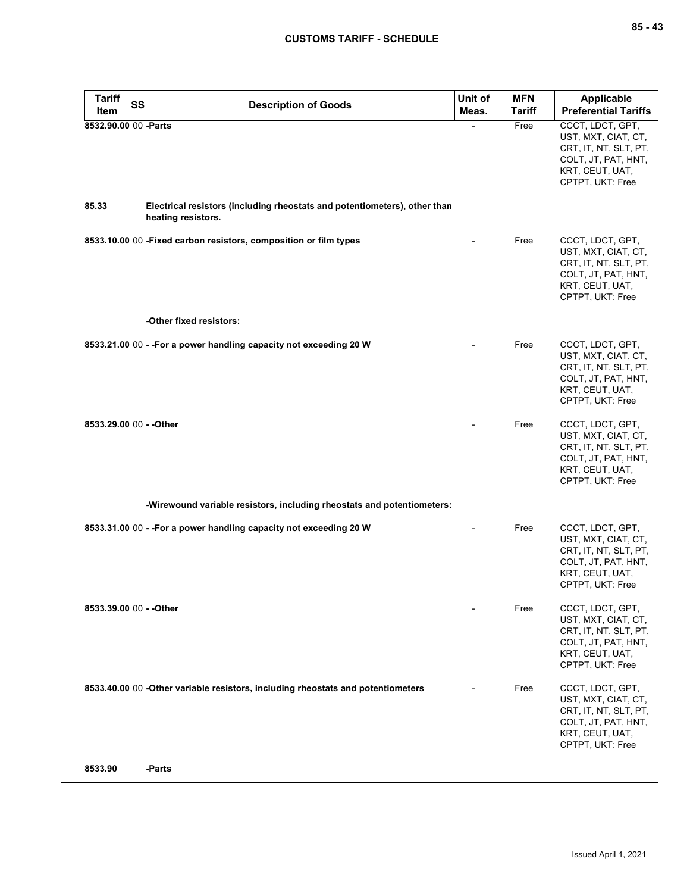| <b>Tariff</b><br><b>SS</b><br>Item | <b>Description of Goods</b>                                                                     | Unit of<br>Meas. | <b>MFN</b><br>Tariff | Applicable<br><b>Preferential Tariffs</b>                                                                                      |
|------------------------------------|-------------------------------------------------------------------------------------------------|------------------|----------------------|--------------------------------------------------------------------------------------------------------------------------------|
| 8532.90.00 00 -Parts               |                                                                                                 |                  | Free                 | CCCT, LDCT, GPT,<br>UST, MXT, CIAT, CT,<br>CRT, IT, NT, SLT, PT,<br>COLT, JT, PAT, HNT,<br>KRT, CEUT, UAT,<br>CPTPT, UKT: Free |
| 85.33                              | Electrical resistors (including rheostats and potentiometers), other than<br>heating resistors. |                  |                      |                                                                                                                                |
|                                    | 8533.10.00 00 - Fixed carbon resistors, composition or film types                               |                  | Free                 | CCCT, LDCT, GPT,<br>UST, MXT, CIAT, CT,<br>CRT, IT, NT, SLT, PT,<br>COLT, JT, PAT, HNT,<br>KRT, CEUT, UAT,<br>CPTPT, UKT: Free |
|                                    | -Other fixed resistors:                                                                         |                  |                      |                                                                                                                                |
|                                    | 8533.21.00 00 - - For a power handling capacity not exceeding 20 W                              |                  | Free                 | CCCT, LDCT, GPT,<br>UST, MXT, CIAT, CT,<br>CRT, IT, NT, SLT, PT,<br>COLT, JT, PAT, HNT,<br>KRT, CEUT, UAT,<br>CPTPT, UKT: Free |
| 8533.29.00 00 - - Other            |                                                                                                 |                  | Free                 | CCCT, LDCT, GPT,<br>UST, MXT, CIAT, CT,<br>CRT, IT, NT, SLT, PT,<br>COLT, JT, PAT, HNT,<br>KRT, CEUT, UAT,<br>CPTPT, UKT: Free |
|                                    | -Wirewound variable resistors, including rheostats and potentiometers:                          |                  |                      |                                                                                                                                |
|                                    | 8533.31.00 00 - - For a power handling capacity not exceeding 20 W                              |                  | Free                 | CCCT, LDCT, GPT,<br>UST, MXT, CIAT, CT,<br>CRT, IT, NT, SLT, PT,<br>COLT, JT, PAT, HNT,<br>KRT, CEUT, UAT,<br>CPTPT, UKT: Free |
| 8533.39.00 00 - - Other            |                                                                                                 |                  | Free                 | CCCT, LDCT, GPT,<br>UST, MXT, CIAT, CT,<br>CRT, IT, NT, SLT, PT,<br>COLT, JT, PAT, HNT,<br>KRT, CEUT, UAT,<br>CPTPT, UKT: Free |
|                                    | 8533.40.00 00 -Other variable resistors, including rheostats and potentiometers                 |                  | Free                 | CCCT, LDCT, GPT,<br>UST, MXT, CIAT, CT,<br>CRT, IT, NT, SLT, PT,<br>COLT, JT, PAT, HNT,<br>KRT, CEUT, UAT,<br>CPTPT, UKT: Free |
| 8533.90                            | -Parts                                                                                          |                  |                      |                                                                                                                                |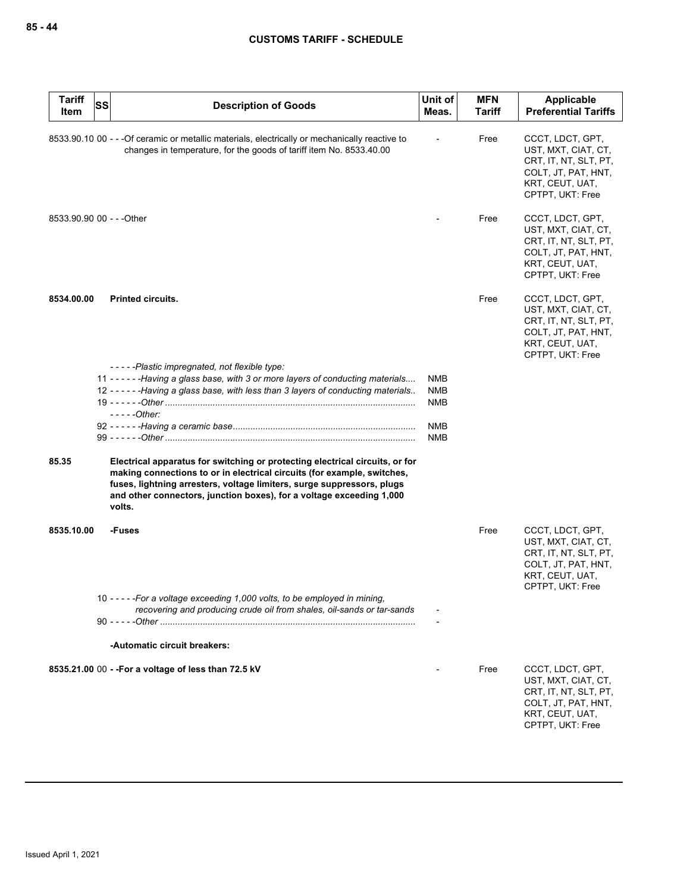| <b>Tariff</b><br>Item     | <b>SS</b> | <b>Description of Goods</b>                                                                                                                                                                                                                                                                                         | Unit of<br>Meas.                | <b>MFN</b><br><b>Tariff</b> | Applicable<br><b>Preferential Tariffs</b>                                                                                      |
|---------------------------|-----------|---------------------------------------------------------------------------------------------------------------------------------------------------------------------------------------------------------------------------------------------------------------------------------------------------------------------|---------------------------------|-----------------------------|--------------------------------------------------------------------------------------------------------------------------------|
|                           |           | 8533.90.10 00 - - - Of ceramic or metallic materials, electrically or mechanically reactive to<br>changes in temperature, for the goods of tariff item No. 8533.40.00                                                                                                                                               |                                 | Free                        | CCCT, LDCT, GPT,<br>UST, MXT, CIAT, CT,<br>CRT, IT, NT, SLT, PT,<br>COLT, JT, PAT, HNT,<br>KRT, CEUT, UAT,<br>CPTPT, UKT: Free |
| 8533.90.90 00 - - - Other |           |                                                                                                                                                                                                                                                                                                                     |                                 | Free                        | CCCT, LDCT, GPT,<br>UST, MXT, CIAT, CT,<br>CRT, IT, NT, SLT, PT,<br>COLT, JT, PAT, HNT,<br>KRT, CEUT, UAT,<br>CPTPT, UKT: Free |
| 8534.00.00                |           | <b>Printed circuits.</b>                                                                                                                                                                                                                                                                                            |                                 | Free                        | CCCT, LDCT, GPT,<br>UST, MXT, CIAT, CT,<br>CRT, IT, NT, SLT, PT,<br>COLT, JT, PAT, HNT,<br>KRT, CEUT, UAT,<br>CPTPT, UKT: Free |
|                           |           | -----Plastic impregnated, not flexible type:<br>11 - - - - - - Having a glass base, with 3 or more layers of conducting materials<br>12 - - - - - - Having a glass base, with less than 3 layers of conducting materials<br>$---Other:$                                                                             | <b>NMB</b><br><b>NMB</b><br>NMB |                             |                                                                                                                                |
|                           |           |                                                                                                                                                                                                                                                                                                                     | <b>NMB</b><br><b>NMB</b>        |                             |                                                                                                                                |
| 85.35                     |           | Electrical apparatus for switching or protecting electrical circuits, or for<br>making connections to or in electrical circuits (for example, switches,<br>fuses, lightning arresters, voltage limiters, surge suppressors, plugs<br>and other connectors, junction boxes), for a voltage exceeding 1,000<br>volts. |                                 |                             |                                                                                                                                |
| 8535.10.00                |           | -Fuses                                                                                                                                                                                                                                                                                                              |                                 | Free                        | CCCT, LDCT, GPT,<br>UST, MXT, CIAT, CT,<br>CRT, IT, NT, SLT, PT,<br>COLT, JT, PAT, HNT,<br>KRT, CEUT, UAT,<br>CPTPT, UKT: Free |
|                           |           | 10 - - - - - For a voltage exceeding 1,000 volts, to be employed in mining,<br>recovering and producing crude oil from shales, oil-sands or tar-sands                                                                                                                                                               |                                 |                             |                                                                                                                                |
|                           |           | -Automatic circuit breakers:                                                                                                                                                                                                                                                                                        |                                 |                             |                                                                                                                                |
|                           |           | 8535.21.00 00 - - For a voltage of less than 72.5 kV                                                                                                                                                                                                                                                                |                                 | Free                        | CCCT, LDCT, GPT,<br>UST, MXT, CIAT, CT,<br>CRT, IT, NT, SLT, PT,<br>COLT, JT, PAT, HNT,<br>KRT, CEUT, UAT,<br>CPTPT, UKT: Free |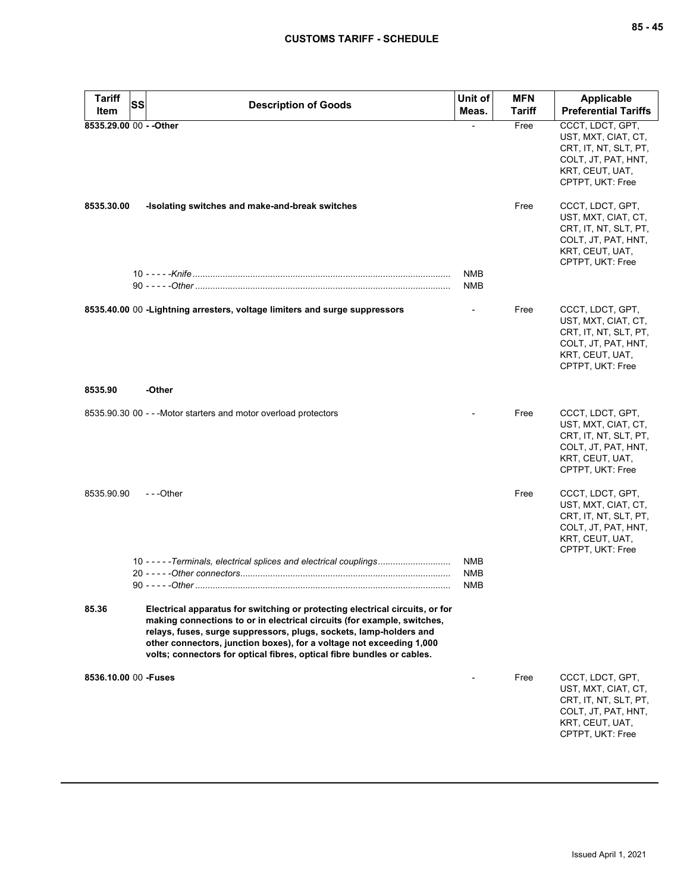| <b>Tariff</b><br>Item   | SS | <b>Description of Goods</b>                                                                                                                                                                                                                                                                                                                                                     | Unit of<br>Meas.                       | <b>MFN</b><br>Tariff | Applicable<br><b>Preferential Tariffs</b>                                                                                      |
|-------------------------|----|---------------------------------------------------------------------------------------------------------------------------------------------------------------------------------------------------------------------------------------------------------------------------------------------------------------------------------------------------------------------------------|----------------------------------------|----------------------|--------------------------------------------------------------------------------------------------------------------------------|
| 8535.29.00 00 - - Other |    |                                                                                                                                                                                                                                                                                                                                                                                 |                                        | Free                 | CCCT, LDCT, GPT,<br>UST, MXT, CIAT, CT,<br>CRT, IT, NT, SLT, PT,<br>COLT, JT, PAT, HNT,<br>KRT, CEUT, UAT,<br>CPTPT, UKT: Free |
| 8535.30.00              |    | -Isolating switches and make-and-break switches                                                                                                                                                                                                                                                                                                                                 |                                        | Free                 | CCCT, LDCT, GPT,<br>UST, MXT, CIAT, CT,<br>CRT, IT, NT, SLT, PT,<br>COLT, JT, PAT, HNT,<br>KRT, CEUT, UAT,<br>CPTPT, UKT: Free |
|                         |    |                                                                                                                                                                                                                                                                                                                                                                                 | <b>NMB</b><br><b>NMB</b>               |                      |                                                                                                                                |
|                         |    | 8535.40.00 00 - Lightning arresters, voltage limiters and surge suppressors                                                                                                                                                                                                                                                                                                     |                                        | Free                 | CCCT, LDCT, GPT,<br>UST, MXT, CIAT, CT,<br>CRT, IT, NT, SLT, PT,<br>COLT, JT, PAT, HNT,<br>KRT, CEUT, UAT,<br>CPTPT, UKT: Free |
| 8535.90                 |    | -Other                                                                                                                                                                                                                                                                                                                                                                          |                                        |                      |                                                                                                                                |
|                         |    | 8535.90.30 00 - - - Motor starters and motor overload protectors                                                                                                                                                                                                                                                                                                                |                                        | Free                 | CCCT, LDCT, GPT,<br>UST, MXT, CIAT, CT,<br>CRT, IT, NT, SLT, PT,<br>COLT, JT, PAT, HNT,<br>KRT, CEUT, UAT,<br>CPTPT, UKT: Free |
| 8535.90.90              |    | ---Other                                                                                                                                                                                                                                                                                                                                                                        |                                        | Free                 | CCCT, LDCT, GPT,<br>UST, MXT, CIAT, CT,<br>CRT, IT, NT, SLT, PT,<br>COLT, JT, PAT, HNT,<br>KRT, CEUT, UAT,<br>CPTPT, UKT: Free |
|                         |    | 10 - - - - - Terminals, electrical splices and electrical couplings                                                                                                                                                                                                                                                                                                             | <b>NMB</b><br><b>NMB</b><br><b>NMB</b> |                      |                                                                                                                                |
| 85.36                   |    | Electrical apparatus for switching or protecting electrical circuits, or for<br>making connections to or in electrical circuits (for example, switches,<br>relays, fuses, surge suppressors, plugs, sockets, lamp-holders and<br>other connectors, junction boxes), for a voltage not exceeding 1,000<br>volts; connectors for optical fibres, optical fibre bundles or cables. |                                        |                      |                                                                                                                                |
| 8536.10.00 00 - Fuses   |    |                                                                                                                                                                                                                                                                                                                                                                                 |                                        | Free                 | CCCT, LDCT, GPT,<br>UST, MXT, CIAT, CT,<br>CRT, IT, NT, SLT, PT,<br>COLT, JT, PAT, HNT,<br>KRT, CEUT, UAT,<br>CPTPT, UKT: Free |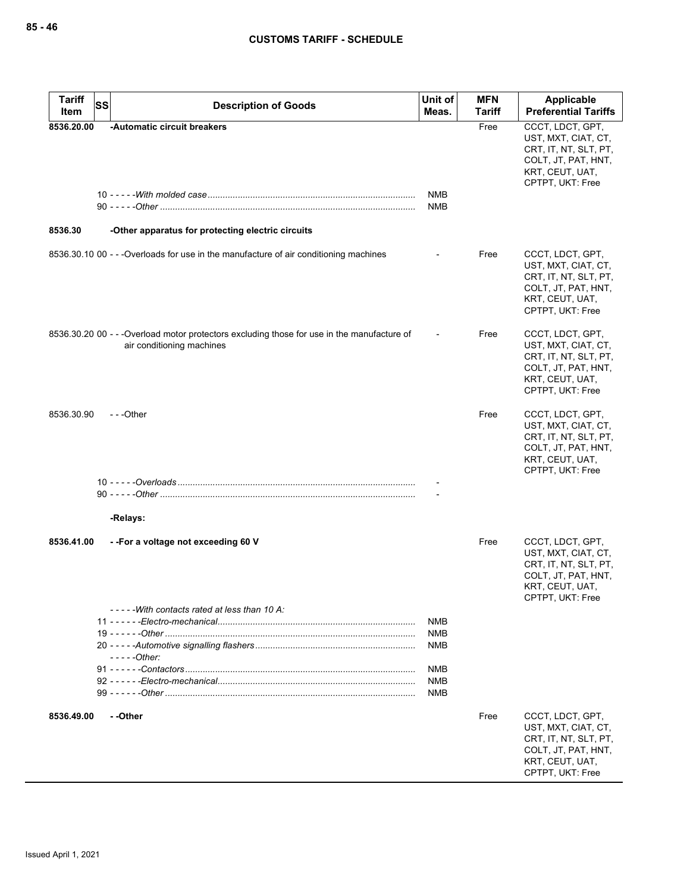| <b>Tariff</b>         | <b>SS</b><br><b>Description of Goods</b>                                                                                 | Unit of<br>Meas.         | <b>MFN</b><br>Tariff | Applicable<br><b>Preferential Tariffs</b>                                                                                      |
|-----------------------|--------------------------------------------------------------------------------------------------------------------------|--------------------------|----------------------|--------------------------------------------------------------------------------------------------------------------------------|
| Item                  |                                                                                                                          |                          |                      |                                                                                                                                |
| 8536.20.00<br>8536.30 | -Automatic circuit breakers<br>-Other apparatus for protecting electric circuits                                         | NMB<br><b>NMB</b>        | Free                 | CCCT, LDCT, GPT,<br>UST, MXT, CIAT, CT,<br>CRT, IT, NT, SLT, PT,<br>COLT, JT, PAT, HNT,<br>KRT, CEUT, UAT,<br>CPTPT, UKT: Free |
|                       |                                                                                                                          |                          |                      |                                                                                                                                |
|                       | 8536.30.10 00 - - - Overloads for use in the manufacture of air conditioning machines                                    |                          | Free                 | CCCT, LDCT, GPT,<br>UST, MXT, CIAT, CT,<br>CRT, IT, NT, SLT, PT,<br>COLT, JT, PAT, HNT,<br>KRT, CEUT, UAT,<br>CPTPT, UKT: Free |
|                       | 8536.30.20 00 - - - Overload motor protectors excluding those for use in the manufacture of<br>air conditioning machines |                          | Free                 | CCCT, LDCT, GPT,<br>UST, MXT, CIAT, CT,<br>CRT, IT, NT, SLT, PT,<br>COLT, JT, PAT, HNT,<br>KRT, CEUT, UAT,<br>CPTPT, UKT: Free |
| 8536.30.90            | $-$ - -Other                                                                                                             |                          | Free                 | CCCT, LDCT, GPT,<br>UST, MXT, CIAT, CT,<br>CRT, IT, NT, SLT, PT,<br>COLT, JT, PAT, HNT,<br>KRT, CEUT, UAT,<br>CPTPT, UKT: Free |
|                       |                                                                                                                          |                          |                      |                                                                                                                                |
|                       |                                                                                                                          |                          |                      |                                                                                                                                |
|                       | -Relays:                                                                                                                 |                          |                      |                                                                                                                                |
| 8536.41.00            | --For a voltage not exceeding 60 V                                                                                       |                          | Free                 | CCCT, LDCT, GPT,<br>UST, MXT, CIAT, CT,<br>CRT, IT, NT, SLT, PT,<br>COLT, JT, PAT, HNT,<br>KRT, CEUT, UAT,<br>CPTPT, UKT: Free |
|                       | -----With contacts rated at less than 10 A:                                                                              |                          |                      |                                                                                                                                |
|                       |                                                                                                                          | <b>NMB</b>               |                      |                                                                                                                                |
|                       |                                                                                                                          | <b>NMB</b>               |                      |                                                                                                                                |
|                       | - - - - -Other:                                                                                                          | <b>NMB</b>               |                      |                                                                                                                                |
|                       |                                                                                                                          | <b>NMB</b>               |                      |                                                                                                                                |
|                       |                                                                                                                          | <b>NMB</b><br><b>NMB</b> |                      |                                                                                                                                |
|                       |                                                                                                                          |                          |                      |                                                                                                                                |
| 8536.49.00            | - -Other                                                                                                                 |                          | Free                 | CCCT, LDCT, GPT,<br>UST, MXT, CIAT, CT,<br>CRT, IT, NT, SLT, PT,<br>COLT, JT, PAT, HNT,<br>KRT, CEUT, UAT,<br>CPTPT, UKT: Free |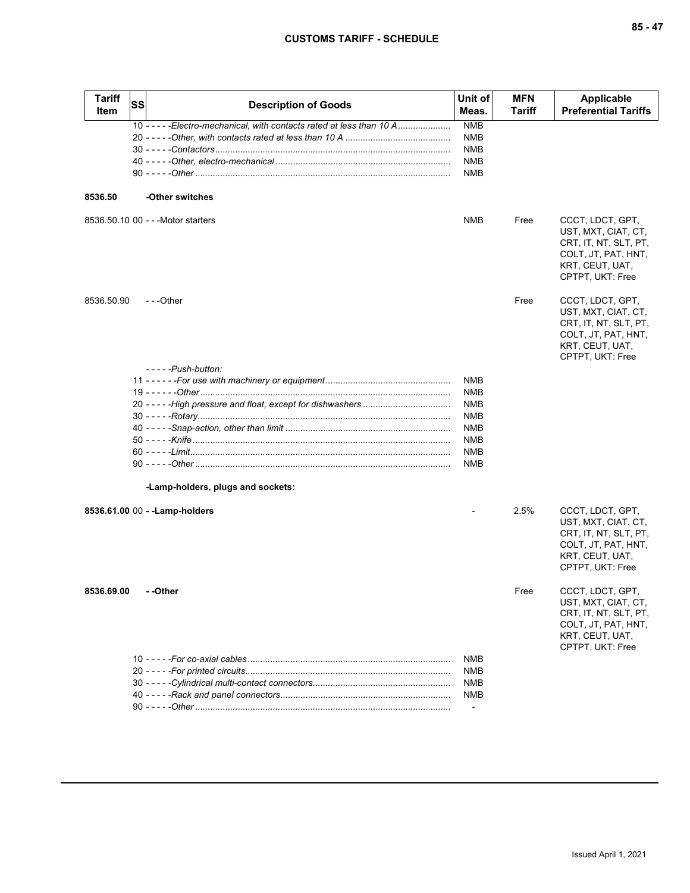| Tariff<br>Item | SS | <b>Description of Goods</b>                                            | Unit of<br>Meas.         | <b>MFN</b><br>Tariff | <b>Applicable</b><br><b>Preferential Tariffs</b>                                                                               |
|----------------|----|------------------------------------------------------------------------|--------------------------|----------------------|--------------------------------------------------------------------------------------------------------------------------------|
|                |    | 10 - - - - - Electro-mechanical, with contacts rated at less than 10 A | <b>NMB</b>               |                      |                                                                                                                                |
|                |    |                                                                        | <b>NMB</b>               |                      |                                                                                                                                |
|                |    |                                                                        | <b>NMB</b>               |                      |                                                                                                                                |
|                |    |                                                                        | <b>NMB</b>               |                      |                                                                                                                                |
|                |    |                                                                        | <b>NMB</b>               |                      |                                                                                                                                |
| 8536.50        |    | -Other switches                                                        |                          |                      |                                                                                                                                |
|                |    | 8536.50.10 00 - - - Motor starters                                     | <b>NMB</b>               | Free                 | CCCT, LDCT, GPT,<br>UST, MXT, CIAT, CT,<br>CRT, IT, NT, SLT, PT,<br>COLT, JT, PAT, HNT,<br>KRT, CEUT, UAT,<br>CPTPT, UKT: Free |
| 8536.50.90     |    | - - -Other                                                             |                          | Free                 | CCCT, LDCT, GPT,<br>UST, MXT, CIAT, CT,<br>CRT, IT, NT, SLT, PT,<br>COLT, JT, PAT, HNT,<br>KRT, CEUT, UAT,<br>CPTPT, UKT: Free |
|                |    | - - - - - Push-button:                                                 |                          |                      |                                                                                                                                |
|                |    |                                                                        | <b>NMB</b>               |                      |                                                                                                                                |
|                |    |                                                                        | <b>NMB</b>               |                      |                                                                                                                                |
|                |    |                                                                        | <b>NMB</b>               |                      |                                                                                                                                |
|                |    |                                                                        | <b>NMB</b>               |                      |                                                                                                                                |
|                |    |                                                                        | <b>NMB</b>               |                      |                                                                                                                                |
|                |    |                                                                        | <b>NMB</b>               |                      |                                                                                                                                |
|                |    |                                                                        | <b>NMB</b><br><b>NMB</b> |                      |                                                                                                                                |
|                |    |                                                                        |                          |                      |                                                                                                                                |
|                |    | -Lamp-holders, plugs and sockets:                                      |                          |                      |                                                                                                                                |
|                |    | 8536.61.00 00 - - Lamp-holders                                         |                          | 2.5%                 | CCCT, LDCT, GPT,<br>UST, MXT, CIAT, CT,<br>CRT, IT, NT, SLT, PT,<br>COLT, JT, PAT, HNT,<br>KRT, CEUT, UAT,<br>CPTPT, UKT: Free |
| 8536.69.00     |    | - -Other                                                               |                          | Free                 | CCCT, LDCT, GPT,<br>UST, MXT, CIAT, CT,<br>CRT, IT, NT, SLT, PT,<br>COLT, JT, PAT, HNT,<br>KRT, CEUT, UAT,<br>CPTPT, UKT: Free |
|                |    |                                                                        | NMB                      |                      |                                                                                                                                |
|                |    |                                                                        | <b>NMB</b>               |                      |                                                                                                                                |
|                |    |                                                                        | NMB                      |                      |                                                                                                                                |
|                |    |                                                                        | <b>NMB</b>               |                      |                                                                                                                                |
|                |    |                                                                        |                          |                      |                                                                                                                                |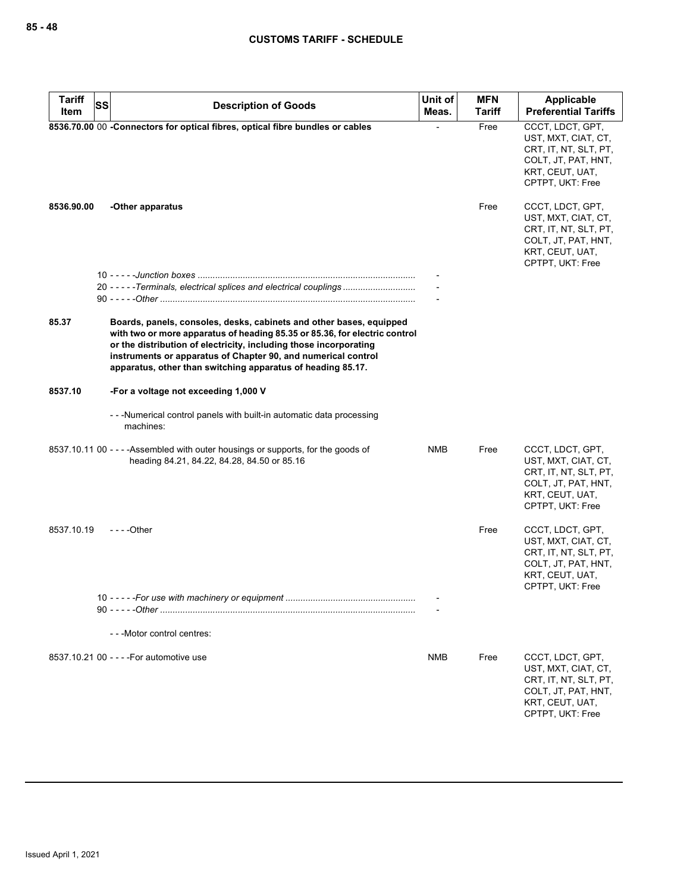| <b>Tariff</b> | SS<br><b>Description of Goods</b>                                                                                                                                                                                                                                                                                                                      | Unit of    | <b>MFN</b>    | Applicable                                                                                                                     |
|---------------|--------------------------------------------------------------------------------------------------------------------------------------------------------------------------------------------------------------------------------------------------------------------------------------------------------------------------------------------------------|------------|---------------|--------------------------------------------------------------------------------------------------------------------------------|
| Item          |                                                                                                                                                                                                                                                                                                                                                        | Meas.      | <b>Tariff</b> | <b>Preferential Tariffs</b>                                                                                                    |
|               | 8536.70.00 00 -Connectors for optical fibres, optical fibre bundles or cables                                                                                                                                                                                                                                                                          |            | Free          | CCCT, LDCT, GPT,<br>UST, MXT, CIAT, CT,<br>CRT, IT, NT, SLT, PT,<br>COLT, JT, PAT, HNT,<br>KRT, CEUT, UAT,<br>CPTPT, UKT: Free |
| 8536.90.00    | -Other apparatus                                                                                                                                                                                                                                                                                                                                       |            | Free          | CCCT, LDCT, GPT,<br>UST, MXT, CIAT, CT,<br>CRT, IT, NT, SLT, PT,<br>COLT, JT, PAT, HNT,<br>KRT, CEUT, UAT,<br>CPTPT, UKT: Free |
|               |                                                                                                                                                                                                                                                                                                                                                        |            |               |                                                                                                                                |
|               | 20 - - - - - Terminals, electrical splices and electrical couplings                                                                                                                                                                                                                                                                                    |            |               |                                                                                                                                |
| 85.37         | Boards, panels, consoles, desks, cabinets and other bases, equipped<br>with two or more apparatus of heading 85.35 or 85.36, for electric control<br>or the distribution of electricity, including those incorporating<br>instruments or apparatus of Chapter 90, and numerical control<br>apparatus, other than switching apparatus of heading 85.17. |            |               |                                                                                                                                |
| 8537.10       | -For a voltage not exceeding 1,000 V                                                                                                                                                                                                                                                                                                                   |            |               |                                                                                                                                |
|               | --Mumerical control panels with built-in automatic data processing<br>machines:                                                                                                                                                                                                                                                                        |            |               |                                                                                                                                |
|               | 8537.10.11 00 - - - - Assembled with outer housings or supports, for the goods of<br>heading 84.21, 84.22, 84.28, 84.50 or 85.16                                                                                                                                                                                                                       | NMB        | Free          | CCCT, LDCT, GPT,<br>UST, MXT, CIAT, CT,<br>CRT, IT, NT, SLT, PT,<br>COLT, JT, PAT, HNT,<br>KRT, CEUT, UAT,<br>CPTPT, UKT: Free |
| 8537.10.19    | $--$ Other                                                                                                                                                                                                                                                                                                                                             |            | Free          | CCCT, LDCT, GPT,<br>UST, MXT, CIAT, CT,<br>CRT, IT, NT, SLT, PT,<br>COLT, JT, PAT, HNT,<br>KRT, CEUT, UAT,<br>CPTPT, UKT: Free |
|               | 10 <sup>1</sup>                                                                                                                                                                                                                                                                                                                                        |            |               |                                                                                                                                |
|               |                                                                                                                                                                                                                                                                                                                                                        |            |               |                                                                                                                                |
|               | - - - Motor control centres:                                                                                                                                                                                                                                                                                                                           |            |               |                                                                                                                                |
|               | 8537.10.21 00 - - - - For automotive use                                                                                                                                                                                                                                                                                                               | <b>NMB</b> | Free          | CCCT, LDCT, GPT,<br>UST, MXT, CIAT, CT,<br>CRT, IT, NT, SLT, PT,<br>COLT, JT, PAT, HNT,<br>KRT, CEUT, UAT,<br>CPTPT, UKT: Free |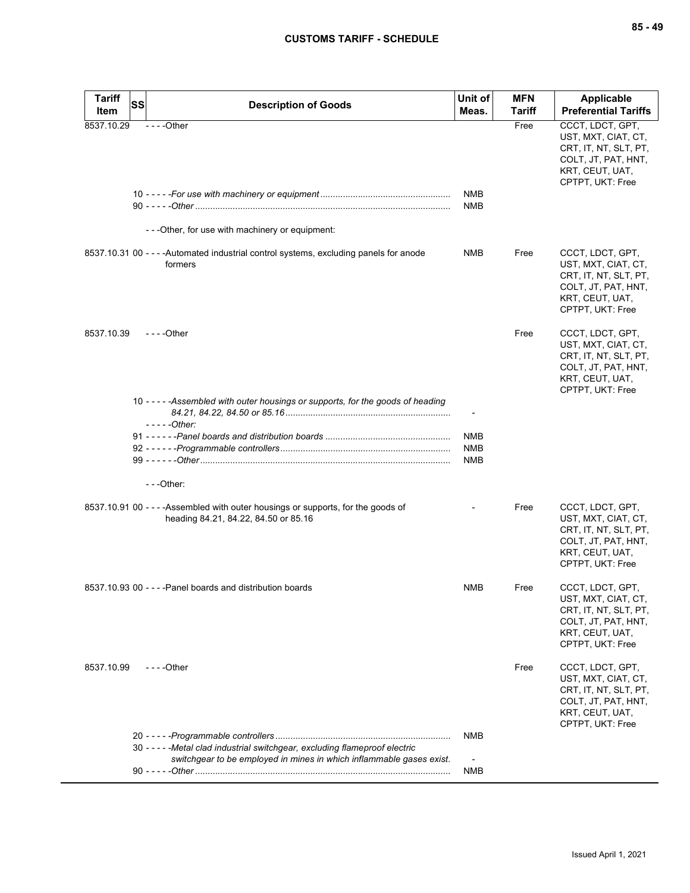| $--$ Other<br>CCCT, LDCT, GPT,<br>8537.10.29<br>Free<br>UST, MXT, CIAT, CT,<br>CRT, IT, NT, SLT, PT,<br>COLT, JT, PAT, HNT,<br>KRT, CEUT, UAT,<br>CPTPT, UKT: Free<br><b>NMB</b><br><b>NMB</b><br>- - - Other, for use with machinery or equipment:<br>Free<br>8537.10.31 00 - - - - Automated industrial control systems, excluding panels for anode<br>NMB<br>CCCT, LDCT, GPT,<br>formers<br>UST, MXT, CIAT, CT,<br>CRT, IT, NT, SLT, PT,<br>COLT, JT, PAT, HNT,<br>KRT, CEUT, UAT,<br>CPTPT, UKT: Free<br>8537.10.39<br>$- - -$ Other<br>Free<br>CCCT, LDCT, GPT,<br>UST, MXT, CIAT, CT,<br>CRT, IT, NT, SLT, PT,<br>COLT, JT, PAT, HNT,<br>KRT, CEUT, UAT,<br>CPTPT, UKT: Free<br>10 - - - - - Assembled with outer housings or supports, for the goods of heading<br>$---Other:$<br>NMB<br><b>NMB</b><br><b>NMB</b><br>$-$ - -Other:<br>8537.10.91 00 - - - - Assembled with outer housings or supports, for the goods of<br>Free<br>CCCT, LDCT, GPT,<br>heading 84.21, 84.22, 84.50 or 85.16<br>UST, MXT, CIAT, CT,<br>CRT, IT, NT, SLT, PT,<br>COLT, JT, PAT, HNT,<br>KRT, CEUT, UAT,<br>CPTPT, UKT: Free<br>8537.10.93 00 - - - - Panel boards and distribution boards<br>NMB<br>CCCT, LDCT, GPT,<br>Free<br>UST, MXT, CIAT, CT,<br>CRT, IT, NT, SLT, PT,<br>COLT, JT, PAT, HNT,<br>KRT, CEUT, UAT,<br>CPTPT, UKT: Free<br>8537.10.99<br>$- - -$ Other<br>Free<br>CCCT, LDCT, GPT,<br>UST, MXT, CIAT, CT,<br>CRT, IT, NT, SLT, PT,<br>COLT, JT, PAT, HNT,<br>KRT, CEUT, UAT,<br>CPTPT, UKT: Free<br><b>NMB</b><br>30 - - - - - Metal clad industrial switchgear, excluding flameproof electric<br>switchgear to be employed in mines in which inflammable gases exist.<br>NMB | <b>Tariff</b> | <b>SS</b><br><b>Description of Goods</b> | Unit of<br>Meas. | <b>MFN</b><br>Tariff | <b>Applicable</b><br><b>Preferential Tariffs</b> |
|---------------------------------------------------------------------------------------------------------------------------------------------------------------------------------------------------------------------------------------------------------------------------------------------------------------------------------------------------------------------------------------------------------------------------------------------------------------------------------------------------------------------------------------------------------------------------------------------------------------------------------------------------------------------------------------------------------------------------------------------------------------------------------------------------------------------------------------------------------------------------------------------------------------------------------------------------------------------------------------------------------------------------------------------------------------------------------------------------------------------------------------------------------------------------------------------------------------------------------------------------------------------------------------------------------------------------------------------------------------------------------------------------------------------------------------------------------------------------------------------------------------------------------------------------------------------------------------------------------------------------------------------------------------------------------------|---------------|------------------------------------------|------------------|----------------------|--------------------------------------------------|
|                                                                                                                                                                                                                                                                                                                                                                                                                                                                                                                                                                                                                                                                                                                                                                                                                                                                                                                                                                                                                                                                                                                                                                                                                                                                                                                                                                                                                                                                                                                                                                                                                                                                                       | Item          |                                          |                  |                      |                                                  |
|                                                                                                                                                                                                                                                                                                                                                                                                                                                                                                                                                                                                                                                                                                                                                                                                                                                                                                                                                                                                                                                                                                                                                                                                                                                                                                                                                                                                                                                                                                                                                                                                                                                                                       |               |                                          |                  |                      |                                                  |
|                                                                                                                                                                                                                                                                                                                                                                                                                                                                                                                                                                                                                                                                                                                                                                                                                                                                                                                                                                                                                                                                                                                                                                                                                                                                                                                                                                                                                                                                                                                                                                                                                                                                                       |               |                                          |                  |                      |                                                  |
|                                                                                                                                                                                                                                                                                                                                                                                                                                                                                                                                                                                                                                                                                                                                                                                                                                                                                                                                                                                                                                                                                                                                                                                                                                                                                                                                                                                                                                                                                                                                                                                                                                                                                       |               |                                          |                  |                      |                                                  |
|                                                                                                                                                                                                                                                                                                                                                                                                                                                                                                                                                                                                                                                                                                                                                                                                                                                                                                                                                                                                                                                                                                                                                                                                                                                                                                                                                                                                                                                                                                                                                                                                                                                                                       |               |                                          |                  |                      |                                                  |
|                                                                                                                                                                                                                                                                                                                                                                                                                                                                                                                                                                                                                                                                                                                                                                                                                                                                                                                                                                                                                                                                                                                                                                                                                                                                                                                                                                                                                                                                                                                                                                                                                                                                                       |               |                                          |                  |                      |                                                  |
|                                                                                                                                                                                                                                                                                                                                                                                                                                                                                                                                                                                                                                                                                                                                                                                                                                                                                                                                                                                                                                                                                                                                                                                                                                                                                                                                                                                                                                                                                                                                                                                                                                                                                       |               |                                          |                  |                      |                                                  |
|                                                                                                                                                                                                                                                                                                                                                                                                                                                                                                                                                                                                                                                                                                                                                                                                                                                                                                                                                                                                                                                                                                                                                                                                                                                                                                                                                                                                                                                                                                                                                                                                                                                                                       |               |                                          |                  |                      |                                                  |
|                                                                                                                                                                                                                                                                                                                                                                                                                                                                                                                                                                                                                                                                                                                                                                                                                                                                                                                                                                                                                                                                                                                                                                                                                                                                                                                                                                                                                                                                                                                                                                                                                                                                                       |               |                                          |                  |                      |                                                  |
|                                                                                                                                                                                                                                                                                                                                                                                                                                                                                                                                                                                                                                                                                                                                                                                                                                                                                                                                                                                                                                                                                                                                                                                                                                                                                                                                                                                                                                                                                                                                                                                                                                                                                       |               |                                          |                  |                      |                                                  |
|                                                                                                                                                                                                                                                                                                                                                                                                                                                                                                                                                                                                                                                                                                                                                                                                                                                                                                                                                                                                                                                                                                                                                                                                                                                                                                                                                                                                                                                                                                                                                                                                                                                                                       |               |                                          |                  |                      |                                                  |
|                                                                                                                                                                                                                                                                                                                                                                                                                                                                                                                                                                                                                                                                                                                                                                                                                                                                                                                                                                                                                                                                                                                                                                                                                                                                                                                                                                                                                                                                                                                                                                                                                                                                                       |               |                                          |                  |                      |                                                  |
|                                                                                                                                                                                                                                                                                                                                                                                                                                                                                                                                                                                                                                                                                                                                                                                                                                                                                                                                                                                                                                                                                                                                                                                                                                                                                                                                                                                                                                                                                                                                                                                                                                                                                       |               |                                          |                  |                      |                                                  |
|                                                                                                                                                                                                                                                                                                                                                                                                                                                                                                                                                                                                                                                                                                                                                                                                                                                                                                                                                                                                                                                                                                                                                                                                                                                                                                                                                                                                                                                                                                                                                                                                                                                                                       |               |                                          |                  |                      |                                                  |
|                                                                                                                                                                                                                                                                                                                                                                                                                                                                                                                                                                                                                                                                                                                                                                                                                                                                                                                                                                                                                                                                                                                                                                                                                                                                                                                                                                                                                                                                                                                                                                                                                                                                                       |               |                                          |                  |                      |                                                  |
|                                                                                                                                                                                                                                                                                                                                                                                                                                                                                                                                                                                                                                                                                                                                                                                                                                                                                                                                                                                                                                                                                                                                                                                                                                                                                                                                                                                                                                                                                                                                                                                                                                                                                       |               |                                          |                  |                      |                                                  |
|                                                                                                                                                                                                                                                                                                                                                                                                                                                                                                                                                                                                                                                                                                                                                                                                                                                                                                                                                                                                                                                                                                                                                                                                                                                                                                                                                                                                                                                                                                                                                                                                                                                                                       |               |                                          |                  |                      |                                                  |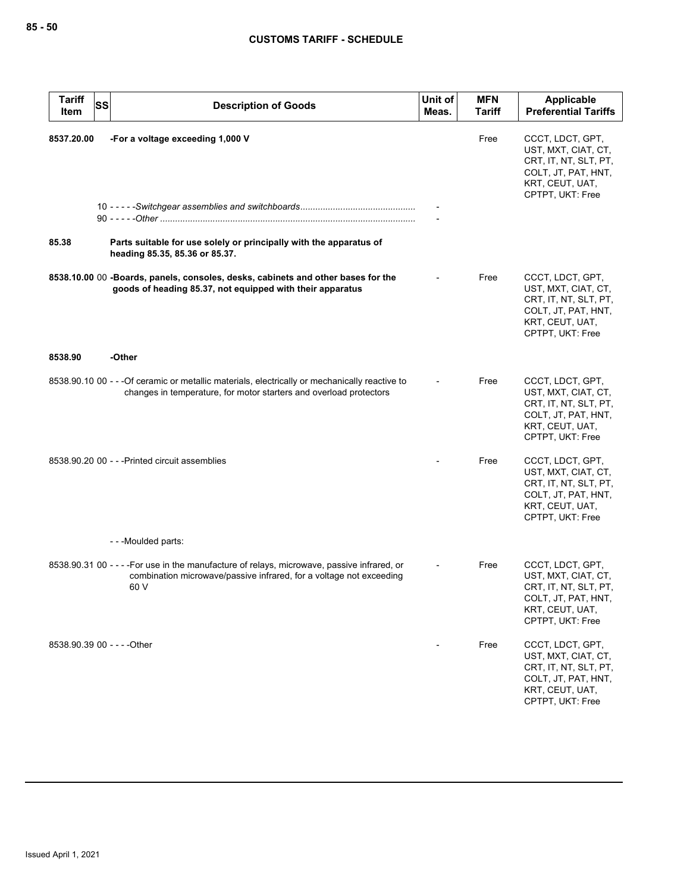| <b>Tariff</b><br>Item | <b>SS</b><br><b>Description of Goods</b>                                                                                                                                   | Unit of<br>Meas. | <b>MFN</b><br>Tariff | <b>Applicable</b><br><b>Preferential Tariffs</b>                                                                               |
|-----------------------|----------------------------------------------------------------------------------------------------------------------------------------------------------------------------|------------------|----------------------|--------------------------------------------------------------------------------------------------------------------------------|
| 8537.20.00<br>85.38   | -For a voltage exceeding 1,000 V<br>Parts suitable for use solely or principally with the apparatus of                                                                     |                  | Free                 | CCCT, LDCT, GPT,<br>UST, MXT, CIAT, CT,<br>CRT, IT, NT, SLT, PT,<br>COLT, JT, PAT, HNT,<br>KRT, CEUT, UAT,<br>CPTPT, UKT: Free |
|                       | heading 85.35, 85.36 or 85.37.                                                                                                                                             |                  |                      |                                                                                                                                |
|                       | 8538.10.00 00 -Boards, panels, consoles, desks, cabinets and other bases for the<br>goods of heading 85.37, not equipped with their apparatus                              |                  | Free                 | CCCT, LDCT, GPT,<br>UST, MXT, CIAT, CT,<br>CRT, IT, NT, SLT, PT,<br>COLT, JT, PAT, HNT,<br>KRT, CEUT, UAT,<br>CPTPT, UKT: Free |
| 8538.90               | -Other                                                                                                                                                                     |                  |                      |                                                                                                                                |
|                       | 8538.90.10 00 - - - Of ceramic or metallic materials, electrically or mechanically reactive to<br>changes in temperature, for motor starters and overload protectors       |                  | Free                 | CCCT, LDCT, GPT,<br>UST, MXT, CIAT, CT,<br>CRT, IT, NT, SLT, PT,<br>COLT, JT, PAT, HNT,<br>KRT, CEUT, UAT,<br>CPTPT, UKT: Free |
|                       | 8538.90.20 00 - - - Printed circuit assemblies                                                                                                                             |                  | Free                 | CCCT, LDCT, GPT,<br>UST, MXT, CIAT, CT,<br>CRT, IT, NT, SLT, PT,<br>COLT, JT, PAT, HNT,<br>KRT, CEUT, UAT,<br>CPTPT, UKT: Free |
|                       | ---Moulded parts:                                                                                                                                                          |                  |                      |                                                                                                                                |
|                       | 8538.90.31 00 - - - - For use in the manufacture of relays, microwave, passive infrared, or<br>combination microwave/passive infrared, for a voltage not exceeding<br>60 V |                  | Free                 | CCCT, LDCT, GPT,<br>UST, MXT, CIAT, CT,<br>CRT, IT, NT, SLT, PT,<br>COLT, JT, PAT, HNT,<br>KRT, CEUT, UAT,<br>CPTPT, UKT: Free |
|                       | 8538.90.39 00 - - - - Other                                                                                                                                                |                  | Free                 | CCCT, LDCT, GPT,<br>UST, MXT, CIAT, CT,<br>CRT, IT, NT, SLT, PT,<br>COLT, JT, PAT, HNT,<br>KRT, CEUT, UAT,<br>CPTPT, UKT: Free |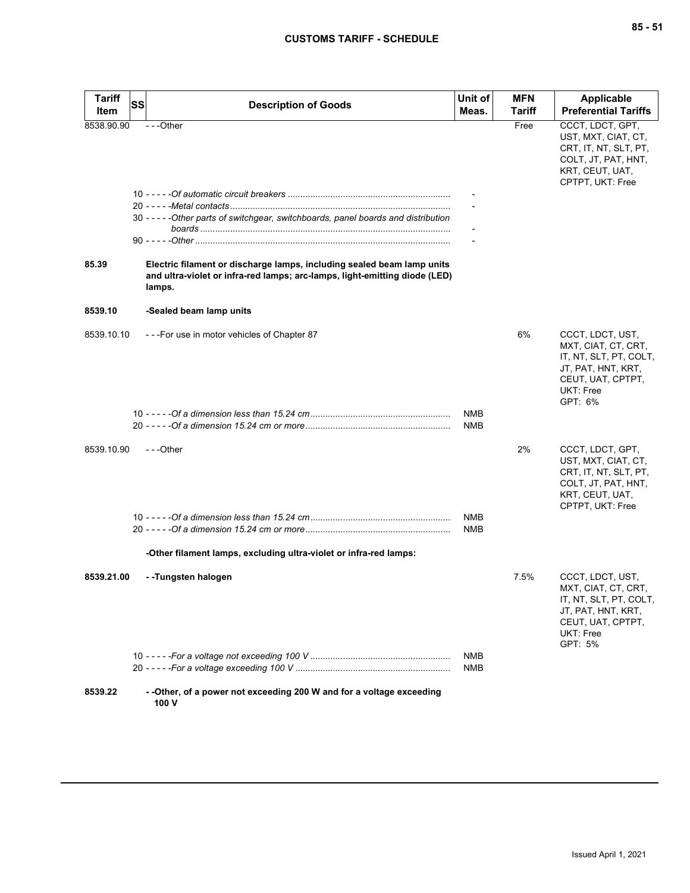| <b>Tariff</b> | SS | <b>Description of Goods</b>                                                                                                                                    | Unit of    | <b>MFN</b>    | <b>Applicable</b>                                                                                                                    |
|---------------|----|----------------------------------------------------------------------------------------------------------------------------------------------------------------|------------|---------------|--------------------------------------------------------------------------------------------------------------------------------------|
| Item          |    |                                                                                                                                                                | Meas.      | <b>Tariff</b> | <b>Preferential Tariffs</b>                                                                                                          |
| 8538.90.90    |    | $- -$ Other                                                                                                                                                    |            | Free          | CCCT, LDCT, GPT,<br>UST, MXT, CIAT, CT,<br>CRT, IT, NT, SLT, PT,<br>COLT, JT, PAT, HNT,<br>KRT, CEUT, UAT,<br>CPTPT, UKT: Free       |
|               |    | 30 - - - - - Other parts of switchgear, switchboards, panel boards and distribution                                                                            |            |               |                                                                                                                                      |
|               |    |                                                                                                                                                                |            |               |                                                                                                                                      |
|               |    |                                                                                                                                                                |            |               |                                                                                                                                      |
|               |    |                                                                                                                                                                |            |               |                                                                                                                                      |
| 85.39         |    | Electric filament or discharge lamps, including sealed beam lamp units<br>and ultra-violet or infra-red lamps; arc-lamps, light-emitting diode (LED)<br>lamps. |            |               |                                                                                                                                      |
| 8539.10       |    | -Sealed beam lamp units                                                                                                                                        |            |               |                                                                                                                                      |
| 8539.10.10    |    | ---For use in motor vehicles of Chapter 87                                                                                                                     |            | 6%            | CCCT, LDCT, UST,<br>MXT, CIAT, CT, CRT,<br>IT, NT, SLT, PT, COLT,<br>JT, PAT, HNT, KRT,<br>CEUT, UAT, CPTPT,<br>UKT: Free<br>GPT: 6% |
|               |    |                                                                                                                                                                | <b>NMB</b> |               |                                                                                                                                      |
|               |    |                                                                                                                                                                | NMB        |               |                                                                                                                                      |
| 8539.10.90    |    | $- -$ Other                                                                                                                                                    |            | 2%            | CCCT, LDCT, GPT,<br>UST, MXT, CIAT, CT,<br>CRT, IT, NT, SLT, PT,<br>COLT, JT, PAT, HNT,<br>KRT, CEUT, UAT,<br>CPTPT, UKT: Free       |
|               |    |                                                                                                                                                                | NMB        |               |                                                                                                                                      |
|               |    |                                                                                                                                                                | <b>NMB</b> |               |                                                                                                                                      |
|               |    | -Other filament lamps, excluding ultra-violet or infra-red lamps:                                                                                              |            |               |                                                                                                                                      |
| 8539.21.00    |    | --Tungsten halogen                                                                                                                                             |            | 7.5%          | CCCT, LDCT, UST,<br>MXT, CIAT, CT, CRT,<br>IT, NT, SLT, PT, COLT,<br>JT, PAT, HNT, KRT,<br>CEUT, UAT, CPTPT,<br>UKT: Free<br>GPT: 5% |
|               |    |                                                                                                                                                                | <b>NMB</b> |               |                                                                                                                                      |
|               |    |                                                                                                                                                                | NMB        |               |                                                                                                                                      |
| 8539.22       |    | - - Other, of a power not exceeding 200 W and for a voltage exceeding<br>100 V                                                                                 |            |               |                                                                                                                                      |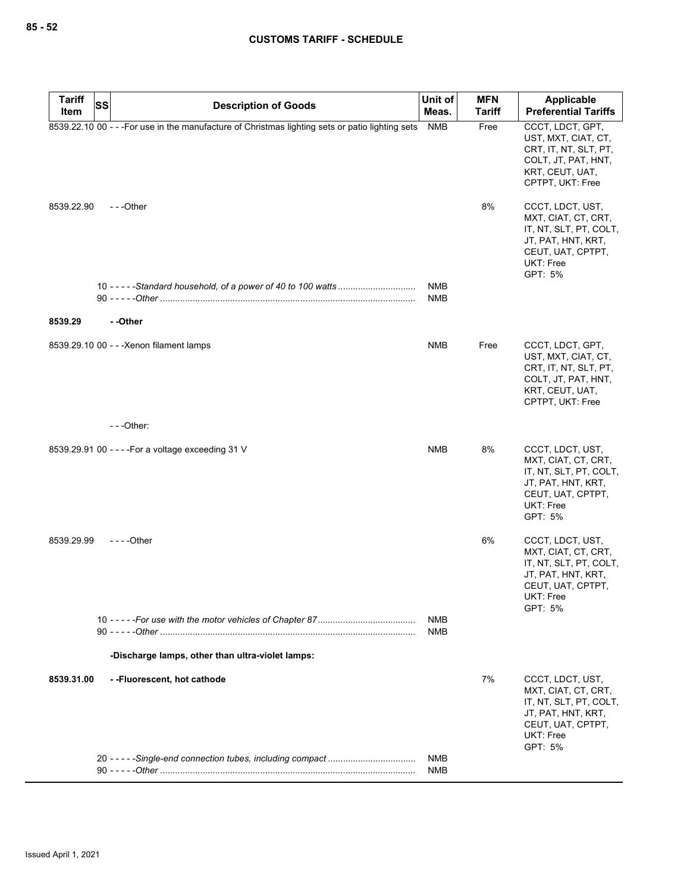| <b>Tariff</b> | SS                                                                                               | Unit of                  | <b>MFN</b>    | Applicable                                                                                                                                  |
|---------------|--------------------------------------------------------------------------------------------------|--------------------------|---------------|---------------------------------------------------------------------------------------------------------------------------------------------|
| Item          | <b>Description of Goods</b>                                                                      | Meas.                    | <b>Tariff</b> | <b>Preferential Tariffs</b>                                                                                                                 |
|               | 8539.22.10 00 - - - For use in the manufacture of Christmas lighting sets or patio lighting sets | <b>NMB</b>               | Free          | CCCT, LDCT, GPT,<br>UST, MXT, CIAT, CT,<br>CRT, IT, NT, SLT, PT,<br>COLT, JT, PAT, HNT,<br>KRT, CEUT, UAT,<br>CPTPT, UKT: Free              |
| 8539.22.90    | $- -$ Other                                                                                      |                          | 8%            | CCCT, LDCT, UST,<br>MXT, CIAT, CT, CRT,<br>IT, NT, SLT, PT, COLT,<br>JT, PAT, HNT, KRT,<br>CEUT, UAT, CPTPT,<br><b>UKT: Free</b><br>GPT: 5% |
|               |                                                                                                  | <b>NMB</b><br><b>NMB</b> |               |                                                                                                                                             |
| 8539.29       | --Other                                                                                          |                          |               |                                                                                                                                             |
|               | 8539.29.10 00 - - - Xenon filament lamps                                                         | <b>NMB</b>               | Free          | CCCT, LDCT, GPT,<br>UST, MXT, CIAT, CT,<br>CRT, IT, NT, SLT, PT,<br>COLT, JT, PAT, HNT,<br>KRT, CEUT, UAT,<br>CPTPT, UKT: Free              |
|               | $--$ Other:                                                                                      |                          |               |                                                                                                                                             |
|               | 8539.29.91 00 - - - - For a voltage exceeding 31 V                                               | <b>NMB</b>               | 8%            | CCCT, LDCT, UST,<br>MXT, CIAT, CT, CRT,<br>IT, NT, SLT, PT, COLT,<br>JT, PAT, HNT, KRT,<br>CEUT, UAT, CPTPT,<br><b>UKT: Free</b><br>GPT: 5% |
| 8539.29.99    | - - - - Other                                                                                    |                          | 6%            | CCCT, LDCT, UST,<br>MXT, CIAT, CT, CRT,<br>IT, NT, SLT, PT, COLT,<br>JT, PAT, HNT, KRT,<br>CEUT, UAT, CPTPT,<br>UKT: Free<br>GPT: 5%        |
|               |                                                                                                  | NMB<br><b>NMB</b>        |               |                                                                                                                                             |
|               | -Discharge lamps, other than ultra-violet lamps:                                                 |                          |               |                                                                                                                                             |
| 8539.31.00    | --Fluorescent, hot cathode                                                                       |                          | 7%            | CCCT, LDCT, UST,<br>MXT, CIAT, CT, CRT,<br>IT, NT, SLT, PT, COLT,<br>JT, PAT, HNT, KRT,<br>CEUT, UAT, CPTPT,<br><b>UKT: Free</b><br>GPT: 5% |
|               |                                                                                                  | NMB<br><b>NMB</b>        |               |                                                                                                                                             |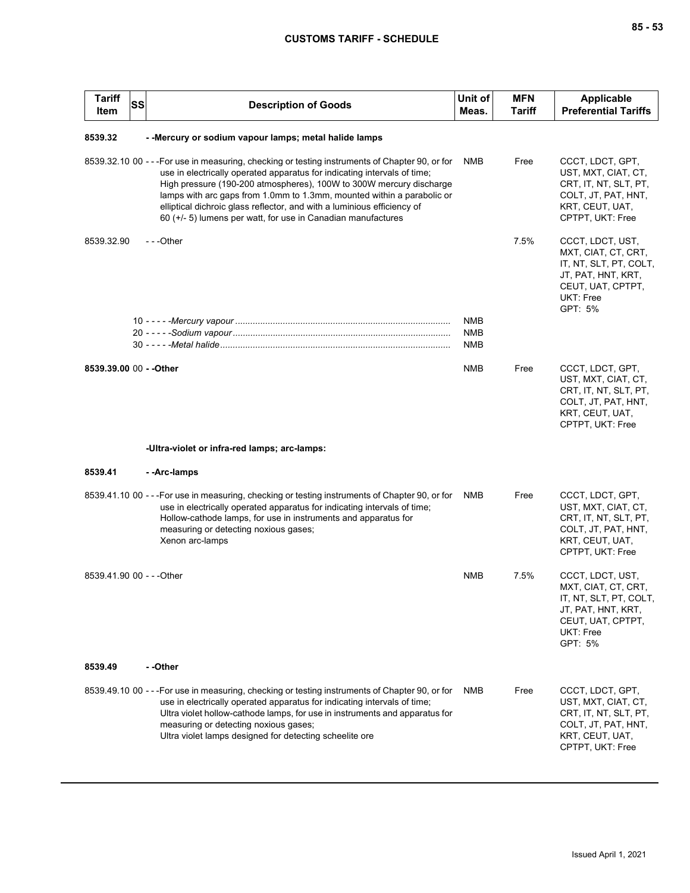| <b>Tariff</b><br>Item     | <b>SS</b><br><b>Description of Goods</b>                                                                                                                                                                                                                                                                                                                                                                                                                                | Unit of<br>Meas.  | <b>MFN</b><br>Tariff | Applicable<br><b>Preferential Tariffs</b>                                                                                            |
|---------------------------|-------------------------------------------------------------------------------------------------------------------------------------------------------------------------------------------------------------------------------------------------------------------------------------------------------------------------------------------------------------------------------------------------------------------------------------------------------------------------|-------------------|----------------------|--------------------------------------------------------------------------------------------------------------------------------------|
| 8539.32                   | - - Mercury or sodium vapour lamps; metal halide lamps                                                                                                                                                                                                                                                                                                                                                                                                                  |                   |                      |                                                                                                                                      |
|                           | 8539.32.10 00 - - - For use in measuring, checking or testing instruments of Chapter 90, or for<br>use in electrically operated apparatus for indicating intervals of time;<br>High pressure (190-200 atmospheres), 100W to 300W mercury discharge<br>lamps with arc gaps from 1.0mm to 1.3mm, mounted within a parabolic or<br>elliptical dichroic glass reflector, and with a luminious efficiency of<br>60 (+/- 5) lumens per watt, for use in Canadian manufactures | NMB               | Free                 | CCCT, LDCT, GPT,<br>UST, MXT, CIAT, CT,<br>CRT, IT, NT, SLT, PT,<br>COLT, JT, PAT, HNT,<br>KRT, CEUT, UAT,<br>CPTPT, UKT: Free       |
| 8539.32.90                | ---Other                                                                                                                                                                                                                                                                                                                                                                                                                                                                | <b>NMB</b>        | 7.5%                 | CCCT, LDCT, UST,<br>MXT, CIAT, CT, CRT,<br>IT, NT, SLT, PT, COLT,<br>JT, PAT, HNT, KRT,<br>CEUT, UAT, CPTPT,<br>UKT: Free<br>GPT: 5% |
|                           |                                                                                                                                                                                                                                                                                                                                                                                                                                                                         | <b>NMB</b><br>NMB |                      |                                                                                                                                      |
| 8539.39.00 00 - - Other   |                                                                                                                                                                                                                                                                                                                                                                                                                                                                         | NMB               | Free                 | CCCT, LDCT, GPT,<br>UST, MXT, CIAT, CT,<br>CRT, IT, NT, SLT, PT,<br>COLT, JT, PAT, HNT,<br>KRT, CEUT, UAT,<br>CPTPT, UKT: Free       |
|                           | -Ultra-violet or infra-red lamps; arc-lamps:                                                                                                                                                                                                                                                                                                                                                                                                                            |                   |                      |                                                                                                                                      |
| 8539.41                   | - -Arc-lamps                                                                                                                                                                                                                                                                                                                                                                                                                                                            |                   |                      |                                                                                                                                      |
|                           | 8539.41.10 00 - - - For use in measuring, checking or testing instruments of Chapter 90, or for<br>use in electrically operated apparatus for indicating intervals of time;<br>Hollow-cathode lamps, for use in instruments and apparatus for<br>measuring or detecting noxious gases;<br>Xenon arc-lamps                                                                                                                                                               | NMB               | Free                 | CCCT, LDCT, GPT,<br>UST, MXT, CIAT, CT,<br>CRT, IT, NT, SLT, PT,<br>COLT, JT, PAT, HNT,<br>KRT, CEUT, UAT,<br>CPTPT, UKT: Free       |
| 8539.41.90 00 - - - Other |                                                                                                                                                                                                                                                                                                                                                                                                                                                                         | <b>NMB</b>        | 7.5%                 | CCCT, LDCT, UST,<br>MXT, CIAT, CT, CRT,<br>IT, NT, SLT, PT, COLT,<br>JT, PAT, HNT, KRT,<br>CEUT, UAT, CPTPT,<br>UKT: Free<br>GPT: 5% |
| 8539.49                   | - -Other                                                                                                                                                                                                                                                                                                                                                                                                                                                                |                   |                      |                                                                                                                                      |
|                           | 8539.49.10 00 - - - For use in measuring, checking or testing instruments of Chapter 90, or for<br>use in electrically operated apparatus for indicating intervals of time;<br>Ultra violet hollow-cathode lamps, for use in instruments and apparatus for<br>measuring or detecting noxious gases;<br>Ultra violet lamps designed for detecting scheelite ore                                                                                                          | <b>NMB</b>        | Free                 | CCCT, LDCT, GPT,<br>UST, MXT, CIAT, CT,<br>CRT, IT, NT, SLT, PT,<br>COLT, JT, PAT, HNT,<br>KRT, CEUT, UAT,<br>CPTPT, UKT: Free       |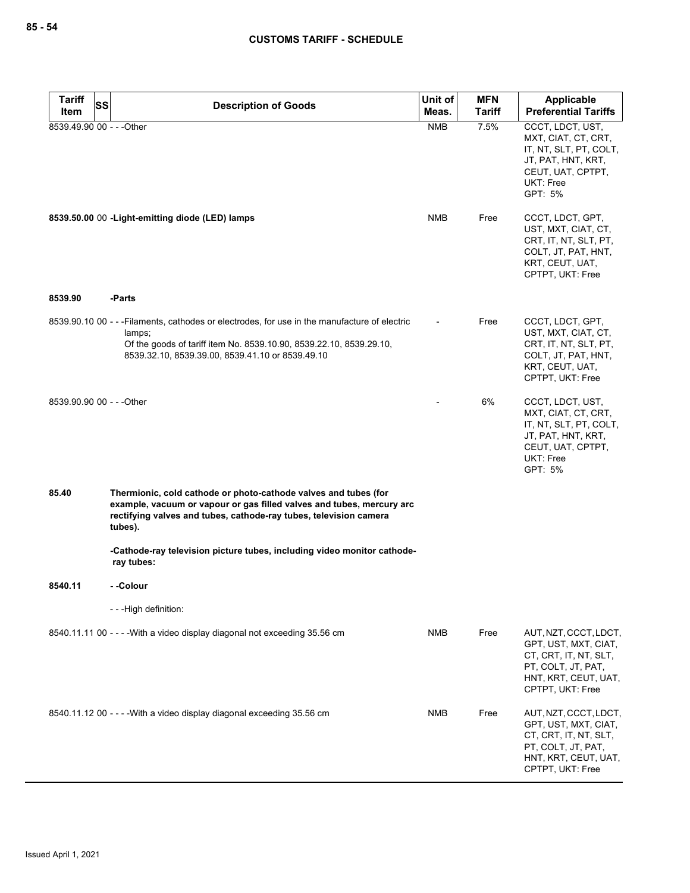| <b>Tariff</b><br><b>SS</b><br><b>Description of Goods</b> |                                                                                                                                                                                                                                   | Unit of    | <b>MFN</b>    | <b>Applicable</b>                                                                                                                           |
|-----------------------------------------------------------|-----------------------------------------------------------------------------------------------------------------------------------------------------------------------------------------------------------------------------------|------------|---------------|---------------------------------------------------------------------------------------------------------------------------------------------|
| Item                                                      |                                                                                                                                                                                                                                   | Meas.      | <b>Tariff</b> | <b>Preferential Tariffs</b>                                                                                                                 |
| 8539.49.90 00 - - - Other                                 |                                                                                                                                                                                                                                   | <b>NMB</b> | 7.5%          | CCCT, LDCT, UST,<br>MXT, CIAT, CT, CRT,<br>IT, NT, SLT, PT, COLT,<br>JT, PAT, HNT, KRT,<br>CEUT, UAT, CPTPT,<br><b>UKT: Free</b><br>GPT: 5% |
|                                                           | 8539.50.00 00 - Light-emitting diode (LED) lamps                                                                                                                                                                                  | <b>NMB</b> | Free          | CCCT, LDCT, GPT,<br>UST, MXT, CIAT, CT,<br>CRT, IT, NT, SLT, PT,<br>COLT, JT, PAT, HNT,<br>KRT, CEUT, UAT,<br>CPTPT, UKT: Free              |
| 8539.90                                                   | -Parts                                                                                                                                                                                                                            |            |               |                                                                                                                                             |
|                                                           | 8539.90.10 00 - - -Filaments, cathodes or electrodes, for use in the manufacture of electric<br>lamps;<br>Of the goods of tariff item No. 8539.10.90, 8539.22.10, 8539.29.10,<br>8539.32.10, 8539.39.00, 8539.41.10 or 8539.49.10 |            | Free          | CCCT, LDCT, GPT,<br>UST, MXT, CIAT, CT,<br>CRT, IT, NT, SLT, PT,<br>COLT, JT, PAT, HNT,<br>KRT, CEUT, UAT,<br>CPTPT, UKT: Free              |
| 8539.90.90 00 - - - Other                                 |                                                                                                                                                                                                                                   |            | 6%            | CCCT, LDCT, UST,<br>MXT, CIAT, CT, CRT,<br>IT, NT, SLT, PT, COLT,<br>JT, PAT, HNT, KRT,<br>CEUT, UAT, CPTPT,<br>UKT: Free<br>GPT: 5%        |
| 85.40                                                     | Thermionic, cold cathode or photo-cathode valves and tubes (for<br>example, vacuum or vapour or gas filled valves and tubes, mercury arc<br>rectifying valves and tubes, cathode-ray tubes, television camera<br>tubes).          |            |               |                                                                                                                                             |
|                                                           | -Cathode-ray television picture tubes, including video monitor cathode-<br>ray tubes:                                                                                                                                             |            |               |                                                                                                                                             |
| 8540.11                                                   | - -Colour                                                                                                                                                                                                                         |            |               |                                                                                                                                             |
|                                                           | ---High definition:                                                                                                                                                                                                               |            |               |                                                                                                                                             |
|                                                           | 8540.11.11 00 - - - - With a video display diagonal not exceeding 35.56 cm                                                                                                                                                        | NMB        | Free          | AUT, NZT, CCCT, LDCT,<br>GPT, UST, MXT, CIAT,<br>CT, CRT, IT, NT, SLT,<br>PT, COLT, JT, PAT,<br>HNT, KRT, CEUT, UAT,<br>CPTPT, UKT: Free    |
|                                                           | 8540.11.12 00 - - - - With a video display diagonal exceeding 35.56 cm                                                                                                                                                            | <b>NMB</b> | Free          | AUT, NZT, CCCT, LDCT,<br>GPT, UST, MXT, CIAT,<br>CT, CRT, IT, NT, SLT,<br>PT, COLT, JT, PAT,<br>HNT, KRT, CEUT, UAT,<br>CPTPT, UKT: Free    |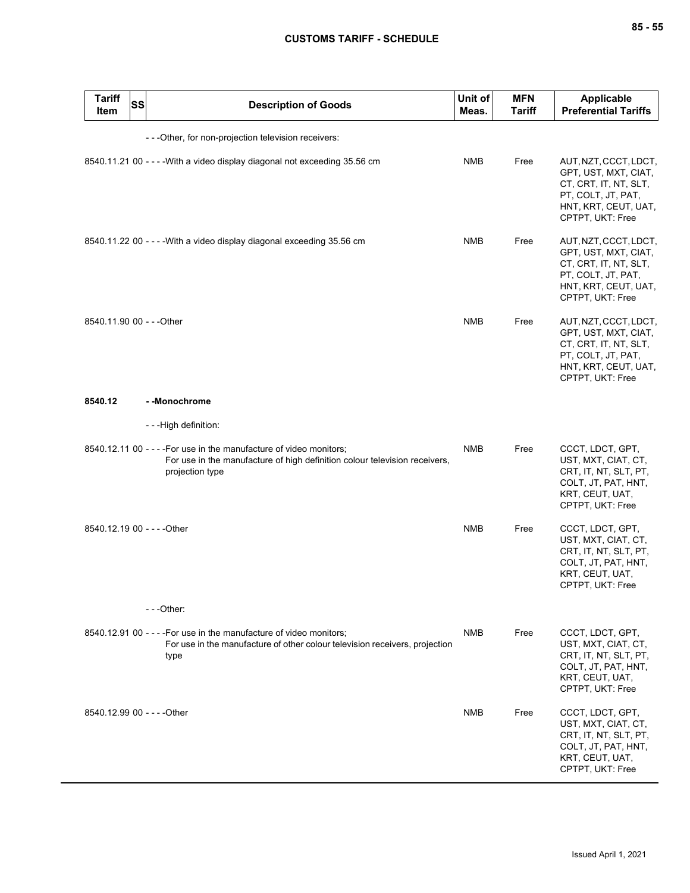| <b>Tariff</b><br>Item       | <b>SS</b><br><b>Description of Goods</b>                                                                                                                             | Unit of<br>Meas. | <b>MFN</b><br><b>Tariff</b> | <b>Applicable</b><br><b>Preferential Tariffs</b>                                                                                         |
|-----------------------------|----------------------------------------------------------------------------------------------------------------------------------------------------------------------|------------------|-----------------------------|------------------------------------------------------------------------------------------------------------------------------------------|
|                             | - - - Other, for non-projection television receivers:                                                                                                                |                  |                             |                                                                                                                                          |
|                             | 8540.11.21 00 - - - - With a video display diagonal not exceeding 35.56 cm                                                                                           | <b>NMB</b>       | Free                        | AUT, NZT, CCCT, LDCT,<br>GPT, UST, MXT, CIAT,<br>CT, CRT, IT, NT, SLT,<br>PT, COLT, JT, PAT,<br>HNT, KRT, CEUT, UAT,<br>CPTPT, UKT: Free |
|                             | 8540.11.22 00 - - - - With a video display diagonal exceeding 35.56 cm                                                                                               | <b>NMB</b>       | Free                        | AUT, NZT, CCCT, LDCT,<br>GPT, UST, MXT, CIAT,<br>CT, CRT, IT, NT, SLT,<br>PT, COLT, JT, PAT,<br>HNT, KRT, CEUT, UAT,<br>CPTPT, UKT: Free |
| 8540.11.90 00 - - - Other   |                                                                                                                                                                      | <b>NMB</b>       | Free                        | AUT, NZT, CCCT, LDCT,<br>GPT, UST, MXT, CIAT,<br>CT, CRT, IT, NT, SLT,<br>PT, COLT, JT, PAT,<br>HNT, KRT, CEUT, UAT,<br>CPTPT, UKT: Free |
| 8540.12                     | - -Monochrome                                                                                                                                                        |                  |                             |                                                                                                                                          |
|                             | - - -High definition:                                                                                                                                                |                  |                             |                                                                                                                                          |
|                             | 8540.12.11 00 - - - - For use in the manufacture of video monitors;<br>For use in the manufacture of high definition colour television receivers,<br>projection type | <b>NMB</b>       | Free                        | CCCT, LDCT, GPT,<br>UST, MXT, CIAT, CT,<br>CRT, IT, NT, SLT, PT,<br>COLT, JT, PAT, HNT,<br>KRT, CEUT, UAT,<br>CPTPT, UKT: Free           |
| 8540.12.19 00 - - - - Other |                                                                                                                                                                      | <b>NMB</b>       | Free                        | CCCT, LDCT, GPT,<br>UST, MXT, CIAT, CT,<br>CRT, IT, NT, SLT, PT,<br>COLT, JT, PAT, HNT,<br>KRT, CEUT, UAT,<br>CPTPT, UKT: Free           |
|                             | $-$ - -Other:                                                                                                                                                        |                  |                             |                                                                                                                                          |
|                             | 8540.12.91 00 - - - - For use in the manufacture of video monitors;<br>For use in the manufacture of other colour television receivers, projection<br>type           | NMB              | Free                        | CCCT, LDCT, GPT,<br>UST, MXT, CIAT, CT,<br>CRT, IT, NT, SLT, PT,<br>COLT, JT, PAT, HNT,<br>KRT, CEUT, UAT,<br>CPTPT, UKT: Free           |
| 8540.12.99 00 - - - - Other |                                                                                                                                                                      | NMB              | Free                        | CCCT, LDCT, GPT,<br>UST, MXT, CIAT, CT,<br>CRT, IT, NT, SLT, PT,<br>COLT, JT, PAT, HNT,<br>KRT, CEUT, UAT,<br>CPTPT, UKT: Free           |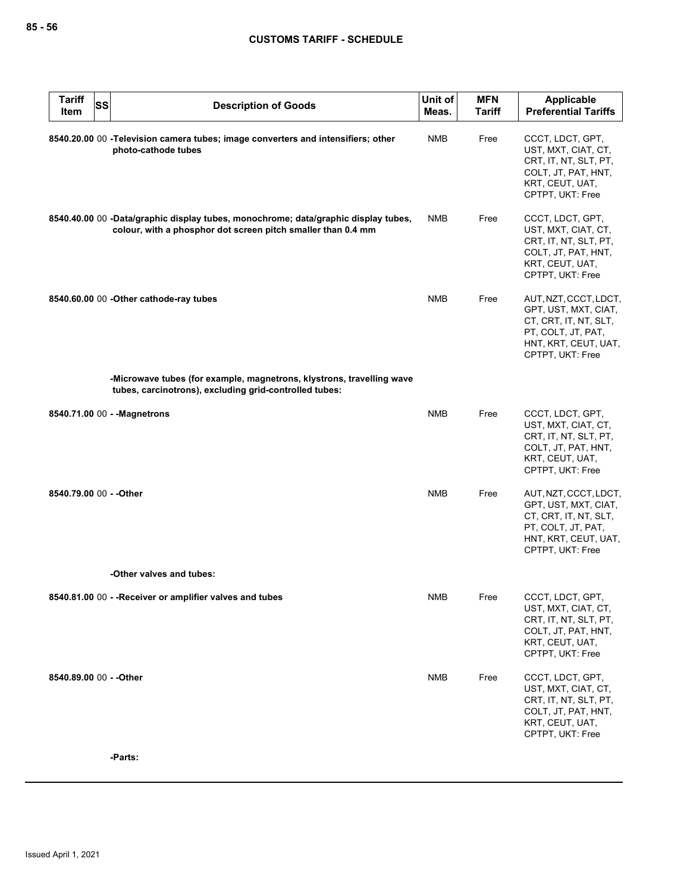| <b>Tariff</b><br><b>SS</b><br>Item | <b>Description of Goods</b>                                                                                                                        | Unit of<br>Meas. | <b>MFN</b><br><b>Tariff</b> | Applicable<br><b>Preferential Tariffs</b>                                                                                                |
|------------------------------------|----------------------------------------------------------------------------------------------------------------------------------------------------|------------------|-----------------------------|------------------------------------------------------------------------------------------------------------------------------------------|
|                                    | 8540.20.00 00 - Television camera tubes; image converters and intensifiers; other<br>photo-cathode tubes                                           | NMB              | Free                        | CCCT, LDCT, GPT,<br>UST, MXT, CIAT, CT,<br>CRT, IT, NT, SLT, PT,<br>COLT, JT, PAT, HNT,<br>KRT, CEUT, UAT,<br>CPTPT, UKT: Free           |
|                                    | 8540.40.00 00 -Data/graphic display tubes, monochrome; data/graphic display tubes,<br>colour, with a phosphor dot screen pitch smaller than 0.4 mm | <b>NMB</b>       | Free                        | CCCT, LDCT, GPT,<br>UST, MXT, CIAT, CT,<br>CRT, IT, NT, SLT, PT,<br>COLT, JT, PAT, HNT,<br>KRT, CEUT, UAT,<br>CPTPT, UKT: Free           |
|                                    | 8540.60.00 00 - Other cathode-ray tubes                                                                                                            | <b>NMB</b>       | Free                        | AUT, NZT, CCCT, LDCT,<br>GPT, UST, MXT, CIAT,<br>CT, CRT, IT, NT, SLT,<br>PT, COLT, JT, PAT,<br>HNT, KRT, CEUT, UAT,<br>CPTPT, UKT: Free |
|                                    | -Microwave tubes (for example, magnetrons, klystrons, travelling wave<br>tubes, carcinotrons), excluding grid-controlled tubes:                    |                  |                             |                                                                                                                                          |
|                                    | 8540.71.00 00 - - Magnetrons                                                                                                                       | <b>NMB</b>       | Free                        | CCCT, LDCT, GPT,<br>UST, MXT, CIAT, CT,<br>CRT, IT, NT, SLT, PT,<br>COLT, JT, PAT, HNT,<br>KRT, CEUT, UAT,<br>CPTPT, UKT: Free           |
| 8540.79.00 00 - - Other            |                                                                                                                                                    | <b>NMB</b>       | Free                        | AUT, NZT, CCCT, LDCT,<br>GPT, UST, MXT, CIAT,<br>CT, CRT, IT, NT, SLT,<br>PT, COLT, JT, PAT,<br>HNT, KRT, CEUT, UAT,<br>CPTPT, UKT: Free |
|                                    | -Other valves and tubes:                                                                                                                           |                  |                             |                                                                                                                                          |
|                                    | 8540.81.00 00 - - Receiver or amplifier valves and tubes                                                                                           | <b>NMB</b>       | Free                        | CCCT, LDCT, GPT,<br>UST, MXT, CIAT, CT,<br>CRT, IT, NT, SLT, PT,<br>COLT, JT, PAT, HNT,<br>KRT, CEUT, UAT,<br>CPTPT, UKT: Free           |
| 8540.89.00 00 - - Other            |                                                                                                                                                    | <b>NMB</b>       | Free                        | CCCT, LDCT, GPT,<br>UST, MXT, CIAT, CT,<br>CRT, IT, NT, SLT, PT,<br>COLT, JT, PAT, HNT,<br>KRT, CEUT, UAT,<br>CPTPT, UKT: Free           |
|                                    | -Parts:                                                                                                                                            |                  |                             |                                                                                                                                          |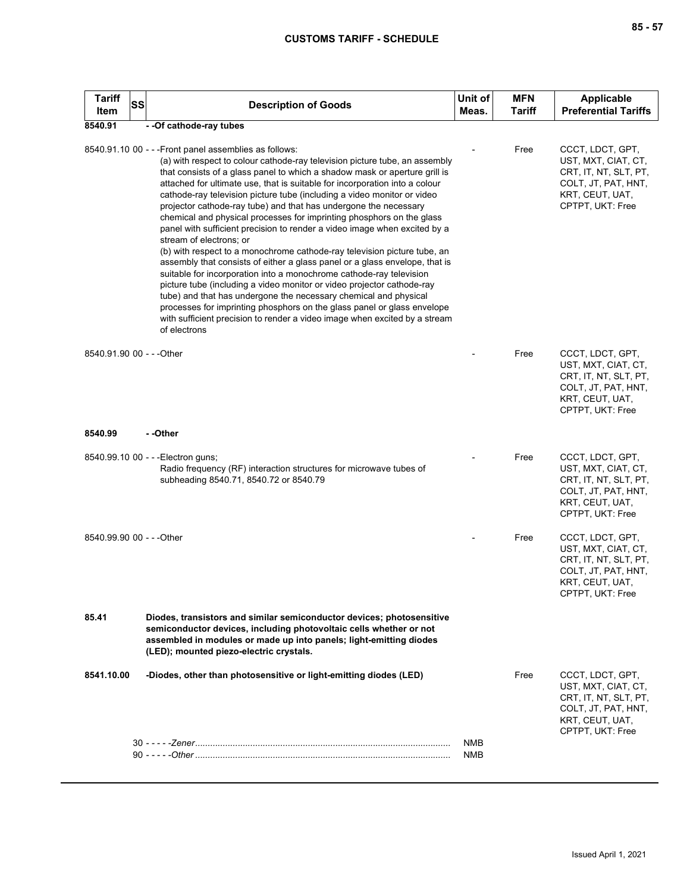| ×<br>M. |  | ×<br>۰. |
|---------|--|---------|
|---------|--|---------|

| <b>Tariff</b><br><b>SS</b><br>Item | <b>Description of Goods</b>                                                                                                                                                                                                                                                                                                                                                                                                                                                                                                                                                                                                                                                                                                                                                                                                                                                                                                                                                                                                                                                                                                                                                                 | Unit of<br>Meas.  | <b>MFN</b><br><b>Tariff</b> | <b>Applicable</b><br><b>Preferential Tariffs</b>                                                                               |
|------------------------------------|---------------------------------------------------------------------------------------------------------------------------------------------------------------------------------------------------------------------------------------------------------------------------------------------------------------------------------------------------------------------------------------------------------------------------------------------------------------------------------------------------------------------------------------------------------------------------------------------------------------------------------------------------------------------------------------------------------------------------------------------------------------------------------------------------------------------------------------------------------------------------------------------------------------------------------------------------------------------------------------------------------------------------------------------------------------------------------------------------------------------------------------------------------------------------------------------|-------------------|-----------------------------|--------------------------------------------------------------------------------------------------------------------------------|
| 8540.91                            | - - Of cathode-ray tubes                                                                                                                                                                                                                                                                                                                                                                                                                                                                                                                                                                                                                                                                                                                                                                                                                                                                                                                                                                                                                                                                                                                                                                    |                   |                             |                                                                                                                                |
|                                    | 8540.91.10 00 - - - Front panel assemblies as follows:<br>(a) with respect to colour cathode-ray television picture tube, an assembly<br>that consists of a glass panel to which a shadow mask or aperture grill is<br>attached for ultimate use, that is suitable for incorporation into a colour<br>cathode-ray television picture tube (including a video monitor or video<br>projector cathode-ray tube) and that has undergone the necessary<br>chemical and physical processes for imprinting phosphors on the glass<br>panel with sufficient precision to render a video image when excited by a<br>stream of electrons: or<br>(b) with respect to a monochrome cathode-ray television picture tube, an<br>assembly that consists of either a glass panel or a glass envelope, that is<br>suitable for incorporation into a monochrome cathode-ray television<br>picture tube (including a video monitor or video projector cathode-ray<br>tube) and that has undergone the necessary chemical and physical<br>processes for imprinting phosphors on the glass panel or glass envelope<br>with sufficient precision to render a video image when excited by a stream<br>of electrons |                   | Free                        | CCCT, LDCT, GPT,<br>UST, MXT, CIAT, CT,<br>CRT, IT, NT, SLT, PT,<br>COLT, JT, PAT, HNT,<br>KRT, CEUT, UAT,<br>CPTPT, UKT: Free |
| 8540.91.90 00 - - - Other          |                                                                                                                                                                                                                                                                                                                                                                                                                                                                                                                                                                                                                                                                                                                                                                                                                                                                                                                                                                                                                                                                                                                                                                                             |                   | Free                        | CCCT, LDCT, GPT,<br>UST, MXT, CIAT, CT,<br>CRT, IT, NT, SLT, PT,<br>COLT, JT, PAT, HNT,<br>KRT, CEUT, UAT,<br>CPTPT, UKT: Free |
| 8540.99                            | - -Other                                                                                                                                                                                                                                                                                                                                                                                                                                                                                                                                                                                                                                                                                                                                                                                                                                                                                                                                                                                                                                                                                                                                                                                    |                   |                             |                                                                                                                                |
|                                    | 8540.99.10 00 - - - Electron guns;<br>Radio frequency (RF) interaction structures for microwave tubes of<br>subheading 8540.71, 8540.72 or 8540.79                                                                                                                                                                                                                                                                                                                                                                                                                                                                                                                                                                                                                                                                                                                                                                                                                                                                                                                                                                                                                                          |                   | Free                        | CCCT, LDCT, GPT,<br>UST, MXT, CIAT, CT,<br>CRT, IT, NT, SLT, PT,<br>COLT, JT, PAT, HNT,<br>KRT, CEUT, UAT,<br>CPTPT, UKT: Free |
| 8540.99.90 00 - - - Other          |                                                                                                                                                                                                                                                                                                                                                                                                                                                                                                                                                                                                                                                                                                                                                                                                                                                                                                                                                                                                                                                                                                                                                                                             |                   | Free                        | CCCT, LDCT, GPT,<br>UST, MXT, CIAT, CT,<br>CRT, IT, NT, SLT, PT,<br>COLT, JT, PAT, HNT,<br>KRT, CEUT, UAT,<br>CPTPT, UKT: Free |
| 85.41                              | Diodes, transistors and similar semiconductor devices; photosensitive<br>semiconductor devices, including photovoltaic cells whether or not<br>assembled in modules or made up into panels; light-emitting diodes<br>(LED); mounted piezo-electric crystals.                                                                                                                                                                                                                                                                                                                                                                                                                                                                                                                                                                                                                                                                                                                                                                                                                                                                                                                                |                   |                             |                                                                                                                                |
| 8541.10.00                         | -Diodes, other than photosensitive or light-emitting diodes (LED)                                                                                                                                                                                                                                                                                                                                                                                                                                                                                                                                                                                                                                                                                                                                                                                                                                                                                                                                                                                                                                                                                                                           |                   | Free                        | CCCT, LDCT, GPT,<br>UST, MXT, CIAT, CT,<br>CRT, IT, NT, SLT, PT,<br>COLT, JT, PAT, HNT,<br>KRT, CEUT, UAT,<br>CPTPT, UKT: Free |
|                                    |                                                                                                                                                                                                                                                                                                                                                                                                                                                                                                                                                                                                                                                                                                                                                                                                                                                                                                                                                                                                                                                                                                                                                                                             | NMB<br><b>NMB</b> |                             |                                                                                                                                |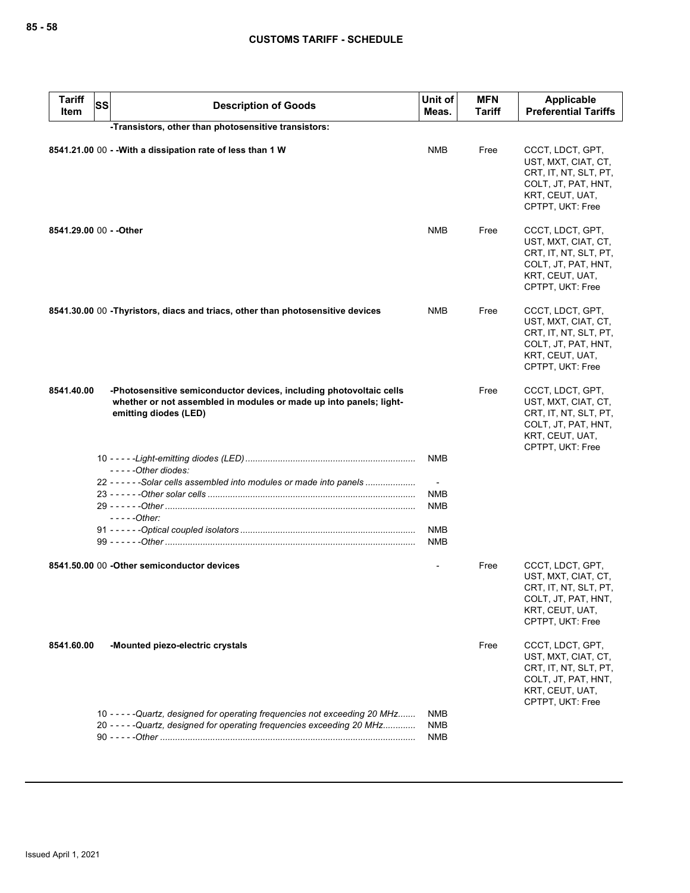| <b>Tariff</b><br>Item | <b>SS</b> | <b>Description of Goods</b>                                                                                                                                        | Unit of<br>Meas.         | <b>MFN</b><br>Tariff | Applicable<br><b>Preferential Tariffs</b>                                                                                      |
|-----------------------|-----------|--------------------------------------------------------------------------------------------------------------------------------------------------------------------|--------------------------|----------------------|--------------------------------------------------------------------------------------------------------------------------------|
|                       |           | -Transistors, other than photosensitive transistors:                                                                                                               |                          |                      |                                                                                                                                |
|                       |           | 8541.21.00 00 - - With a dissipation rate of less than 1 W                                                                                                         | <b>NMB</b>               | Free                 | CCCT, LDCT, GPT,<br>UST, MXT, CIAT, CT,<br>CRT, IT, NT, SLT, PT,<br>COLT, JT, PAT, HNT,<br>KRT, CEUT, UAT,<br>CPTPT, UKT: Free |
|                       |           | 8541.29.00 00 - - Other                                                                                                                                            | <b>NMB</b>               | Free                 | CCCT, LDCT, GPT,<br>UST, MXT, CIAT, CT,<br>CRT, IT, NT, SLT, PT,<br>COLT, JT, PAT, HNT,<br>KRT, CEUT, UAT,<br>CPTPT, UKT: Free |
|                       |           | 8541.30.00 00 -Thyristors, diacs and triacs, other than photosensitive devices                                                                                     | NMB                      | Free                 | CCCT, LDCT, GPT,<br>UST, MXT, CIAT, CT,<br>CRT, IT, NT, SLT, PT,<br>COLT, JT, PAT, HNT,<br>KRT, CEUT, UAT,<br>CPTPT, UKT: Free |
| 8541.40.00            |           | -Photosensitive semiconductor devices, including photovoltaic cells<br>whether or not assembled in modules or made up into panels; light-<br>emitting diodes (LED) |                          | Free                 | CCCT, LDCT, GPT,<br>UST, MXT, CIAT, CT,<br>CRT, IT, NT, SLT, PT,<br>COLT, JT, PAT, HNT,<br>KRT, CEUT, UAT,<br>CPTPT, UKT: Free |
|                       |           | $---Other diodes:$                                                                                                                                                 | <b>NMB</b>               |                      |                                                                                                                                |
|                       |           | 22 - - - - - - Solar cells assembled into modules or made into panels                                                                                              |                          |                      |                                                                                                                                |
|                       |           |                                                                                                                                                                    | <b>NMB</b>               |                      |                                                                                                                                |
|                       |           | $---Other:$                                                                                                                                                        | <b>NMB</b>               |                      |                                                                                                                                |
|                       |           |                                                                                                                                                                    | <b>NMB</b>               |                      |                                                                                                                                |
|                       |           |                                                                                                                                                                    | <b>NMB</b>               |                      |                                                                                                                                |
|                       |           | 8541.50.00 00 - Other semiconductor devices                                                                                                                        |                          | Free                 | CCCT, LDCT, GPT,<br>UST, MXT, CIAT, CT,<br>CRT, IT, NT, SLT, PT,<br>COLI, JI, PAI, HNI,<br>KRT, CEUT, UAT,<br>CPTPT, UKT: Free |
| 8541.60.00            |           | -Mounted piezo-electric crystals                                                                                                                                   |                          | Free                 | CCCT, LDCT, GPT,<br>UST, MXT, CIAT, CT,<br>CRT, IT, NT, SLT, PT,<br>COLT, JT, PAT, HNT,<br>KRT, CEUT, UAT,<br>CPTPT, UKT: Free |
|                       |           | 10 - - - - - Quartz, designed for operating frequencies not exceeding 20 MHz<br>20 - - - - - Quartz, designed for operating frequencies exceeding 20 MHz           | NMB<br><b>NMB</b><br>NMB |                      |                                                                                                                                |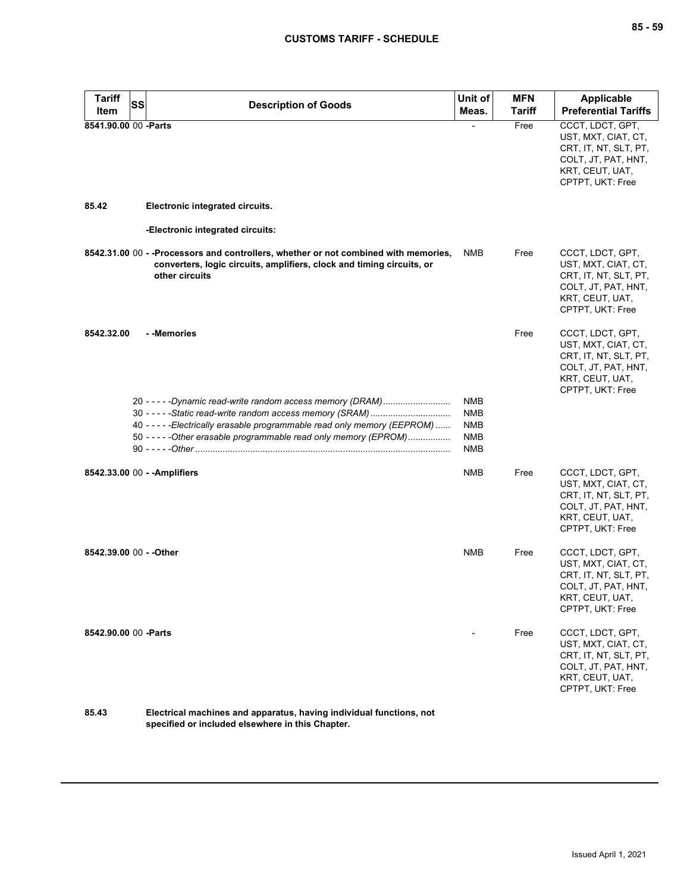| <b>Tariff</b><br><b>Item</b> | SS | <b>Description of Goods</b>                                                                                                                                                                                                                                           | Unit of<br>Meas.                                     | <b>MFN</b><br>Tariff | Applicable<br><b>Preferential Tariffs</b>                                                                                      |
|------------------------------|----|-----------------------------------------------------------------------------------------------------------------------------------------------------------------------------------------------------------------------------------------------------------------------|------------------------------------------------------|----------------------|--------------------------------------------------------------------------------------------------------------------------------|
| 8541.90.00 00 - Parts        |    |                                                                                                                                                                                                                                                                       |                                                      | Free                 | CCCT, LDCT, GPT,<br>UST, MXT, CIAT, CT,<br>CRT, IT, NT, SLT, PT,<br>COLT, JT, PAT, HNT,<br>KRT, CEUT, UAT,<br>CPTPT, UKT: Free |
| 85.42                        |    | Electronic integrated circuits.                                                                                                                                                                                                                                       |                                                      |                      |                                                                                                                                |
|                              |    | -Electronic integrated circuits:                                                                                                                                                                                                                                      |                                                      |                      |                                                                                                                                |
|                              |    | 8542.31.00 00 - -Processors and controllers, whether or not combined with memories,<br>converters, logic circuits, amplifiers, clock and timing circuits, or<br>other circuits                                                                                        | NMB                                                  | Free                 | CCCT, LDCT, GPT,<br>UST, MXT, CIAT, CT,<br>CRT, IT, NT, SLT, PT,<br>COLT, JT, PAT, HNT,<br>KRT, CEUT, UAT,<br>CPTPT, UKT: Free |
| 8542.32.00                   |    | - -Memories                                                                                                                                                                                                                                                           |                                                      | Free                 | CCCT, LDCT, GPT,<br>UST, MXT, CIAT, CT,<br>CRT, IT, NT, SLT, PT,<br>COLT, JT, PAT, HNT,<br>KRT, CEUT, UAT,<br>CPTPT, UKT: Free |
|                              |    | 20 - - - - - Dynamic read-write random access memory (DRAM)<br>40 - - - - - Electrically erasable programmable read only memory (EEPROM)<br>50 - - - - - Other erasable programmable read only memory (EPROM)<br>90 - - - - - Other ……………………………………………………………………………………… | NMB<br><b>NMB</b><br><b>NMB</b><br><b>NMB</b><br>NMB |                      |                                                                                                                                |
|                              |    | 8542.33.00 00 - - Amplifiers                                                                                                                                                                                                                                          | NMB                                                  | Free                 | CCCT, LDCT, GPT,<br>UST, MXT, CIAT, CT,<br>CRT, IT, NT, SLT, PT,<br>COLT, JT, PAT, HNT,<br>KRT, CEUT, UAT,<br>CPTPT, UKT: Free |
| 8542.39.00 00 - - Other      |    |                                                                                                                                                                                                                                                                       | <b>NMB</b>                                           | Free                 | CCCT, LDCT, GPT,<br>UST, MXT, CIAT, CT,<br>CRT, IT, NT, SLT, PT,<br>COLT, JT, PAT, HNT,<br>KRT, CEUT, UAT,<br>CPTPT, UKT: Free |
| 8542.90.00 00 - Parts        |    |                                                                                                                                                                                                                                                                       |                                                      | Free                 | CCCT, LDCT, GPT,<br>UST, MXT, CIAT, CT,<br>CRT, IT, NT, SLT, PT,<br>COLT, JT, PAT, HNT,<br>KRT, CEUT, UAT,<br>CPTPT, UKT: Free |
| OE 19                        |    | Ilectrical meabines and apparatual hoving individual functions.                                                                                                                                                                                                       |                                                      |                      |                                                                                                                                |

**85.43 Electrical machines and apparatus, having individual functions, not specified or included elsewhere in this Chapter.**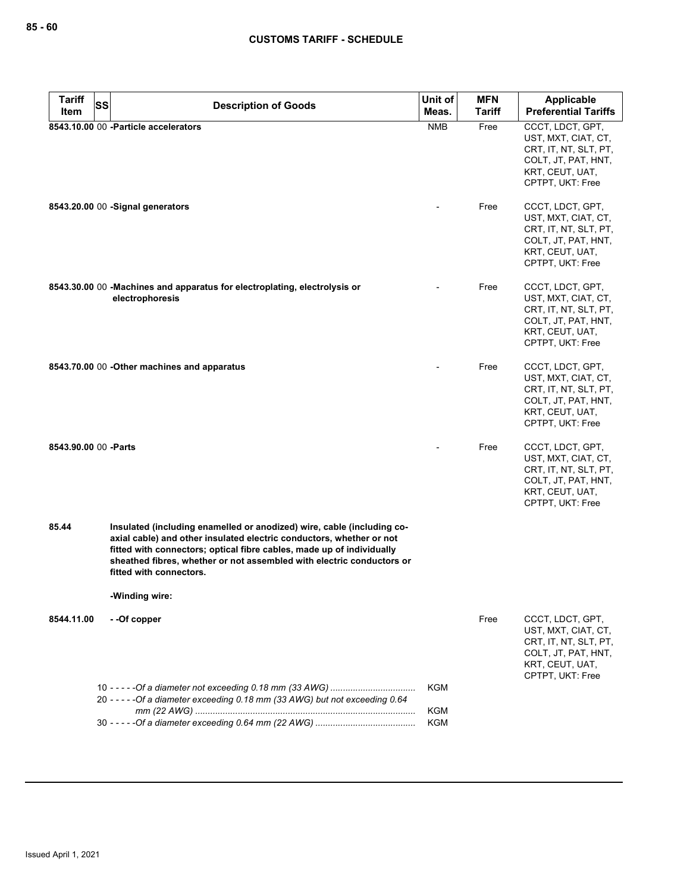| <b>Tariff</b><br>SS   |                                                                                                                                                                                                                                                                                                                                               | Unit of    | <b>MFN</b>    | Applicable                                                                                                                     |
|-----------------------|-----------------------------------------------------------------------------------------------------------------------------------------------------------------------------------------------------------------------------------------------------------------------------------------------------------------------------------------------|------------|---------------|--------------------------------------------------------------------------------------------------------------------------------|
| Item                  | <b>Description of Goods</b>                                                                                                                                                                                                                                                                                                                   | Meas.      | <b>Tariff</b> | <b>Preferential Tariffs</b>                                                                                                    |
|                       | 8543.10.00 00 - Particle accelerators                                                                                                                                                                                                                                                                                                         | <b>NMB</b> | Free          | CCCT, LDCT, GPT,<br>UST, MXT, CIAT, CT,<br>CRT, IT, NT, SLT, PT,<br>COLT, JT, PAT, HNT,<br>KRT, CEUT, UAT,<br>CPTPT, UKT: Free |
|                       | 8543.20.00 00 - Signal generators                                                                                                                                                                                                                                                                                                             |            | Free          | CCCT, LDCT, GPT,<br>UST, MXT, CIAT, CT,<br>CRT, IT, NT, SLT, PT,<br>COLT, JT, PAT, HNT,<br>KRT, CEUT, UAT,<br>CPTPT, UKT: Free |
|                       | 8543.30.00 00 - Machines and apparatus for electroplating, electrolysis or<br>electrophoresis                                                                                                                                                                                                                                                 |            | Free          | CCCT, LDCT, GPT,<br>UST, MXT, CIAT, CT,<br>CRT, IT, NT, SLT, PT,<br>COLT, JT, PAT, HNT,<br>KRT, CEUT, UAT,<br>CPTPT, UKT: Free |
|                       | 8543.70.00 00 - Other machines and apparatus                                                                                                                                                                                                                                                                                                  |            | Free          | CCCT, LDCT, GPT,<br>UST, MXT, CIAT, CT,<br>CRT, IT, NT, SLT, PT,<br>COLT, JT, PAT, HNT,<br>KRT, CEUT, UAT,<br>CPTPT, UKT: Free |
| 8543.90.00 00 - Parts |                                                                                                                                                                                                                                                                                                                                               |            | Free          | CCCT, LDCT, GPT,<br>UST, MXT, CIAT, CT,<br>CRT, IT, NT, SLT, PT,<br>COLT, JT, PAT, HNT,<br>KRT, CEUT, UAT,<br>CPTPT, UKT: Free |
| 85.44                 | Insulated (including enamelled or anodized) wire, cable (including co-<br>axial cable) and other insulated electric conductors, whether or not<br>fitted with connectors; optical fibre cables, made up of individually<br>sheathed fibres, whether or not assembled with electric conductors or<br>fitted with connectors.<br>-Winding wire: |            |               |                                                                                                                                |
|                       |                                                                                                                                                                                                                                                                                                                                               |            |               |                                                                                                                                |
| 8544.11.00            | --Of copper                                                                                                                                                                                                                                                                                                                                   |            | Free          | CCCT, LDCT, GPT,<br>UST, MXT, CIAT, CT,<br>CRT, IT, NT, SLT, PT,<br>COLT, JT, PAT, HNT,<br>KRT, CEUT, UAT,<br>CPTPT, UKT: Free |
|                       | 20 - - - - - Of a diameter exceeding 0.18 mm (33 AWG) but not exceeding 0.64                                                                                                                                                                                                                                                                  | KGM        |               |                                                                                                                                |
|                       |                                                                                                                                                                                                                                                                                                                                               | <b>KGM</b> |               |                                                                                                                                |
|                       |                                                                                                                                                                                                                                                                                                                                               | <b>KGM</b> |               |                                                                                                                                |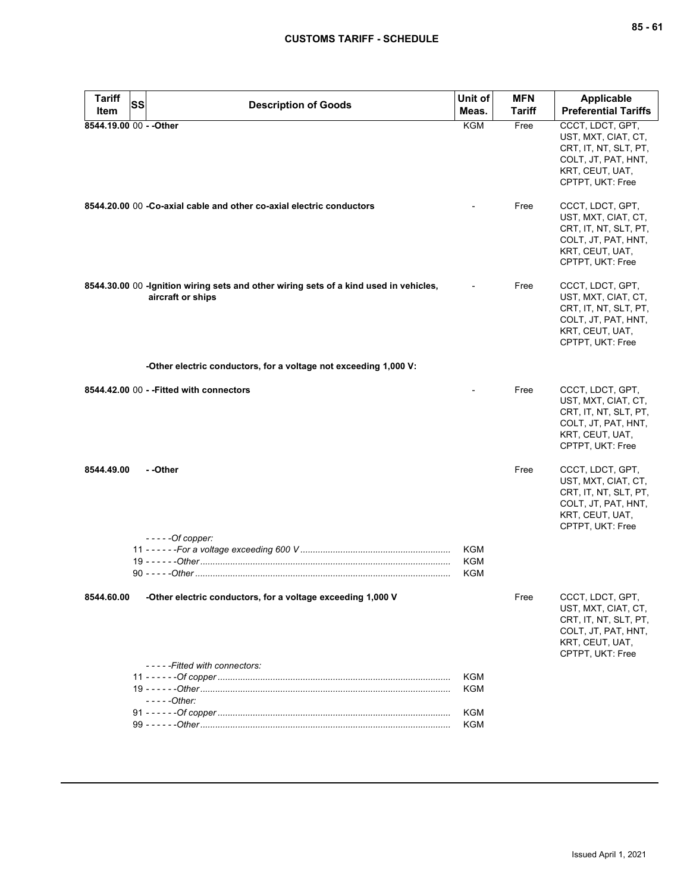| <b>Tariff</b><br><b>SS</b><br>Item | <b>Description of Goods</b>                                                                                 | Unit of<br>Meas.         | <b>MFN</b><br>Tariff | Applicable<br><b>Preferential Tariffs</b>                                                                                      |
|------------------------------------|-------------------------------------------------------------------------------------------------------------|--------------------------|----------------------|--------------------------------------------------------------------------------------------------------------------------------|
| 8544.19.00 00 - - Other            |                                                                                                             | KGM                      | Free                 | CCCT, LDCT, GPT,<br>UST, MXT, CIAT, CT,<br>CRT, IT, NT, SLT, PT,<br>COLT, JT, PAT, HNT,<br>KRT, CEUT, UAT,<br>CPTPT, UKT: Free |
|                                    | 8544.20.00 00 -Co-axial cable and other co-axial electric conductors                                        |                          | Free                 | CCCT, LDCT, GPT,<br>UST, MXT, CIAT, CT,<br>CRT, IT, NT, SLT, PT,<br>COLT, JT, PAT, HNT,<br>KRT, CEUT, UAT,<br>CPTPT, UKT: Free |
|                                    | 8544.30.00 00 - Ignition wiring sets and other wiring sets of a kind used in vehicles,<br>aircraft or ships |                          | Free                 | CCCT, LDCT, GPT,<br>UST, MXT, CIAT, CT,<br>CRT, IT, NT, SLT, PT,<br>COLT, JT, PAT, HNT,<br>KRT, CEUT, UAT,<br>CPTPT, UKT: Free |
|                                    | -Other electric conductors, for a voltage not exceeding 1,000 V:                                            |                          |                      |                                                                                                                                |
|                                    | 8544.42.00 00 - - Fitted with connectors                                                                    |                          | Free                 | CCCT, LDCT, GPT,<br>UST, MXT, CIAT, CT,<br>CRT, IT, NT, SLT, PT,<br>COLT, JT, PAT, HNT,<br>KRT, CEUT, UAT,<br>CPTPT, UKT: Free |
| 8544.49.00                         | - -Other                                                                                                    |                          | Free                 | CCCT, LDCT, GPT,<br>UST, MXT, CIAT, CT,<br>CRT, IT, NT, SLT, PT,<br>COLT, JT, PAT, HNT,<br>KRT, CEUT, UAT,<br>CPTPT, UKT: Free |
|                                    | $---Of copper:$                                                                                             | KGM<br>KGM<br>KGM        |                      |                                                                                                                                |
| 8544.60.00                         | -Other electric conductors, for a voltage exceeding 1,000 V<br>-----Fitted with connectors:                 |                          | Free                 | CCCT, LDCT, GPT,<br>UST, MXT, CIAT, CT,<br>CRT, IT, NT, SLT, PT,<br>COLT, JT, PAT, HNT,<br>KRT, CEUT, UAT,<br>CPTPT, UKT: Free |
|                                    |                                                                                                             | <b>KGM</b>               |                      |                                                                                                                                |
|                                    | $---Other:$                                                                                                 | <b>KGM</b>               |                      |                                                                                                                                |
|                                    |                                                                                                             | <b>KGM</b><br><b>KGM</b> |                      |                                                                                                                                |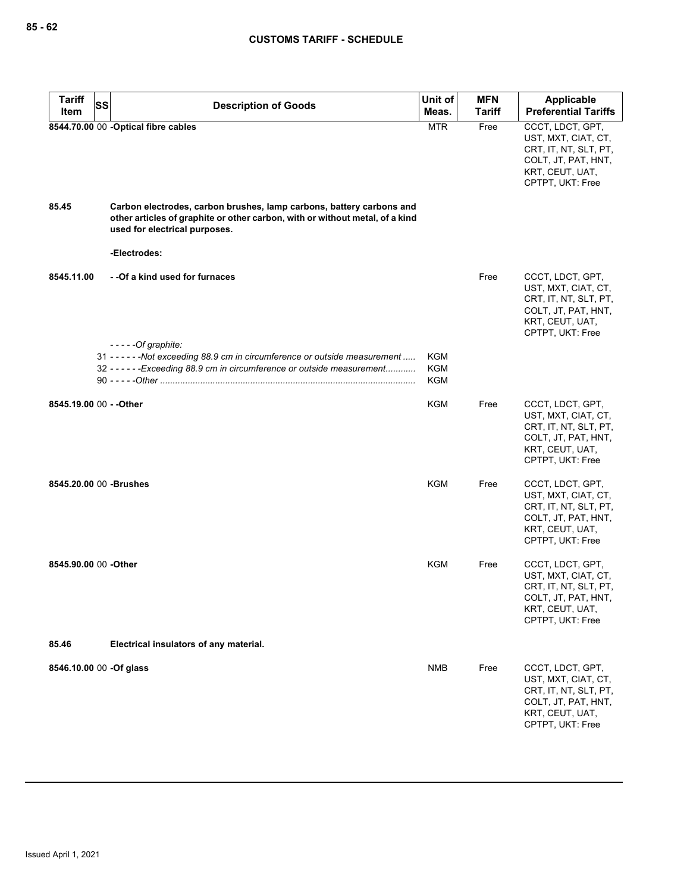| <b>Tariff</b><br><b>SS</b> | <b>Description of Goods</b>                                                                                                                                                           | Unit of                  | <b>MFN</b> | <b>Applicable</b>                                                                                                              |
|----------------------------|---------------------------------------------------------------------------------------------------------------------------------------------------------------------------------------|--------------------------|------------|--------------------------------------------------------------------------------------------------------------------------------|
| Item                       |                                                                                                                                                                                       | Meas.                    | Tariff     | <b>Preferential Tariffs</b>                                                                                                    |
|                            | 8544.70.00 00 - Optical fibre cables                                                                                                                                                  | <b>MTR</b>               | Free       | CCCT, LDCT, GPT,<br>UST, MXT, CIAT, CT,<br>CRT, IT, NT, SLT, PT,<br>COLT, JT, PAT, HNT,<br>KRT, CEUT, UAT,<br>CPTPT, UKT: Free |
| 85.45                      | Carbon electrodes, carbon brushes, lamp carbons, battery carbons and<br>other articles of graphite or other carbon, with or without metal, of a kind<br>used for electrical purposes. |                          |            |                                                                                                                                |
|                            | -Electrodes:                                                                                                                                                                          |                          |            |                                                                                                                                |
| 8545.11.00                 | - -Of a kind used for furnaces                                                                                                                                                        |                          | Free       | CCCT, LDCT, GPT,<br>UST, MXT, CIAT, CT,<br>CRT, IT, NT, SLT, PT,<br>COLT, JT, PAT, HNT,<br>KRT, CEUT, UAT,<br>CPTPT, UKT: Free |
|                            | $---Of graphite:$                                                                                                                                                                     |                          |            |                                                                                                                                |
|                            | 31 - - - - - - Not exceeding 88.9 cm in circumference or outside measurement                                                                                                          | KGM                      |            |                                                                                                                                |
|                            | 32 - - - - - - Exceeding 88.9 cm in circumference or outside measurement                                                                                                              | <b>KGM</b><br><b>KGM</b> |            |                                                                                                                                |
| 8545.19.00 00 - - Other    |                                                                                                                                                                                       | KGM                      | Free       | CCCT, LDCT, GPT,<br>UST, MXT, CIAT, CT,<br>CRT, IT, NT, SLT, PT,<br>COLT, JT, PAT, HNT,<br>KRT, CEUT, UAT,<br>CPTPT, UKT: Free |
| 8545,20.00 00 - Brushes    |                                                                                                                                                                                       | <b>KGM</b>               | Free       | CCCT, LDCT, GPT,<br>UST, MXT, CIAT, CT,<br>CRT, IT, NT, SLT, PT,<br>COLT, JT, PAT, HNT,<br>KRT, CEUT, UAT,<br>CPTPT, UKT: Free |
| 8545.90.00 00 -Other       |                                                                                                                                                                                       | KGM                      | Free       | CCCT, LDCT, GPT,<br>UST, MXT, CIAT, CT,<br>CRT, IT, NT, SLT, PT,<br>COLT, JT, PAT, HNT,<br>KRT, CEUT, UAT,<br>CPTPT, UKT: Free |
| 85.46                      | Electrical insulators of any material.                                                                                                                                                |                          |            |                                                                                                                                |
| 8546.10.00 00 -Of glass    |                                                                                                                                                                                       | <b>NMB</b>               | Free       | CCCT, LDCT, GPT,<br>UST, MXT, CIAT, CT,<br>CRT, IT, NT, SLT, PT,<br>COLT, JT, PAT, HNT,<br>KRT, CEUT, UAT,<br>CPTPT, UKT: Free |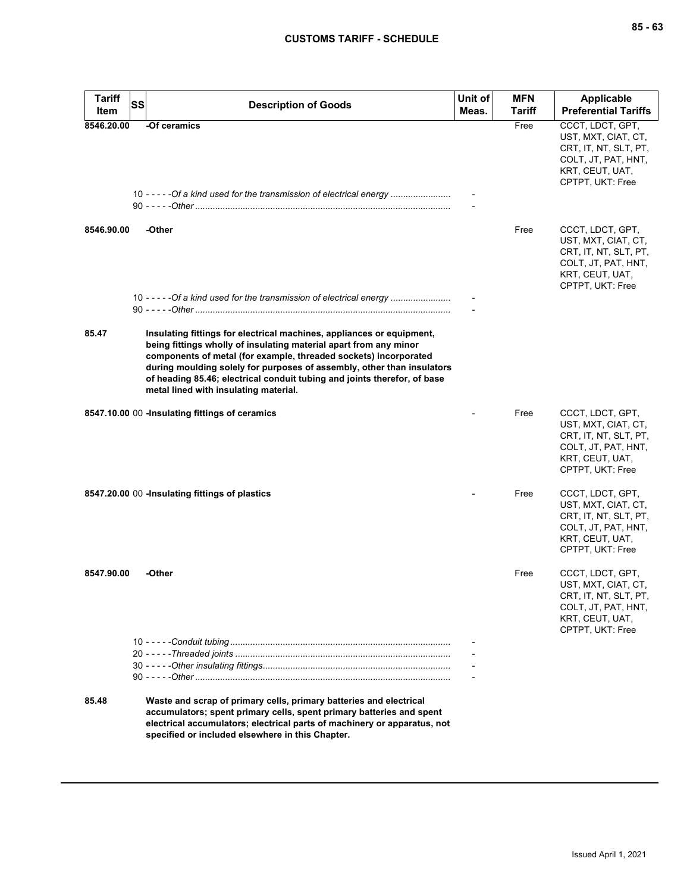| <b>Tariff</b><br>Item | SS | <b>Description of Goods</b>                                                                                                                                                                                                                                                                                                                                                                                   | Unit of<br>Meas. | <b>MFN</b><br>Tariff | Applicable<br><b>Preferential Tariffs</b>                                                                                      |
|-----------------------|----|---------------------------------------------------------------------------------------------------------------------------------------------------------------------------------------------------------------------------------------------------------------------------------------------------------------------------------------------------------------------------------------------------------------|------------------|----------------------|--------------------------------------------------------------------------------------------------------------------------------|
| 8546.20.00            |    | -Of ceramics<br>10 - - - - - Of a kind used for the transmission of electrical energy                                                                                                                                                                                                                                                                                                                         |                  | Free                 | CCCT, LDCT, GPT,<br>UST, MXT, CIAT, CT,<br>CRT, IT, NT, SLT, PT,<br>COLT, JT, PAT, HNT,<br>KRT, CEUT, UAT,<br>CPTPT, UKT: Free |
|                       |    |                                                                                                                                                                                                                                                                                                                                                                                                               |                  |                      |                                                                                                                                |
| 8546.90.00            |    | -Other                                                                                                                                                                                                                                                                                                                                                                                                        |                  | Free                 | CCCT, LDCT, GPT,<br>UST, MXT, CIAT, CT,<br>CRT, IT, NT, SLT, PT,<br>COLT, JT, PAT, HNT,<br>KRT, CEUT, UAT,<br>CPTPT, UKT: Free |
|                       |    | 10 - - - - - Of a kind used for the transmission of electrical energy                                                                                                                                                                                                                                                                                                                                         |                  |                      |                                                                                                                                |
| 85.47                 |    | Insulating fittings for electrical machines, appliances or equipment,<br>being fittings wholly of insulating material apart from any minor<br>components of metal (for example, threaded sockets) incorporated<br>during moulding solely for purposes of assembly, other than insulators<br>of heading 85.46; electrical conduit tubing and joints therefor, of base<br>metal lined with insulating material. |                  |                      |                                                                                                                                |
|                       |    | 8547.10.00 00 -Insulating fittings of ceramics                                                                                                                                                                                                                                                                                                                                                                |                  | Free                 | CCCT, LDCT, GPT,<br>UST, MXT, CIAT, CT,<br>CRT, IT, NT, SLT, PT,<br>COLT, JT, PAT, HNT,<br>KRT, CEUT, UAT,<br>CPTPT, UKT: Free |
|                       |    | 8547.20.00 00 -Insulating fittings of plastics                                                                                                                                                                                                                                                                                                                                                                |                  | Free                 | CCCT, LDCT, GPT,<br>UST, MXT, CIAT, CT,<br>CRT, IT, NT, SLT, PT,<br>COLT, JT, PAT, HNT,<br>KRT, CEUT, UAT,<br>CPTPT, UKT: Free |
| 8547.90.00            |    | -Other                                                                                                                                                                                                                                                                                                                                                                                                        |                  | Free                 | CCCT, LDCT, GPT,<br>UST, MXT, CIAT, CT,<br>CRT, IT, NT, SLT, PT,<br>COLT, JT, PAT, HNT,<br>KRT, CEUT, UAT,<br>CPTPT, UKT: Free |
|                       |    |                                                                                                                                                                                                                                                                                                                                                                                                               |                  |                      |                                                                                                                                |
| 85.48                 |    | Waste and scrap of primary cells, primary batteries and electrical<br>accumulators; spent primary cells, spent primary batteries and spent<br>electrical accumulators; electrical parts of machinery or apparatus, not<br>specified or included elsewhere in this Chapter.                                                                                                                                    |                  |                      |                                                                                                                                |